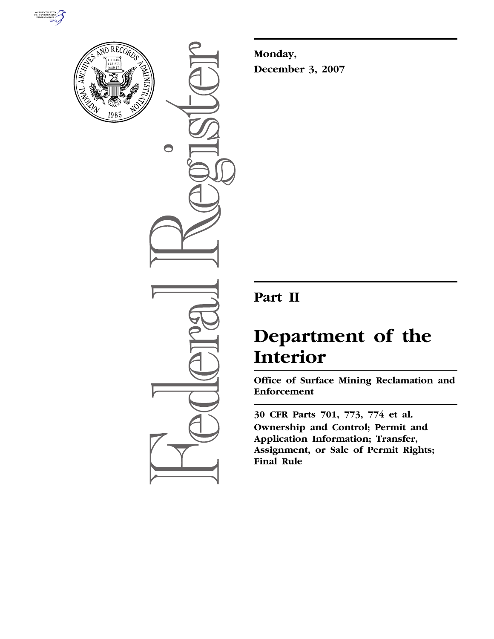



 $\bigcirc$ 

**Monday, December 3, 2007** 

# **Part II**

# **Department of the Interior**

**Office of Surface Mining Reclamation and Enforcement** 

**30 CFR Parts 701, 773, 774 et al. Ownership and Control; Permit and Application Information; Transfer, Assignment, or Sale of Permit Rights; Final Rule**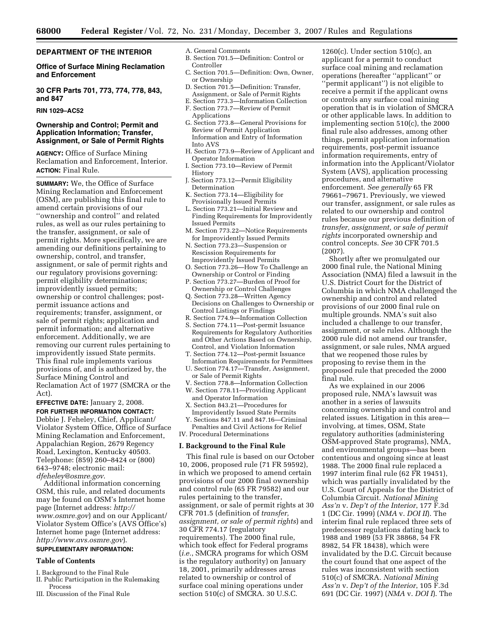# **DEPARTMENT OF THE INTERIOR**

**Office of Surface Mining Reclamation and Enforcement** 

**30 CFR Parts 701, 773, 774, 778, 843, and 847** 

# **RIN 1029–AC52**

# **Ownership and Control; Permit and Application Information; Transfer, Assignment, or Sale of Permit Rights**

**AGENCY:** Office of Surface Mining Reclamation and Enforcement, Interior. **ACTION:** Final Rule.

**SUMMARY:** We, the Office of Surface Mining Reclamation and Enforcement (OSM), are publishing this final rule to amend certain provisions of our ''ownership and control'' and related rules, as well as our rules pertaining to the transfer, assignment, or sale of permit rights. More specifically, we are amending our definitions pertaining to ownership, control, and transfer, assignment, or sale of permit rights and our regulatory provisions governing: permit eligibility determinations; improvidently issued permits; ownership or control challenges; postpermit issuance actions and requirements; transfer, assignment, or sale of permit rights; application and permit information; and alternative enforcement. Additionally, we are removing our current rules pertaining to improvidently issued State permits. This final rule implements various provisions of, and is authorized by, the Surface Mining Control and Reclamation Act of 1977 (SMCRA or the Act).

**EFFECTIVE DATE:** January 2, 2008. **FOR FURTHER INFORMATION CONTACT:**  Debbie J. Feheley, Chief, Applicant/ Violator System Office, Office of Surface Mining Reclamation and Enforcement, Appalachian Region, 2679 Regency Road, Lexington, Kentucky 40503. Telephone: (859) 260–8424 or (800) 643–9748; electronic mail: *dfeheley@osmre.gov*.

Additional information concerning OSM, this rule, and related documents may be found on OSM's Internet home page (Internet address: *http:// www.osmre.gov*) and on our Applicant/ Violator System Office's (AVS Office's) Internet home page (Internet address: *http://www.avs.osmre.gov*).

# **SUPPLEMENTARY INFORMATION:**

#### **Table of Contents**

- I. Background to the Final Rule
- II. Public Participation in the Rulemaking Process
- III. Discussion of the Final Rule
- A. General Comments
- B. Section 701.5—Definition: Control or Controller
- C. Section 701.5—Definition: Own, Owner, or Ownership
- D. Section 701.5—Definition: Transfer, Assignment, or Sale of Permit Rights
- E. Section 773.3—Information Collection F. Section 773.7—Review of Permit
- Applications
- G. Section 773.8—General Provisions for Review of Permit Application Information and Entry of Information Into AVS
- H. Section 773.9—Review of Applicant and Operator Information
- I. Section 773.10—Review of Permit History
- J. Section 773.12—Permit Eligibility Determination
- K. Section 773.14—Eligibility for Provisionally Issued Permits
- L. Section 773.21—Initial Review and Finding Requirements for Improvidently Issued Permits
- M. Section 773.22—Notice Requirements for Improvidently Issued Permits
- N. Section 773.23—Suspension or Rescission Requirements for Improvidently Issued Permits
- O. Section 773.26—How To Challenge an Ownership or Control or Finding
- P. Section 773.27—Burden of Proof for Ownership or Control Challenges
- Q. Section 773.28—Written Agency Decisions on Challenges to Ownership or Control Listings or Findings
- R. Section 774.9—Information Collection
- S. Section 774.11—Post-permit Issuance Requirements for Regulatory Authorities and Other Actions Based on Ownership, Control, and Violation Information
- T. Section 774.12—Post-permit Issuance Information Requirements for Permittees
- U. Section 774.17—Transfer, Assignment, or Sale of Permit Rights
- V. Section 778.8—Information Collection W. Section 778.11—Providing Applicant
- and Operator Information X. Section 843.21—Procedures for Improvidently Issued State Permits
- Y. Sections 847.11 and 847.16—Criminal Penalties and Civil Actions for Relief

IV. Procedural Determinations

#### **I. Background to the Final Rule**

This final rule is based on our October 10, 2006, proposed rule (71 FR 59592), in which we proposed to amend certain provisions of our 2000 final ownership and control rule (65 FR 79582) and our rules pertaining to the transfer, assignment, or sale of permit rights at 30 CFR 701.5 (definition of *transfer, assignment, or sale of permit rights*) and 30 CFR 774.17 (regulatory requirements). The 2000 final rule, which took effect for Federal programs (*i.e.*, SMCRA programs for which OSM is the regulatory authority) on January 18, 2001, primarily addresses areas related to ownership or control of surface coal mining operations under section 510(c) of SMCRA. 30 U.S.C.

1260(c). Under section 510(c), an applicant for a permit to conduct surface coal mining and reclamation operations (hereafter ''applicant'' or ''permit applicant'') is not eligible to receive a permit if the applicant owns or controls any surface coal mining operation that is in violation of SMCRA or other applicable laws. In addition to implementing section 510(c), the 2000 final rule also addresses, among other things, permit application information requirements, post-permit issuance information requirements, entry of information into the Applicant/Violator System (AVS), application processing procedures, and alternative enforcement. *See generally* 65 FR 79661–79671. Previously, we viewed our transfer, assignment, or sale rules as related to our ownership and control rules because our previous definition of *transfer, assignment, or sale of permit rights* incorporated ownership and control concepts. *See* 30 CFR 701.5 (2007).

Shortly after we promulgated our 2000 final rule, the National Mining Association (NMA) filed a lawsuit in the U.S. District Court for the District of Columbia in which NMA challenged the ownership and control and related provisions of our 2000 final rule on multiple grounds. NMA's suit also included a challenge to our transfer, assignment, or sale rules. Although the 2000 rule did not amend our transfer, assignment, or sale rules, NMA argued that we reopened those rules by proposing to revise them in the proposed rule that preceded the 2000 final rule.

As we explained in our 2006 proposed rule, NMA's lawsuit was another in a series of lawsuits concerning ownership and control and related issues. Litigation in this area involving, at times, OSM, State regulatory authorities (administering OSM-approved State programs), NMA, and environmental groups—has been contentious and ongoing since at least 1988. The 2000 final rule replaced a 1997 interim final rule (62 FR 19451), which was partially invalidated by the U.S. Court of Appeals for the District of Columbia Circuit. *National Mining Ass'n* v. *Dep't of the Interior*, 177 F.3d 1 (DC Cir. 1999) (*NMA* v. *DOI II*). The interim final rule replaced three sets of predecessor regulations dating back to 1988 and 1989 (53 FR 38868, 54 FR 8982, 54 FR 18438), which were invalidated by the D.C. Circuit because the court found that one aspect of the rules was inconsistent with section 510(c) of SMCRA. *National Mining Ass'n* v. *Dep't of the Interior*, 105 F.3d 691 (DC Cir. 1997) (*NMA* v. *DOI I*). The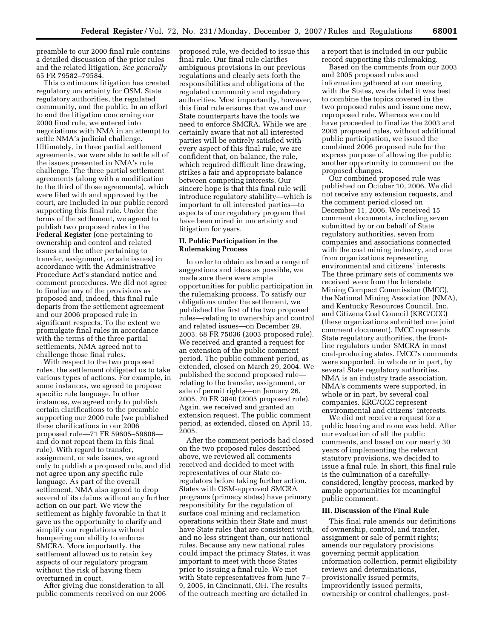preamble to our 2000 final rule contains a detailed discussion of the prior rules and the related litigation. *See generally*  65 FR 79582–79584.

This continuous litigation has created regulatory uncertainty for OSM, State regulatory authorities, the regulated community, and the public. In an effort to end the litigation concerning our 2000 final rule, we entered into negotiations with NMA in an attempt to settle NMA's judicial challenge. Ultimately, in three partial settlement agreements, we were able to settle all of the issues presented in NMA's rule challenge. The three partial settlement agreements (along with a modification to the third of those agreements), which were filed with and approved by the court, are included in our public record supporting this final rule. Under the terms of the settlement, we agreed to publish two proposed rules in the **Federal Register** (one pertaining to ownership and control and related issues and the other pertaining to transfer, assignment, or sale issues) in accordance with the Administrative Procedure Act's standard notice and comment procedures. We did not agree to finalize any of the provisions as proposed and, indeed, this final rule departs from the settlement agreement and our 2006 proposed rule in significant respects. To the extent we promulgate final rules in accordance with the terms of the three partial settlements, NMA agreed not to challenge those final rules.

With respect to the two proposed rules, the settlement obligated us to take various types of actions. For example, in some instances, we agreed to propose specific rule language. In other instances, we agreed only to publish certain clarifications to the preamble supporting our 2000 rule (we published these clarifications in our 2006 proposed rule—71 FR 59605–59606 and do not repeat them in this final rule). With regard to transfer, assignment, or sale issues, we agreed only to publish a proposed rule, and did not agree upon any specific rule language. As part of the overall settlement, NMA also agreed to drop several of its claims without any further action on our part. We view the settlement as highly favorable in that it gave us the opportunity to clarify and simplify our regulations without hampering our ability to enforce SMCRA. More importantly, the settlement allowed us to retain key aspects of our regulatory program without the risk of having them overturned in court.

After giving due consideration to all public comments received on our 2006

proposed rule, we decided to issue this final rule. Our final rule clarifies ambiguous provisions in our previous regulations and clearly sets forth the responsibilities and obligations of the regulated community and regulatory authorities. Most importantly, however, this final rule ensures that we and our State counterparts have the tools we need to enforce SMCRA. While we are certainly aware that not all interested parties will be entirely satisfied with every aspect of this final rule, we are confident that, on balance, the rule, which required difficult line drawing, strikes a fair and appropriate balance between competing interests. Our sincere hope is that this final rule will introduce regulatory stability—which is important to all interested parties—to aspects of our regulatory program that have been mired in uncertainty and litigation for years.

#### **II. Public Participation in the Rulemaking Process**

In order to obtain as broad a range of suggestions and ideas as possible, we made sure there were ample opportunities for public participation in the rulemaking process. To satisfy our obligations under the settlement, we published the first of the two proposed rules—relating to ownership and control and related issues—on December 29, 2003. 68 FR 75036 (2003 proposed rule). We received and granted a request for an extension of the public comment period. The public comment period, as extended, closed on March 29, 2004. We published the second proposed rule relating to the transfer, assignment, or sale of permit rights—on January 26, 2005. 70 FR 3840 (2005 proposed rule). Again, we received and granted an extension request. The public comment period, as extended, closed on April 15, 2005.

After the comment periods had closed on the two proposed rules described above, we reviewed all comments received and decided to meet with representatives of our State coregulators before taking further action. States with OSM-approved SMCRA programs (primacy states) have primary responsibility for the regulation of surface coal mining and reclamation operations within their State and must have State rules that are consistent with, and no less stringent than, our national rules. Because any new national rules could impact the primacy States, it was important to meet with those States prior to issuing a final rule. We met with State representatives from June 7– 9, 2005, in Cincinnati, OH. The results of the outreach meeting are detailed in

a report that is included in our public record supporting this rulemaking.

Based on the comments from our 2003 and 2005 proposed rules and information gathered at our meeting with the States, we decided it was best to combine the topics covered in the two proposed rules and issue one new, reproposed rule. Whereas we could have proceeded to finalize the 2003 and 2005 proposed rules, without additional public participation, we issued the combined 2006 proposed rule for the express purpose of allowing the public another opportunity to comment on the proposed changes.

Our combined proposed rule was published on October 10, 2006. We did not receive any extension requests, and the comment period closed on December 11, 2006. We received 15 comment documents, including seven submitted by or on behalf of State regulatory authorities, seven from companies and associations connected with the coal mining industry, and one from organizations representing environmental and citizens' interests. The three primary sets of comments we received were from the Interstate Mining Compact Commission (IMCC), the National Mining Association (NMA), and Kentucky Resources Council, Inc. and Citizens Coal Council (KRC/CCC) (these organizations submitted one joint comment document). IMCC represents State regulatory authorities, the frontline regulators under SMCRA in most coal-producing states. IMCC's comments were supported, in whole or in part, by several State regulatory authorities. NMA is an industry trade association. NMA's comments were supported, in whole or in part, by several coal companies. KRC/CCC represent environmental and citizens' interests.

We did not receive a request for a public hearing and none was held. After our evaluation of all the public comments, and based on our nearly 30 years of implementing the relevant statutory provisions, we decided to issue a final rule. In short, this final rule is the culmination of a carefullyconsidered, lengthy process, marked by ample opportunities for meaningful public comment.

#### **III. Discussion of the Final Rule**

This final rule amends our definitions of ownership, control, and transfer, assignment or sale of permit rights; amends our regulatory provisions governing permit application information collection, permit eligibility reviews and determinations, provisionally issued permits, improvidently issued permits, ownership or control challenges, post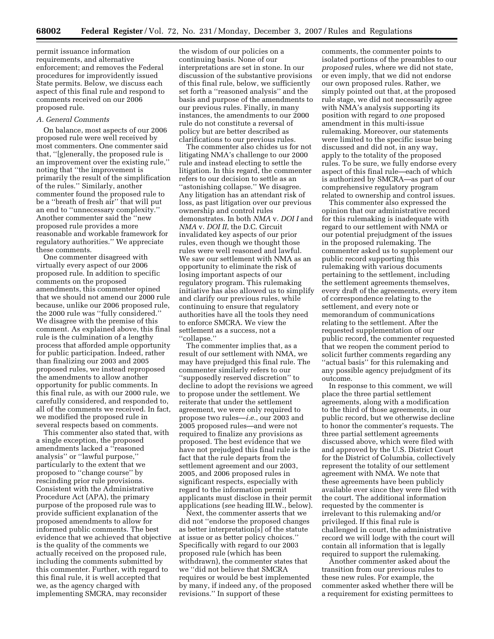permit issuance information requirements, and alternative enforcement; and removes the Federal procedures for improvidently issued State permits. Below, we discuss each aspect of this final rule and respond to comments received on our 2006 proposed rule.

#### *A. General Comments*

On balance, most aspects of our 2006 proposed rule were well received by most commenters. One commenter said that, ''[g]enerally, the proposed rule is an improvement over the existing rule,'' noting that ''the improvement is primarily the result of the simplification of the rules.'' Similarly, another commenter found the proposed rule to be a ''breath of fresh air'' that will put an end to ''unnecessary complexity.'' Another commenter said the ''new proposed rule provides a more reasonable and workable framework for regulatory authorities.'' We appreciate these comments.

One commenter disagreed with virtually every aspect of our 2006 proposed rule. In addition to specific comments on the proposed amendments, this commenter opined that we should not amend our 2000 rule because, unlike our 2006 proposed rule, the 2000 rule was ''fully considered.'' We disagree with the premise of this comment. As explained above, this final rule is the culmination of a lengthy process that afforded ample opportunity for public participation. Indeed, rather than finalizing our 2003 and 2005 proposed rules, we instead reproposed the amendments to allow another opportunity for public comments. In this final rule, as with our 2000 rule, we carefully considered, and responded to, all of the comments we received. In fact, we modified the proposed rule in several respects based on comments.

This commenter also stated that, with a single exception, the proposed amendments lacked a ''reasoned analysis'' or ''lawful purpose,'' particularly to the extent that we proposed to ''change course'' by rescinding prior rule provisions. Consistent with the Administrative Procedure Act (APA), the primary purpose of the proposed rule was to provide sufficient explanation of the proposed amendments to allow for informed public comments. The best evidence that we achieved that objective is the quality of the comments we actually received on the proposed rule, including the comments submitted by this commenter. Further, with regard to this final rule, it is well accepted that we, as the agency charged with implementing SMCRA, may reconsider

the wisdom of our policies on a continuing basis. None of our interpretations are set in stone. In our discussion of the substantive provisions of this final rule, below, we sufficiently set forth a ''reasoned analysis'' and the basis and purpose of the amendments to our previous rules. Finally, in many instances, the amendments to our 2000 rule do not constitute a reversal of policy but are better described as clarifications to our previous rules.

The commenter also chides us for not litigating NMA's challenge to our 2000 rule and instead electing to settle the litigation. In this regard, the commenter refers to our decision to settle as an ''astonishing collapse.'' We disagree. Any litigation has an attendant risk of loss, as past litigation over our previous ownership and control rules demonstrates. In both *NMA* v. *DOI I* and *NMA* v. *DOI II*, the D.C. Circuit invalidated key aspects of our prior rules, even though we thought those rules were well reasoned and lawful. We saw our settlement with NMA as an opportunity to eliminate the risk of losing important aspects of our regulatory program. This rulemaking initiative has also allowed us to simplify and clarify our previous rules, while continuing to ensure that regulatory authorities have all the tools they need to enforce SMCRA. We view the settlement as a success, not a ''collapse.''

The commenter implies that, as a result of our settlement with NMA, we may have prejudged this final rule. The commenter similarly refers to our ''supposedly reserved discretion'' to decline to adopt the revisions we agreed to propose under the settlement. We reiterate that under the settlement agreement, we were only required to propose two rules—*i.e.*, our 2003 and 2005 proposed rules—and were not required to finalize any provisions as proposed. The best evidence that we have not prejudged this final rule is the fact that the rule departs from the settlement agreement and our 2003, 2005, and 2006 proposed rules in significant respects, especially with regard to the information permit applicants must disclose in their permit applications (*see* heading III.W., below).

Next, the commenter asserts that we did not ''endorse the proposed changes as better interpretation[s] of the statute at issue or as better policy choices.'' Specifically with regard to our 2003 proposed rule (which has been withdrawn), the commenter states that we ''did not believe that SMCRA requires or would be best implemented by many, if indeed any, of the proposed revisions.'' In support of these

comments, the commenter points to isolated portions of the preambles to our *proposed* rules, where we did not state, or even imply, that we did not endorse our own proposed rules. Rather, we simply pointed out that, at the proposed rule stage, we did not necessarily agree with NMA's analysis supporting its position with regard to *one* proposed amendment in this multi-issue rulemaking. Moreover, our statements were limited to the specific issue being discussed and did not, in any way, apply to the totality of the proposed rules. To be sure, we fully endorse every aspect of this final rule—each of which is authorized by SMCRA—as part of our comprehensive regulatory program related to ownership and control issues.

This commenter also expressed the opinion that our administrative record for this rulemaking is inadequate with regard to our settlement with NMA or our potential prejudgment of the issues in the proposed rulemaking. The commenter asked us to supplement our public record supporting this rulemaking with various documents pertaining to the settlement, including the settlement agreements themselves, every draft of the agreements, every item of correspondence relating to the settlement, and every note or memorandum of communications relating to the settlement. After the requested supplementation of our public record, the commenter requested that we reopen the comment period to solicit further comments regarding any ''actual basis'' for this rulemaking and any possible agency prejudgment of its outcome.

In response to this comment, we will place the three partial settlement agreements, along with a modification to the third of those agreements, in our public record, but we otherwise decline to honor the commenter's requests. The three partial settlement agreements discussed above, which were filed with and approved by the U.S. District Court for the District of Columbia, collectively represent the totality of our settlement agreement with NMA. We note that these agreements have been publicly available ever since they were filed with the court. The additional information requested by the commenter is irrelevant to this rulemaking and/or privileged. If this final rule is challenged in court, the administrative record we will lodge with the court will contain all information that is legally required to support the rulemaking.

Another commenter asked about the transition from our previous rules to these new rules. For example, the commenter asked whether there will be a requirement for existing permittees to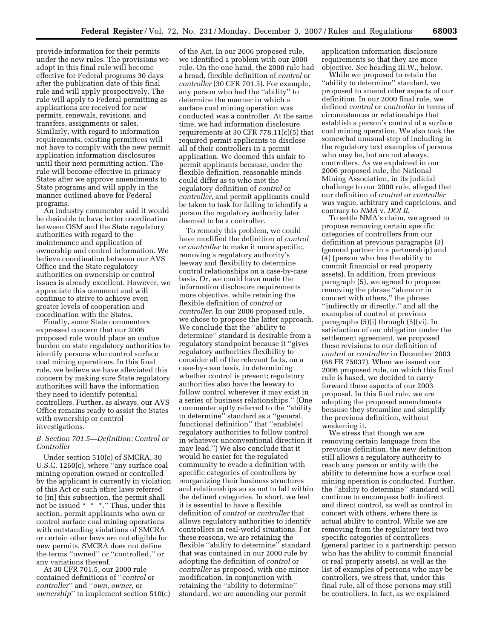provide information for their permits under the new rules. The provisions we adopt in this final rule will become effective for Federal programs 30 days after the publication date of this final rule and will apply prospectively. The rule will apply to Federal permitting as applications are received for new permits, renewals, revisions, and transfers, assignments or sales. Similarly, with regard to information requirements, existing permittees will not have to comply with the new permit application information disclosures until their next permitting action. The rule will become effective in primacy States after we approve amendments to State programs and will apply in the manner outlined above for Federal programs.

An industry commenter said it would be desirable to have better coordination between OSM and the State regulatory authorities with regard to the maintenance and application of ownership and control information. We believe coordination between our AVS Office and the State regulatory authorities on ownership or control issues is already excellent. However, we appreciate this comment and will continue to strive to achieve even greater levels of cooperation and coordination with the States.

Finally, some State commenters expressed concern that our 2006 proposed rule would place an undue burden on state regulatory authorities to identify persons who control surface coal mining operations. In this final rule, we believe we have alleviated this concern by making sure State regulatory authorities will have the information they need to identify potential controllers. Further, as always, our AVS Office remains ready to assist the States with ownership or control investigations.

# *B. Section 701.5—Definition: Control or Controller*

Under section 510(c) of SMCRA, 30 U.S.C. 1260(c), where ''any surface coal mining operation owned or controlled by the applicant is currently in violation of this Act or such other laws referred to [in] this subsection, the permit shall not be issued \* \* \*.'' Thus, under this section, permit applicants who own or control surface coal mining operations with outstanding violations of SMCRA or certain other laws are not eligible for new permits. SMCRA does not define the terms ''owned'' or ''controlled,'' or any variations thereof.

At 30 CFR 701.5, our 2000 rule contained definitions of ''*control* or *controller*'' and ''*own, owner*, or *ownership*'' to implement section 510(c)

of the Act. In our 2006 proposed rule, we identified a problem with our 2000 rule. On the one hand, the 2000 rule had a broad, flexible definition of *control* or *controller* (30 CFR 701.5). For example, any person who had the ''ability'' to determine the manner in which a surface coal mining operation was conducted was a controller. At the same time, we had information disclosure requirements at 30 CFR 778.11(c)(5) that required permit applicants to disclose all of their controllers in a permit application. We deemed this unfair to permit applicants because, under the flexible definition, reasonable minds could differ as to who met the regulatory definition of *control* or *controller*, and permit applicants could be taken to task for failing to identify a person the regulatory authority later deemed to be a controller.

To remedy this problem, we could have modified the definition of *control*  or *controller* to make it more specific, removing a regulatory authority's leeway and flexibility to determine control relationships on a case-by-case basis. Or, we could have made the information disclosure requirements more objective, while retaining the flexible definition of *control* or *controller*. In our 2006 proposed rule, we chose to propose the latter approach. We conclude that the ''ability to determine'' standard is desirable from a regulatory standpoint because it ''gives regulatory authorities flexibility to consider all of the relevant facts, on a case-by-case basis, in determining whether control is present; regulatory authorities also have the leeway to follow control wherever it may exist in a series of business relationships.'' (One commenter aptly referred to the ''ability to determine'' standard as a ''general, functional definition'' that ''enable[s] regulatory authorities to follow control in whatever unconventional direction it may lead.'') We also conclude that it would be easier for the regulated community to evade a definition with specific categories of controllers by reorganizing their business structures and relationships so as not to fall within the defined categories. In short, we feel it is essential to have a flexible definition of *control* or *controller* that allows regulatory authorities to identify controllers in real-world situations. For these reasons, we are retaining the flexible ''ability to determine'' standard that was contained in our 2000 rule by adopting the definition of *control* or *controller* as proposed, with one minor modification. In conjunction with retaining the ''ability to determine'' standard, we are amending our permit

application information disclosure requirements so that they are more objective. *See* heading III.W., below.

While we proposed to retain the ''ability to determine'' standard, we proposed to amend other aspects of our definition. In our 2000 final rule, we defined *control* or *controller* in terms of circumstances or relationships that establish a person's control of a surface coal mining operation. We also took the somewhat unusual step of including in the regulatory text examples of persons who may be, but are not always, controllers. As we explained in our 2006 proposed rule, the National Mining Association, in its judicial challenge to our 2000 rule, alleged that our definition of *control* or *controller*  was vague, arbitrary and capricious, and contrary to *NMA* v. *DOI II*.

To settle NMA's claim, we agreed to propose removing certain specific categories of controllers from our definition at previous paragraphs (3) (general partner in a partnership) and (4) (person who has the ability to commit financial or real property assets). In addition, from previous paragraph (5), we agreed to propose removing the phrase ''alone or in concert with others,'' the phrase ''indirectly or directly,'' and all the examples of control at previous paragraphs (5)(i) through (5)(vi). In satisfaction of our obligation under the settlement agreement, we proposed these revisions to our definition of *control* or *controller* in December 2003 (68 FR 75037). When we issued our 2006 proposed rule, on which this final rule is based, we decided to carry forward these aspects of our 2003 proposal. In this final rule, we are adopting the proposed amendments because they streamline and simplify the previous definition, without weakening it.

We stress that though we are removing certain language from the previous definition, the new definition still allows a regulatory authority to reach any person or entity with the ability to determine how a surface coal mining operation is conducted. Further, the ''ability to determine'' standard will continue to encompass both indirect and direct control, as well as control in concert with others, where there is actual ability to control. While we are removing from the regulatory text two specific categories of controllers (general partner in a partnership; person who has the ability to commit financial or real property assets), as well as the list of examples of persons who may be controllers, we stress that, under this final rule, all of these persons may still be controllers. In fact, as we explained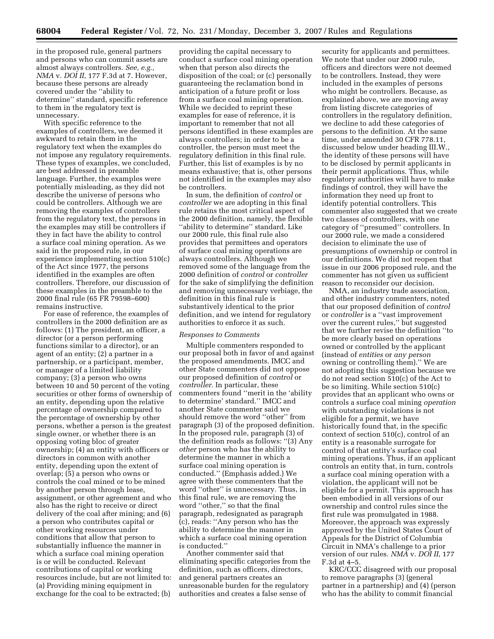in the proposed rule, general partners and persons who can commit assets are almost always controllers. *See, e.g., NMA* v. *DOI II*, 177 F.3d at 7. However, because these persons are already covered under the ''ability to determine'' standard, specific reference to them in the regulatory text is unnecessary.

With specific reference to the examples of controllers, we deemed it awkward to retain them in the regulatory text when the examples do not impose any regulatory requirements. These types of examples, we concluded, are best addressed in preamble language. Further, the examples were potentially misleading, as they did not describe the universe of persons who could be controllers. Although we are removing the examples of controllers from the regulatory text, the persons in the examples may still be controllers if they in fact have the ability to control a surface coal mining operation. As we said in the proposed rule, in our experience implementing section 510(c) of the Act since 1977, the persons identified in the examples are often controllers. Therefore, our discussion of these examples in the preamble to the 2000 final rule (65 FR 79598–600) remains instructive.

For ease of reference, the examples of controllers in the 2000 definition are as follows: (1) The president, an officer, a director (or a person performing functions similar to a director), or an agent of an entity; (2) a partner in a partnership, or a participant, member, or manager of a limited liability company; (3) a person who owns between 10 and 50 percent of the voting securities or other forms of ownership of an entity, depending upon the relative percentage of ownership compared to the percentage of ownership by other persons, whether a person is the greatest single owner, or whether there is an opposing voting bloc of greater ownership; (4) an entity with officers or directors in common with another entity, depending upon the extent of overlap; (5) a person who owns or controls the coal mined or to be mined by another person through lease, assignment, or other agreement and who also has the right to receive or direct delivery of the coal after mining; and (6) a person who contributes capital or other working resources under conditions that allow that person to substantially influence the manner in which a surface coal mining operation is or will be conducted. Relevant contributions of capital or working resources include, but are not limited to: (a) Providing mining equipment in exchange for the coal to be extracted; (b)

providing the capital necessary to conduct a surface coal mining operation when that person also directs the disposition of the coal; or (c) personally guaranteeing the reclamation bond in anticipation of a future profit or loss from a surface coal mining operation. While we decided to reprint these examples for ease of reference, it is important to remember that not all persons identified in these examples are always controllers; in order to be a controller, the person must meet the regulatory definition in this final rule. Further, this list of examples is by no means exhaustive; that is, other persons not identified in the examples may also be controllers.

In sum, the definition of *control* or *controller* we are adopting in this final rule retains the most critical aspect of the 2000 definition, namely, the flexible ''ability to determine'' standard. Like our 2000 rule, this final rule also provides that permittees and operators of surface coal mining operations are always controllers. Although we removed some of the language from the 2000 definition of *control* or *controller*  for the sake of simplifying the definition and removing unnecessary verbiage, the definition in this final rule is substantively identical to the prior definition, and we intend for regulatory authorities to enforce it as such.

#### *Responses to Comments*

Multiple commenters responded to our proposal both in favor of and against the proposed amendments. IMCC and other State commenters did not oppose our proposed definition of *control* or *controller*. In particular, these commenters found ''merit in the 'ability to determine' standard.'' IMCC and another State commenter said we should remove the word ''other'' from paragraph (3) of the proposed definition. In the proposed rule, paragraph (3) of the definition reads as follows: ''(3) Any *other* person who has the ability to determine the manner in which a surface coal mining operation is conducted.'' (Emphasis added.) We agree with these commenters that the word ''other'' is unnecessary. Thus, in this final rule, we are removing the word ''other,'' so that the final paragraph, redesignated as paragraph (c), reads: ''Any person who has the ability to determine the manner in which a surface coal mining operation is conducted.''

Another commenter said that eliminating specific categories from the definition, such as officers, directors, and general partners creates an unreasonable burden for the regulatory authorities and creates a false sense of

security for applicants and permittees. We note that under our 2000 rule, officers and directors were not deemed to be controllers. Instead, they were included in the examples of persons who might be controllers. Because, as explained above, we are moving away from listing discrete categories of controllers in the regulatory definition, we decline to add these categories of persons to the definition. At the same time, under amended 30 CFR 778.11, discussed below under heading III.W., the identity of these persons will have to be disclosed by permit applicants in their permit applications. Thus, while regulatory authorities will have to make findings of control, they will have the information they need up front to identify potential controllers. This commenter also suggested that we create two classes of controllers, with one category of ''presumed'' controllers. In our 2000 rule, we made a considered decision to eliminate the use of presumptions of ownership or control in our definitions. We did not reopen that issue in our 2006 proposed rule, and the commenter has not given us sufficient reason to reconsider our decision.

NMA, an industry trade association, and other industry commenters, noted that our proposed definition of *control*  or *controller* is a ''vast improvement over the current rules,'' but suggested that we further revise the definition ''to be more clearly based on operations owned or controlled by the applicant (instead of *entities* or *any person*  owning or controlling them).'' We are not adopting this suggestion because we do not read section 510(c) of the Act to be so limiting. While section 510(c) provides that an applicant who owns or controls a surface coal mining *operation*  with outstanding violations is not eligible for a permit, we have historically found that, in the specific context of section 510(c), control of an entity is a reasonable surrogate for control of that entity's surface coal mining operations. Thus, if an applicant controls an entity that, in turn, controls a surface coal mining operation with a violation, the applicant will not be eligible for a permit. This approach has been embodied in all versions of our ownership and control rules since the first rule was promulgated in 1988. Moreover, the approach was expressly approved by the United States Court of Appeals for the District of Columbia Circuit in NMA's challenge to a prior version of our rules. *NMA* v. *DOI II*, 177 F.3d at 4–5.

KRC/CCC disagreed with our proposal to remove paragraphs (3) (general partner in a partnership) and (4) (person who has the ability to commit financial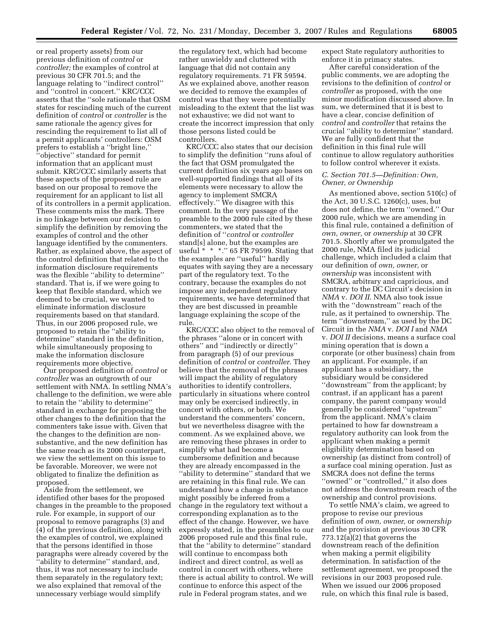or real property assets) from our previous definition of *control* or *controller;* the examples of control at previous 30 CFR 701.5; and the language relating to ''indirect control'' and ''control in concert.'' KRC/CCC asserts that the ''sole rationale that OSM states for rescinding much of the current definition of *control* or *controller* is the same rationale the agency gives for rescinding the requirement to list all of a permit applicants' controllers: OSM prefers to establish a ''bright line,'' ''objective'' standard for permit information that an applicant must submit. KRC/CCC similarly asserts that these aspects of the proposed rule are based on our proposal to remove the requirement for an applicant to list all of its controllers in a permit application. These comments miss the mark. There is no linkage between our decision to simplify the definition by removing the examples of control and the other language identified by the commenters. Rather, as explained above, the aspect of the control definition that related to the information disclosure requirements was the flexible ''ability to determine'' standard. That is, if we were going to keep that flexible standard, which we deemed to be crucial, we wanted to eliminate information disclosure requirements based on that standard. Thus, in our 2006 proposed rule, we proposed to retain the ''ability to determine'' standard in the definition, while simultaneously proposing to make the information disclosure requirements more objective.

Our proposed definition of *control* or *controller* was an outgrowth of our settlement with NMA. In settling NMA's challenge to the definition, we were able to retain the ''ability to determine'' standard in exchange for proposing the other changes to the definition that the commenters take issue with. Given that the changes to the definition are nonsubstantive, and the new definition has the same reach as its 2000 counterpart, we view the settlement on this issue to be favorable. Moreover, we were not obligated to finalize the definition as proposed.

Aside from the settlement, we identified other bases for the proposed changes in the preamble to the proposed rule. For example, in support of our proposal to remove paragraphs (3) and (4) of the previous definition, along with the examples of control, we explained that the persons identified in those paragraphs were already covered by the ''ability to determine'' standard, and, thus, it was not necessary to include them separately in the regulatory text; we also explained that removal of the unnecessary verbiage would simplify

the regulatory text, which had become rather unwieldy and cluttered with language that did not contain any regulatory requirements. 71 FR 59594. As we explained above, another reason we decided to remove the examples of control was that they were potentially misleading to the extent that the list was not exhaustive; we did not want to create the incorrect impression that only those persons listed could be controllers.

KRC/CCC also states that our decision to simplify the definition ''runs afoul of the fact that OSM promulgated the current definition six years ago bases on well-supported findings that all of its elements were necessary to allow the agency to implement SMCRA effectively.'' We disagree with this comment. In the very passage of the preamble to the 2000 rule cited by these commenters, we stated that the definition of ''*control* or *controller*  stand[s] alone, but the examples are useful \* \* \*.'' 65 FR 79599. Stating that the examples are ''useful'' hardly equates with saying they are a necessary part of the regulatory text. To the contrary, because the examples do not impose any independent regulatory requirements, we have determined that they are best discussed in preamble language explaining the scope of the rule.

KRC/CCC also object to the removal of the phrases ''alone or in concert with others'' and ''indirectly or directly'' from paragraph (5) of our previous definition of *control* or *controller*. They believe that the removal of the phrases will impact the ability of regulatory authorities to identify controllers, particularly in situations where control may only be exercised indirectly, in concert with others, or both. We understand the commenters' concern, but we nevertheless disagree with the comment. As we explained above, we are removing these phrases in order to simplify what had become a cumbersome definition and because they are already encompassed in the ''ability to determine'' standard that we are retaining in this final rule. We can understand how a change in substance might possibly be inferred from a change in the regulatory text without a corresponding explanation as to the effect of the change. However, we have expressly stated, in the preambles to our 2006 proposed rule and this final rule, that the ''ability to determine'' standard will continue to encompass both indirect and direct control, as well as control in concert with others, where there is actual ability to control. We will continue to enforce this aspect of the rule in Federal program states, and we

expect State regulatory authorities to enforce it in primacy states.

After careful consideration of the public comments, we are adopting the revisions to the definition of *control* or *controller* as proposed, with the one minor modification discussed above. In sum, we determined that it is best to have a clear, concise definition of *control* and *controller* that retains the crucial ''ability to determine'' standard. We are fully confident that the definition in this final rule will continue to allow regulatory authorities to follow control wherever it exists.

# *C. Section 701.5—Definition: Own, Owner, or Ownership*

As mentioned above, section 510(c) of the Act, 30 U.S.C. 1260(c), uses, but does not define, the term ''owned.'' Our 2000 rule, which we are amending in this final rule, contained a definition of *own, owner,* or *ownership* at 30 CFR 701.5. Shortly after we promulgated the 2000 rule, NMA filed its judicial challenge, which included a claim that our definition of *own, owner,* or *ownership* was inconsistent with SMCRA, arbitrary and capricious, and contrary to the DC Circuit's decision in *NMA* v. *DOI II*. NMA also took issue with the ''downstream'' reach of the rule, as it pertained to ownership. The term ''downstream,'' as used by the DC Circuit in the *NMA* v. *DOI I* and *NMA*  v. *DOI II* decisions, means a surface coal mining operation that is down a corporate (or other business) chain from an applicant. For example, if an applicant has a subsidiary, the subsidiary would be considered ''downstream'' from the applicant; by contrast, if an applicant has a parent company, the parent company would generally be considered ''upstream'' from the applicant. NMA's claim pertained to how far downstream a regulatory authority can look from the applicant when making a permit eligibility determination based on ownership (as distinct from control) of a surface coal mining operation. Just as SMCRA does not define the terms ''owned'' or ''controlled,'' it also does not address the downstream reach of the ownership and control provisions.

To settle NMA's claim, we agreed to propose to revise our previous definition of *own, owner,* or *ownership*  and the provision at previous 30 CFR 773.12(a)(2) that governs the downstream reach of the definition when making a permit eligibility determination. In satisfaction of the settlement agreement, we proposed the revisions in our 2003 proposed rule. When we issued our 2006 proposed rule, on which this final rule is based,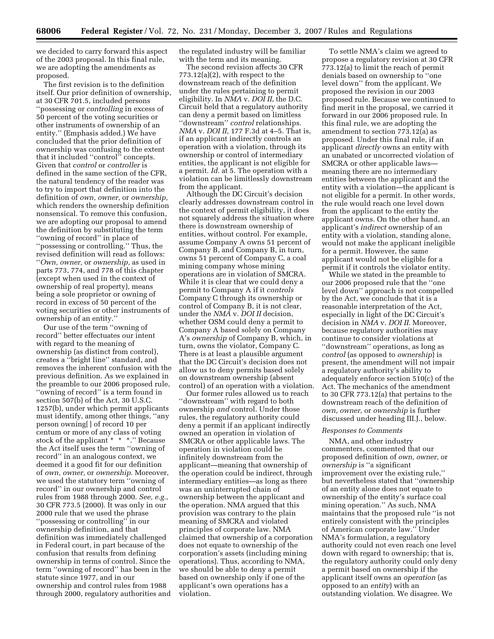we decided to carry forward this aspect of the 2003 proposal. In this final rule, we are adopting the amendments as proposed.

The first revision is to the definition itself. Our prior definition of ownership, at 30 CFR 701.5, included persons ''possessing or *controlling* in excess of 50 percent of the voting securities or other instruments of ownership of an entity.'' (Emphasis added.) We have concluded that the prior definition of ownership was confusing to the extent that it included ''control'' concepts. Given that *control* or *controller* is defined in the same section of the CFR, the natural tendency of the reader was to try to import that definition into the definition of *own, owner,* or *ownership,*  which renders the ownership definition nonsensical. To remove this confusion, we are adopting our proposal to amend the definition by substituting the term ''owning of record'' in place of ''possessing or controlling.'' Thus, the revised definition will read as follows: ''*Own, owner,* or *ownership,* as used in parts 773, 774, and 778 of this chapter (except when used in the context of ownership of real property), means being a sole proprietor or owning of record in excess of 50 percent of the voting securities or other instruments of ownership of an entity.''

Our use of the term ''owning of record'' better effectuates our intent with regard to the meaning of ownership (as distinct from control), creates a ''bright line'' standard, and removes the inherent confusion with the previous definition. As we explained in the preamble to our 2006 proposed rule, ''owning of record'' is a term found in section 507(b) of the Act, 30 U.S.C. 1257(b), under which permit applicants must identify, among other things, ''any person owning[ ] of record 10 per centum or more of any class of voting stock of the applicant \* \* \*.'' Because the Act itself uses the term ''owning of record'' in an analogous context, we deemed it a good fit for our definition of *own, owner,* or *ownership.* Moreover, we used the statutory term ''owning of record'' in our ownership and control rules from 1988 through 2000. *See, e.g.*, 30 CFR 773.5 (2000). It was only in our 2000 rule that we used the phrase ''possessing or controlling'' in our ownership definition, and that definition was immediately challenged in Federal court, in part because of the confusion that results from defining ownership in terms of control. Since the term ''owning of record'' has been in the statute since 1977, and in our ownership and control rules from 1988 through 2000, regulatory authorities and

the regulated industry will be familiar with the term and its meaning.

The second revision affects 30 CFR 773.12(a)(2), with respect to the downstream reach of the definition under the rules pertaining to permit eligibility. In *NMA* v. *DOI II*, the D.C. Circuit held that a regulatory authority can deny a permit based on limitless ''downstream'' *control* relationships. *NMA* v. *DOI II,* 177 F.3d at 4–5. That is, if an applicant indirectly controls an operation with a violation, through its ownership or control of intermediary entities, the applicant is not eligible for a permit. *Id*. at 5. The operation with a violation can be limitlessly downstream from the applicant.

Although the DC Circuit's decision clearly addresses downstream control in the context of permit eligibility, it does not squarely address the situation where there is downstream ownership of entities, without control. For example, assume Company A owns 51 percent of Company B, and Company B, in turn, owns 51 percent of Company C, a coal mining company whose mining operations are in violation of SMCRA. While it is clear that we could deny a permit to Company A if it *controls*  Company C through its ownership or control of Company B, it is not clear, under the *NMA* v. *DOI II* decision, whether OSM could deny a permit to Company A based solely on Company A's *ownership* of Company B, which, in turn, owns the violator, Company C. There is at least a plausible argument that the DC Circuit's decision does not allow us to deny permits based solely on downstream ownership (absent control) of an operation with a violation.

Our former rules allowed us to reach ''downstream'' with regard to both ownership *and* control. Under those rules, the regulatory authority could deny a permit if an applicant indirectly owned an operation in violation of SMCRA or other applicable laws. The operation in violation could be infinitely downstream from the applicant—meaning that ownership of the operation could be indirect, through intermediary entities—as long as there was an uninterrupted chain of ownership between the applicant and the operation. NMA argued that this provision was contrary to the plain meaning of SMCRA and violated principles of corporate law. NMA claimed that ownership of a corporation does not equate to ownership of the corporation's assets (including mining operations). Thus, according to NMA, we should be able to deny a permit based on ownership only if one of the applicant's own operations has a violation.

To settle NMA's claim we agreed to propose a regulatory revision at 30 CFR 773.12(a) to limit the reach of permit denials based on ownership to ''one level down'' from the applicant. We proposed the revision in our 2003 proposed rule. Because we continued to find merit in the proposal, we carried it forward in our 2006 proposed rule. In this final rule, we are adopting the amendment to section 773.12(a) as proposed. Under this final rule, if an applicant *directly* owns an entity with an unabated or uncorrected violation of SMCRA or other applicable laws meaning there are no intermediary entities between the applicant and the entity with a violation—the applicant is not eligible for a permit. In other words, the rule would reach one level down from the applicant to the entity the applicant owns. On the other hand, an applicant's *indirect* ownership of an entity with a violation, standing alone, would not make the applicant ineligible for a permit. However, the same applicant would not be eligible for a permit if it controls the violator entity.

While we stated in the preamble to our 2006 proposed rule that the ''one level down'' approach is not compelled by the Act, we conclude that it is a reasonable interpretation of the Act, especially in light of the DC Circuit's decision in *NMA* v. *DOI II*. Moreover, because regulatory authorities may continue to consider violations at ''downstream'' operations, as long as *control* (as opposed to *ownership*) is present, the amendment will not impair a regulatory authority's ability to adequately enforce section 510(c) of the Act. The mechanics of the amendment to 30 CFR 773.12(a) that pertains to the downstream reach of the definition of *own, owner,* or *ownership* is further discussed under heading III.J., below.

#### *Responses to Comments*

NMA, and other industry commenters, commented that our proposed definition of *own, owner,* or *ownership* is ''a significant improvement over the existing rule,'' but nevertheless stated that ''ownership of an entity alone does not equate to ownership of the entity's surface coal mining operation.'' As such, NMA maintains that the proposed rule ''is not entirely consistent with the principles of American corporate law.'' Under NMA's formulation, a regulatory authority could not even reach one level down with regard to ownership; that is, the regulatory authority could only deny a permit based on ownership if the applicant itself owns an *operation* (as opposed to an *entity*) with an outstanding violation. We disagree. We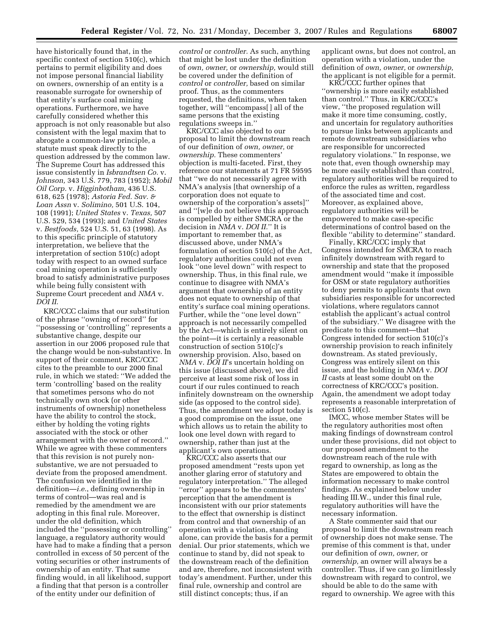have historically found that, in the specific context of section 510(c), which pertains to permit eligibility and does not impose personal financial liability on owners, ownership of an entity is a reasonable surrogate for ownership of that entity's surface coal mining operations. Furthermore, we have carefully considered whether this approach is not only reasonable but also consistent with the legal maxim that to abrogate a common-law principle, a statute must speak directly to the question addressed by the common law. The Supreme Court has addressed this issue consistently in *Isbrandtsen Co.* v. *Johnson,* 343 U.S. 779, 783 (1952); *Mobil Oil Corp.* v. *Higginbotham,* 436 U.S. 618, 625 (1978); *Astoria Fed. Sav. & Loan Assn* v. *Solimino,* 501 U.S. 104, 108 (1991); *United States* v. *Texas,* 507 U.S. 529, 534 (1993); and *United States*  v. *Bestfoods,* 524 U.S. 51, 63 (1998). As to this specific principle of statutory interpretation, we believe that the interpretation of section 510(c) adopt today with respect to an owned surface coal mining operation is sufficiently broad to satisfy administrative purposes while being fully consistent with Supreme Court precedent and *NMA* v. *DOI II.* 

KRC/CCC claims that our substitution of the phrase ''owning of record'' for ''possessing or 'controlling'' represents a substantive change, despite our assertion in our 2006 proposed rule that the change would be non-substantive. In support of their comment, KRC/CCC cites to the preamble to our 2000 final rule, in which we stated: ''We added the term 'controlling' based on the reality that sometimes persons who do not technically own stock (or other instruments of ownership) nonetheless have the ability to control the stock, either by holding the voting rights associated with the stock or other arrangement with the owner of record.'' While we agree with these commenters that this revision is not purely nonsubstantive, we are not persuaded to deviate from the proposed amendment. The confusion we identified in the definition—*i.e.*, defining ownership in terms of control—was real and is remedied by the amendment we are adopting in this final rule. Moreover, under the old definition, which included the ''possessing or controlling'' language, a regulatory authority would have had to make a finding that a person controlled in excess of 50 percent of the voting securities or other instruments of ownership of an entity. That same finding would, in all likelihood, support a finding that that person is a controller of the entity under our definition of

*control* or *controller.* As such, anything that might be lost under the definition of *own, owner,* or *ownership,* would still be covered under the definition of *control* or *controller,* based on similar proof. Thus, as the commenters requested, the definitions, when taken together, will ''encompass[ ] all of the same persons that the existing regulations sweeps in.''

KRC/CCC also objected to our proposal to limit the downstream reach of our definition of *own, owner,* or *ownership.* These commenters' objection is multi-faceted. First, they reference our statements at 71 FR 59595 that ''we do not necessarily agree with NMA's analysis [that ownership of a corporation does not equate to ownership of the corporation's assets]'' and ''[w]e do not believe this approach is compelled by either SMCRA or the decision in *NMA* v. *DOI II.*'' It is important to remember that, as discussed above, under NMA's formulation of section 510(c) of the Act, regulatory authorities could not even look ''one level down'' with respect to ownership. Thus, in this final rule, we continue to disagree with NMA's argument that ownership of an entity does not equate to ownership of that entity's surface coal mining operations. Further, while the ''one level down'' approach is not necessarily compelled by the Act—which is entirely silent on the point—it is certainly a reasonable construction of section 510(c)'s ownership provision. Also, based on *NMA* v. *DOI II*'s uncertain holding on this issue (discussed above), we did perceive at least some risk of loss in court if our rules continued to reach infinitely downstream on the ownership side (as opposed to the control side). Thus, the amendment we adopt today is a good compromise on the issue, one which allows us to retain the ability to look one level down with regard to ownership, rather than just at the applicant's own operations.

KRC/CCC also asserts that our proposed amendment ''rests upon yet another glaring error of statutory and regulatory interpretation.'' The alleged ''error'' appears to be the commenters' perception that the amendment is inconsistent with our prior statements to the effect that ownership is distinct from control and that ownership of an operation with a violation, standing alone, can provide the basis for a permit denial. Our prior statements, which we continue to stand by, did not speak to the downstream reach of the definition and are, therefore, not inconsistent with today's amendment. Further, under this final rule, ownership and control are still distinct concepts; thus, if an

applicant owns, but does not control, an operation with a violation, under the definition of *own, owner,* or *ownership,*  the applicant is not eligible for a permit.

KRC/CCC further opines that ''ownership is more easily established than control.'' Thus, in KRC/CCC's view, ''the proposed regulation will make it more time consuming, costly, and uncertain for regulatory authorities to pursue links between applicants and remote downstream subsidiaries who are responsible for uncorrected regulatory violations.'' In response, we note that, even though ownership may be more easily established than control, regulatory authorities will be required to enforce the rules as written, regardless of the associated time and cost. Moreover, as explained above, regulatory authorities will be empowered to make case-specific determinations of control based on the flexible "ability to determine" standard.

Finally, KRC/CCC imply that Congress intended for SMCRA to reach infinitely downstream with regard to ownership and state that the proposed amendment would ''make it impossible for OSM or state regulatory authorities to deny permits to applicants that own subsidiaries responsible for uncorrected violations, where regulators cannot establish the applicant's actual control of the subsidiary.'' We disagree with the predicate to this comment—that Congress intended for section 510(c)'s ownership provision to reach infinitely downstream. As stated previously, Congress was entirely silent on this issue, and the holding in *NMA* v. *DOI II* casts at least some doubt on the correctness of KRC/CCC's position. Again, the amendment we adopt today represents a reasonable interpretation of section 510(c).

IMCC, whose member States will be the regulatory authorities most often making findings of downstream control under these provisions, did not object to our proposed amendment to the downstream reach of the rule with regard to ownership, as long as the States are empowered to obtain the information necessary to make control findings. As explained below under heading III.W., under this final rule, regulatory authorities will have the necessary information.

A State commenter said that our proposal to limit the downstream reach of ownership does not make sense. The premise of this comment is that, under our definition of *own, owner,* or *ownership,* an owner will always be a controller. Thus, if we can go limitlessly downstream with regard to control, we should be able to do the same with regard to ownership. We agree with this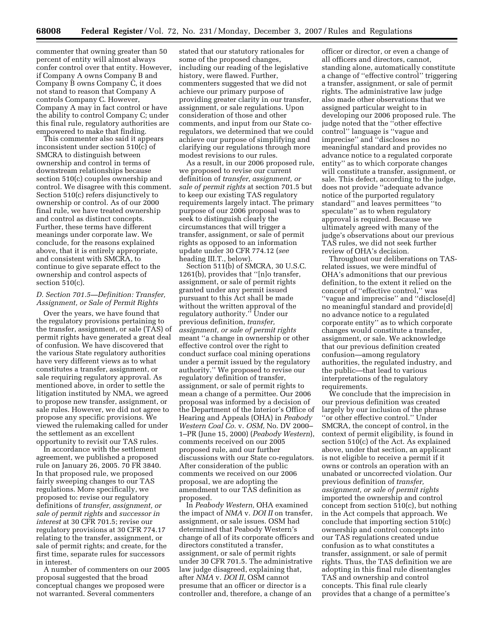commenter that owning greater than 50 percent of entity will almost always confer control over that entity. However, if Company A owns Company B and Company B owns Company C, it does not stand to reason that Company A controls Company C. However, Company A may in fact control or have the ability to control Company C; under this final rule, regulatory authorities are empowered to make that finding.

This commenter also said it appears inconsistent under section 510(c) of SMCRA to distinguish between ownership and control in terms of downstream relationships because section 510(c) couples ownership and control. We disagree with this comment. Section 510(c) refers disjunctively to ownership or control. As of our 2000 final rule, we have treated ownership and control as distinct concepts. Further, these terms have different meanings under corporate law. We conclude, for the reasons explained above, that it is entirely appropriate, and consistent with SMCRA, to continue to give separate effect to the ownership and control aspects of section 510(c).

# *D. Section 701.5—Definition: Transfer, Assignment, or Sale of Permit Rights*

Over the years, we have found that the regulatory provisions pertaining to the transfer, assignment, or sale (TAS) of permit rights have generated a great deal of confusion. We have discovered that the various State regulatory authorities have very different views as to what constitutes a transfer, assignment, or sale requiring regulatory approval. As mentioned above, in order to settle the litigation instituted by NMA, we agreed to propose new transfer, assignment, or sale rules. However, we did not agree to propose any specific provisions. We viewed the rulemaking called for under the settlement as an excellent opportunity to revisit our TAS rules.

In accordance with the settlement agreement, we published a proposed rule on January 26, 2005. 70 FR 3840. In that proposed rule, we proposed fairly sweeping changes to our TAS regulations. More specifically, we proposed to: revise our regulatory definitions of *transfer, assignment, or sale of permit rights* and *successor in interest* at 30 CFR 701.5; revise our regulatory provisions at 30 CFR 774.17 relating to the transfer, assignment, or sale of permit rights; and create, for the first time, separate rules for successors in interest.

A number of commenters on our 2005 proposal suggested that the broad conceptual changes we proposed were not warranted. Several commenters

stated that our statutory rationales for some of the proposed changes, including our reading of the legislative history, were flawed. Further, commenters suggested that we did not achieve our primary purpose of providing greater clarity in our transfer, assignment, or sale regulations. Upon consideration of those and other comments, and input from our State coregulators, we determined that we could achieve our purpose of simplifying and clarifying our regulations through more modest revisions to our rules.

As a result, in our 2006 proposed rule, we proposed to revise our current definition of *transfer, assignment, or sale of permit rights* at section 701.5 but to keep our existing TAS regulatory requirements largely intact. The primary purpose of our 2006 proposal was to seek to distinguish clearly the circumstances that will trigger a transfer, assignment, or sale of permit rights as opposed to an information update under 30 CFR 774.12 (*see*  heading III.T., below).

Section 511(b) of SMCRA, 30 U.S.C. 1261(b), provides that ''[n]o transfer, assignment, or sale of permit rights granted under any permit issued pursuant to this Act shall be made without the written approval of the regulatory authority." Under our previous definition, *transfer, assignment, or sale of permit rights*  meant ''a change in ownership or other effective control over the right to conduct surface coal mining operations under a permit issued by the regulatory authority.'' We proposed to revise our regulatory definition of transfer, assignment, or sale of permit rights to mean a change of a permittee. Our 2006 proposal was informed by a decision of the Department of the Interior's Office of Hearing and Appeals (OHA) in *Peabody Western Coal Co.* v. *OSM,* No. DV 2000– 1–PR (June 15, 2000) (*Peabody Western*), comments received on our 2005 proposed rule, and our further discussions with our State co-regulators. After consideration of the public comments we received on our 2006 proposal, we are adopting the amendment to our TAS definition as proposed.

In *Peabody Western,* OHA examined the impact of *NMA* v. *DOI II* on transfer, assignment, or sale issues. OSM had determined that Peabody Western's change of all of its corporate officers and directors constituted a transfer, assignment, or sale of permit rights under 30 CFR 701.5. The administrative law judge disagreed, explaining that, after *NMA* v. *DOI II*, OSM cannot presume that an officer or director is a controller and, therefore, a change of an

officer or director, or even a change of all officers and directors, cannot, standing alone, automatically constitute a change of ''effective control'' triggering a transfer, assignment, or sale of permit rights. The administrative law judge also made other observations that we assigned particular weight to in developing our 2006 proposed rule. The judge noted that the ''other effective control'' language is ''vague and imprecise'' and ''discloses no meaningful standard and provides no advance notice to a regulated corporate entity'' as to which corporate changes will constitute a transfer, assignment, or sale. This defect, according to the judge, does not provide ''adequate advance notice of the purported regulatory standard'' and leaves permittees ''to speculate'' as to when regulatory approval is required. Because we ultimately agreed with many of the judge's observations about our previous TAS rules, we did not seek further review of OHA's decision.

Throughout our deliberations on TASrelated issues, we were mindful of OHA's admonitions that our previous definition, to the extent it relied on the concept of ''effective control,'' was ''vague and imprecise'' and ''disclose[d] no meaningful standard and provide[d] no advance notice to a regulated corporate entity'' as to which corporate changes would constitute a transfer, assignment, or sale. We acknowledge that our previous definition created confusion—among regulatory authorities, the regulated industry, and the public—that lead to various interpretations of the regulatory requirements.

We conclude that the imprecision in our previous definition was created largely by our inclusion of the phrase ''or other effective control.'' Under SMCRA, the concept of control, in the context of permit eligibility, is found in section 510(c) of the Act. As explained above, under that section, an applicant is not eligible to receive a permit if it owns or controls an operation with an unabated or uncorrected violation. Our previous definition of *transfer, assignment, or sale of permit rights*  imported the ownership and control concept from section 510(c), but nothing in the Act compels that approach. We conclude that importing section 510(c) ownership and control concepts into our TAS regulations created undue confusion as to what constitutes a transfer, assignment, or sale of permit rights. Thus, the TAS definition we are adopting in this final rule disentangles TAS and ownership and control concepts. This final rule clearly provides that a change of a permittee's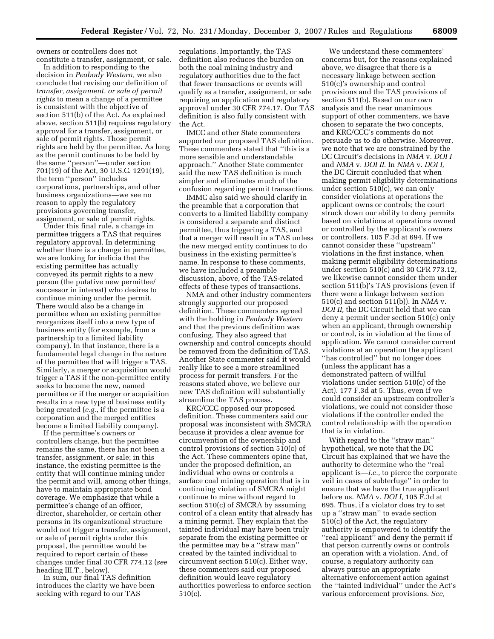owners or controllers does not constitute a transfer, assignment, or sale.

In addition to responding to the decision in *Peabody Western,* we also conclude that revising our definition of *transfer, assignment, or sale of permit rights* to mean a change of a permittee is consistent with the objective of section 511(b) of the Act. As explained above, section 511(b) requires regulatory approval for a transfer, assignment, or sale of permit rights. Those permit rights are held by the permittee. As long as the permit continues to be held by the same ''person''—under section 701(19) of the Act, 30 U.S.C. 1291(19), the term ''person'' includes corporations, partnerships, and other business organizations—we see no reason to apply the regulatory provisions governing transfer, assignment, or sale of permit rights.

Under this final rule, a change in permittee triggers a TAS that requires regulatory approval. In determining whether there is a change in permittee, we are looking for indicia that the existing permittee has actually conveyed its permit rights to a new person (the putative new permittee/ successor in interest) who desires to continue mining under the permit. There would also be a change in permittee when an existing permittee reorganizes itself into a new type of business entity (for example, from a partnership to a limited liability company). In that instance, there is a fundamental legal change in the nature of the permittee that will trigger a TAS. Similarly, a merger or acquisition would trigger a TAS if the non-permittee entity seeks to become the new, named permittee or if the merger or acquisition results in a new type of business entity being created (*e.g.*, if the permittee is a corporation and the merged entities become a limited liability company).

If the permittee's owners or controllers change, but the permittee remains the same, there has not been a transfer, assignment, or sale; in this instance, the existing permittee is the entity that will continue mining under the permit and will, among other things, have to maintain appropriate bond coverage. We emphasize that while a permittee's change of an officer, director, shareholder, or certain other persons in its organizational structure would not trigger a transfer, assignment, or sale of permit rights under this proposal, the permittee would be required to report certain of these changes under final 30 CFR 774.12 (*see*  heading III.T., below).

In sum, our final TAS definition introduces the clarity we have been seeking with regard to our TAS

regulations. Importantly, the TAS definition also reduces the burden on both the coal mining industry and regulatory authorities due to the fact that fewer transactions or events will qualify as a transfer, assignment, or sale requiring an application and regulatory approval under 30 CFR 774.17. Our TAS definition is also fully consistent with the Act.

IMCC and other State commenters supported our proposed TAS definition. These commenters stated that ''this is a more sensible and understandable approach.'' Another State commenter said the new TAS definition is much simpler and eliminates much of the confusion regarding permit transactions.

IMMC also said we should clarify in the preamble that a corporation that converts to a limited liability company is considered a separate and distinct permittee, thus triggering a TAS, and that a merger will result in a TAS unless the new merged entity continues to do business in the existing permittee's name. In response to these comments, we have included a preamble discussion, above, of the TAS-related effects of these types of transactions.

NMA and other industry commenters strongly supported our proposed definition. These commenters agreed with the holding in *Peabody Western*  and that the previous definition was confusing. They also agreed that ownership and control concepts should be removed from the definition of TAS. Another State commenter said it would really like to see a more streamlined process for permit transfers. For the reasons stated above, we believe our new TAS definition will substantially streamline the TAS process.

KRC/CCC opposed our proposed definition. These commenters said our proposal was inconsistent with SMCRA because it provides a clear avenue for circumvention of the ownership and control provisions of section 510(c) of the Act. These commenters opine that, under the proposed definition, an individual who owns or controls a surface coal mining operation that is in continuing violation of SMCRA might continue to mine without regard to section 510(c) of SMCRA by assuming control of a clean entity that already has a mining permit. They explain that the tainted individual may have been truly separate from the existing permittee or the permittee may be a ''straw man'' created by the tainted individual to circumvent section 510(c). Either way, these commenters said our proposed definition would leave regulatory authorities powerless to enforce section 510(c).

We understand these commenters' concerns but, for the reasons explained above, we disagree that there is a necessary linkage between section 510(c)'s ownership and control provisions and the TAS provisions of section 511(b). Based on our own analysis and the near unanimous support of other commenters, we have chosen to separate the two concepts, and KRC/CCC's comments do not persuade us to do otherwise. Moreover, we note that we are constrained by the DC Circuit's decisions in *NMA* v. *DOI I*  and *NMA* v. *DOI II*. In *NMA* v. *DOI I,*  the DC Circuit concluded that when making permit eligibility determinations under section 510(c), we can only consider violations at operations the applicant owns or controls; the court struck down our ability to deny permits based on violations at operations owned or controlled by the applicant's owners or controllers. 105 F.3d at 694. If we cannot consider these ''upstream'' violations in the first instance, when making permit eligibility determinations under section 510(c) and 30 CFR 773.12, we likewise cannot consider them under section 511(b)'s TAS provisions (even if there were a linkage between section 510(c) and section 511(b)). In *NMA* v. *DOI II,* the DC Circuit held that we can deny a permit under section 510(c) only when an applicant, through ownership or control, is in violation at the time of application. We cannot consider current violations at an operation the applicant ''has controlled'' but no longer does (unless the applicant has a demonstrated pattern of willful violations under section 510(c) of the Act). 177 F.3d at 5. Thus, even if we could consider an upstream controller's violations, we could not consider those violations if the controller ended the control relationship with the operation that is in violation.

With regard to the ''straw man'' hypothetical, we note that the DC Circuit has explained that we have the authority to determine who the ''real applicant is—*i.e.,* to pierce the corporate veil in cases of subterfuge'' in order to ensure that we have the true applicant before us. *NMA* v. *DOI I,* 105 F.3d at 695. Thus, if a violator does try to set up a ''straw man'' to evade section 510(c) of the Act, the regulatory authority is empowered to identify the ''real applicant'' and deny the permit if that person currently owns or controls an operation with a violation. And, of course, a regulatory authority can always pursue an appropriate alternative enforcement action against the ''tainted individual'' under the Act's various enforcement provisions. *See,*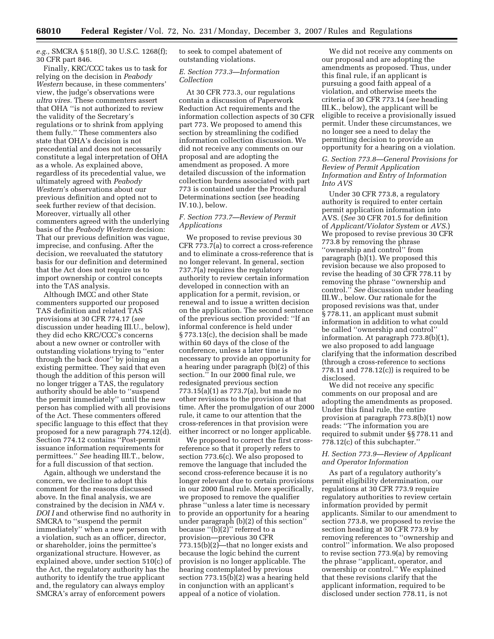*e.g.,* SMCRA § 518(f), 30 U.S.C. 1268(f); 30 CFR part 846.

Finally, KRC/CCC takes us to task for relying on the decision in *Peabody Western* because, in these commenters' view, the judge's observations were *ultra vires.* These commenters assert that OHA ''is not authorized to review the validity of the Secretary's regulations or to shrink from applying them fully.'' These commenters also state that OHA's decision is not precedential and does not necessarily constitute a legal interpretation of OHA as a whole. As explained above, regardless of its precedential value, we ultimately agreed with *Peabody Western*'s observations about our previous definition and opted not to seek further review of that decision. Moreover, virtually all other commenters agreed with the underlying basis of the *Peabody Western* decision: That our previous definition was vague, imprecise, and confusing. After the decision, we reevaluated the statutory basis for our definition and determined that the Act does not require us to import ownership or control concepts into the TAS analysis.

Although IMCC and other State commenters supported our proposed TAS definition and related TAS provisions at 30 CFR 774.17 (*see*  discussion under heading III.U., below), they did echo KRC/CCC's concerns about a new owner or controller with outstanding violations trying to ''enter through the back door'' by joining an existing permittee. They said that even though the addition of this person will no longer trigger a TAS, the regulatory authority should be able to ''suspend the permit immediately'' until the new person has complied with all provisions of the Act. These commenters offered specific language to this effect that they proposed for a new paragraph 774.12(d). Section 774.12 contains ''Post-permit issuance information requirements for permittees.'' *See* heading III.T., below, for a full discussion of that section.

Again, although we understand the concern, we decline to adopt this comment for the reasons discussed above. In the final analysis, we are constrained by the decision in *NMA* v. *DOI I* and otherwise find no authority in SMCRA to ''suspend the permit immediately'' when a new person with a violation, such as an officer, director, or shareholder, joins the permittee's organizational structure. However, as explained above, under section 510(c) of the Act, the regulatory authority has the authority to identify the true applicant and, the regulatory can always employ SMCRA's array of enforcement powers

to seek to compel abatement of outstanding violations.

#### *E. Section 773.3—Information Collection*

At 30 CFR 773.3, our regulations contain a discussion of Paperwork Reduction Act requirements and the information collection aspects of 30 CFR part 773. We proposed to amend this section by streamlining the codified information collection discussion. We did not receive any comments on our proposal and are adopting the amendment as proposed. A more detailed discussion of the information collection burdens associated with part 773 is contained under the Procedural Determinations section (*see* heading IV.10.), below.

# *F. Section 773.7—Review of Permit Applications*

We proposed to revise previous 30 CFR 773.7(a) to correct a cross-reference and to eliminate a cross-reference that is no longer relevant. In general, section 737.7(a) requires the regulatory authority to review certain information developed in connection with an application for a permit, revision, or renewal and to issue a written decision on the application. The second sentence of the previous section provided: ''If an informal conference is held under § 773.13(c), the decision shall be made within 60 days of the close of the conference, unless a later time is necessary to provide an opportunity for a hearing under paragraph (b)(2) of this section.'' In our 2000 final rule, we redesignated previous section 773.15(a)(1) as 773.7(a), but made no other revisions to the provision at that time. After the promulgation of our 2000 rule, it came to our attention that the cross-references in that provision were either incorrect or no longer applicable.

We proposed to correct the first crossreference so that it properly refers to section 773.6(c). We also proposed to remove the language that included the second cross-reference because it is no longer relevant due to certain provisions in our 2000 final rule. More specifically, we proposed to remove the qualifier phrase ''unless a later time is necessary to provide an opportunity for a hearing under paragraph (b)(2) of this section'' because ''(b)(2)'' referred to a provision—previous 30 CFR  $773.15(b)(2)$ —that no longer exists and because the logic behind the current provision is no longer applicable. The hearing contemplated by previous section 773.15(b)(2) was a hearing held in conjunction with an applicant's appeal of a notice of violation.

We did not receive any comments on our proposal and are adopting the amendments as proposed. Thus, under this final rule, if an applicant is pursuing a good faith appeal of a violation, and otherwise meets the criteria of 30 CFR 773.14 (*see* heading III.K., below), the applicant will be eligible to receive a provisionally issued permit. Under these circumstances, we no longer see a need to delay the permitting decision to provide an opportunity for a hearing on a violation.

# *G. Section 773.8—General Provisions for Review of Permit Application Information and Entry of Information Into AVS*

Under 30 CFR 773.8, a regulatory authority is required to enter certain permit application information into AVS. (*See* 30 CFR 701.5 for definition of *Applicant/Violator System* or *AVS*.) We proposed to revise previous 30 CFR 773.8 by removing the phrase ''ownership and control'' from paragraph (b)(1). We proposed this revision because we also proposed to revise the heading of 30 CFR 778.11 by removing the phrase ''ownership and control.'' *See* discussion under heading III.W., below. Our rationale for the proposed revisions was that, under § 778.11, an applicant must submit information in addition to what could be called ''ownership and control'' information. At paragraph 773.8(b)(1), we also proposed to add language clarifying that the information described (through a cross-reference to sections 778.11 and 778.12(c)) is required to be disclosed.

We did not receive any specific comments on our proposal and are adopting the amendments as proposed. Under this final rule, the entire provision at paragraph 773.8(b)(1) now reads: ''The information you are required to submit under §§ 778.11 and 778.12(c) of this subchapter.''

# *H. Section 773.9—Review of Applicant and Operator Information*

As part of a regulatory authority's permit eligibility determination, our regulations at 30 CFR 773.9 require regulatory authorities to review certain information provided by permit applicants. Similar to our amendment to section 773.8, we proposed to revise the section heading at 30 CFR 773.9 by removing references to ''ownership and control'' information. We also proposed to revise section 773.9(a) by removing the phrase ''applicant, operator, and ownership or control.'' We explained that these revisions clarify that the applicant information, required to be disclosed under section 778.11, is not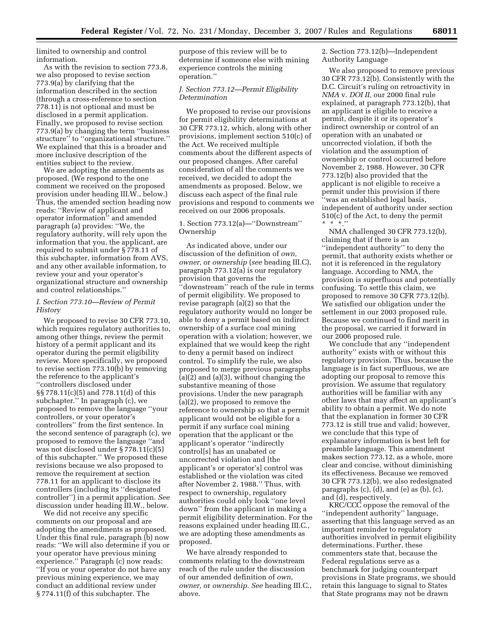limited to ownership and control information.

As with the revision to section 773.8, we also proposed to revise section 773.9(a) by clarifying that the information described in the section (through a cross-reference to section 778.11) is not optional and must be disclosed in a permit application. Finally, we proposed to revise section 773.9(a) by changing the term ''business structure'' to ''organizational structure.'' We explained that this is a broader and more inclusive description of the entities subject to the review.

We are adopting the amendments as proposed. (We respond to the one comment we received on the proposed provision under heading III.W., below.) Thus, the amended section heading now reads: ''Review of applicant and operator information'' and amended paragraph (a) provides: ''We, the regulatory authority, will rely upon the information that you, the applicant, are required to submit under § 778.11 of this subchapter, information from AVS, and any other available information, to review your and your operator's organizational structure and ownership and control relationships.''

# *I. Section 773.10—Review of Permit History*

We proposed to revise 30 CFR 773.10, which requires regulatory authorities to, among other things, review the permit history of a permit applicant and its operator during the permit eligibility review. More specifically, we proposed to revise section 773.10(b) by removing the reference to the applicant's ''controllers disclosed under §§ 778.11(c)(5) and 778.11(d) of this subchapter.'' In paragraph (c), we proposed to remove the language ''your controllers, or your operator's controllers'' from the first sentence. In the second sentence of paragraph (c), we proposed to remove the language ''and was not disclosed under § 778.11(c)(5) of this subchapter.'' We proposed these revisions because we also proposed to remove the requirement at section 778.11 for an applicant to disclose its controllers (including its ''designated controller'') in a permit application. *See*  discussion under heading III.W., below.

We did not receive any specific comments on our proposal and are adopting the amendments as proposed. Under this final rule, paragraph (b) now reads: ''We will also determine if you or your operator have previous mining experience.'' Paragraph (c) now reads: ''If you or your operator do not have any previous mining experience, we may conduct an additional review under § 774.11(f) of this subchapter. The

purpose of this review will be to determine if someone else with mining experience controls the mining operation.''

# *J. Section 773.12—Permit Eligibility Determination*

We proposed to revise our provisions for permit eligibility determinations at 30 CFR 773.12, which, along with other provisions, implement section 510(c) of the Act. We received multiple comments about the different aspects of our proposed changes. After careful consideration of all the comments we received, we decided to adopt the amendments as proposed. Below, we discuss each aspect of the final rule provisions and respond to comments we received on our 2006 proposals.

# 1. Section 773.12(a)—''Downstream'' Ownership

As indicated above, under our discussion of the definition of *own, owner,* or *ownership* (*see* heading III.C), paragraph 773.12(a) is our regulatory provision that governs the ''downstream'' reach of the rule in terms of permit eligibility. We proposed to revise paragraph (a)(2) so that the regulatory authority would no longer be able to deny a permit based on indirect ownership of a surface coal mining operation with a violation; however, we explained that we would keep the right to deny a permit based on indirect control. To simplify the rule, we also proposed to merge previous paragraphs (a)(2) and (a)(3), without changing the substantive meaning of those provisions. Under the new paragraph (a)(2), we proposed to remove the reference to ownership so that a permit applicant would not be eligible for a permit if any surface coal mining operation that the applicant or the applicant's operator ''indirectly control[s] has an unabated or uncorrected violation and [the applicant's or operator's] control was established or the violation was cited after November 2, 1988.'' Thus, with respect to ownership, regulatory authorities could only look ''one level down'' from the applicant in making a permit eligibility determination. For the reasons explained under heading III.C., we are adopting these amendments as proposed.

We have already responded to comments relating to the downstream reach of the rule under the discussion of our amended definition of *own, owner,* or *ownership. See* heading III.C., above.

2. Section 773.12(b)—Independent Authority Language

We also proposed to remove previous 30 CFR 773.12(b). Consistently with the D.C. Circuit's ruling on retroactivity in *NMA* v. *DOI II,* our 2000 final rule explained, at paragraph 773.12(b), that an applicant is eligible to receive a permit, despite it or its operator's indirect ownership or control of an operation with an unabated or uncorrected violation, if both the violation and the assumption of ownership or control occurred before November 2, 1988. However, 30 CFR 773.12(b) also provided that the applicant is not eligible to receive a permit under this provision if there ''was an established legal basis, independent of authority under section 510(c) of the Act, to deny the permit \* \* \*.''

NMA challenged 30 CFR 773.12(b), claiming that if there is an ''independent authority'' to deny the permit, that authority exists whether or not it is referenced in the regulatory language. According to NMA, the provision is superfluous and potentially confusing. To settle this claim, we proposed to remove 30 CFR 773.12(b). We satisfied our obligation under the settlement in our 2003 proposed rule. Because we continued to find merit in the proposal, we carried it forward in our 2006 proposed rule.

We conclude that any ''independent authority'' exists with or without this regulatory provision. Thus, because the language is in fact superfluous, we are adopting our proposal to remove this provision. We assume that regulatory authorities will be familiar with any other laws that may affect an applicant's ability to obtain a permit. We do note that the explanation in former 30 CFR 773.12 is still true and valid; however, we conclude that this type of explanatory information is best left for preamble language. This amendment makes section 773.12, as a whole, more clear and concise, without diminishing its effectiveness. Because we removed 30 CFR 773.12(b), we also redesignated paragraphs (c), (d), and (e) as (b), (c), and (d), respectively.

KRC/CCC oppose the removal of the ''independent authority'' language, asserting that this language served as an important reminder to regulatory authorities involved in permit eligibility determinations. Further, these commenters state that, because the Federal regulations serve as a benchmark for judging counterpart provisions in State programs, we should retain this language to signal to States that State programs may not be drawn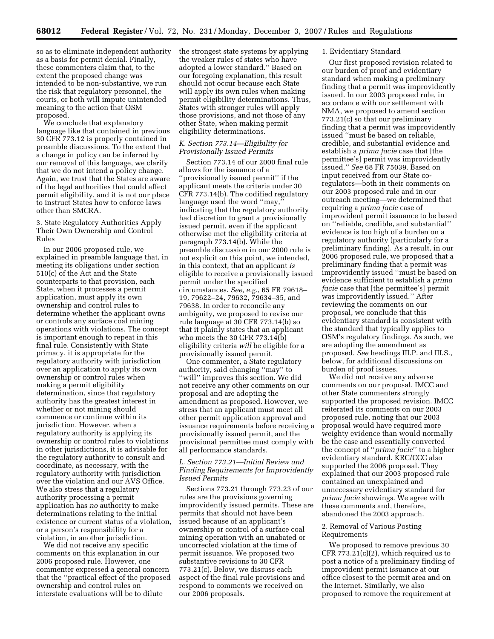so as to eliminate independent authority as a basis for permit denial. Finally, these commenters claim that, to the extent the proposed change was intended to be non-substantive, we run the risk that regulatory personnel, the courts, or both will impute unintended meaning to the action that OSM proposed.

We conclude that explanatory language like that contained in previous 30 CFR 773.12 is properly contained in preamble discussions. To the extent that a change in policy can be inferred by our removal of this language, we clarify that we do not intend a policy change. Again, we trust that the States are aware of the legal authorities that could affect permit eligibility, and it is not our place to instruct States how to enforce laws other than SMCRA.

3. State Regulatory Authorities Apply Their Own Ownership and Control Rules

In our 2006 proposed rule, we explained in preamble language that, in meeting its obligations under section 510(c) of the Act and the State counterparts to that provision, each State, when it processes a permit application, must apply its own ownership and control rules to determine whether the applicant owns or controls any surface coal mining operations with violations. The concept is important enough to repeat in this final rule. Consistently with State primacy, it is appropriate for the regulatory authority with jurisdiction over an application to apply its own ownership or control rules when making a permit eligibility determination, since that regulatory authority has the greatest interest in whether or not mining should commence or continue within its jurisdiction. However, when a regulatory authority is applying its ownership or control rules to violations in other jurisdictions, it is advisable for the regulatory authority to consult and coordinate, as necessary, with the regulatory authority with jurisdiction over the violation and our AVS Office. We also stress that a regulatory authority processing a permit application has *no* authority to make determinations relating to the initial existence or current status of a violation, or a person's responsibility for a violation, in another jurisdiction.

We did not receive any specific comments on this explanation in our 2006 proposed rule. However, one commenter expressed a general concern that the ''practical effect of the proposed ownership and control rules on interstate evaluations will be to dilute

the strongest state systems by applying the weaker rules of states who have adopted a lower standard.'' Based on our foregoing explanation, this result should not occur because each State will apply its own rules when making permit eligibility determinations. Thus, States with stronger rules will apply those provisions, and not those of any other State, when making permit eligibility determinations.

# *K. Section 773.14—Eligibility for Provisionally Issued Permits*

Section 773.14 of our 2000 final rule allows for the issuance of a ''provisionally issued permit'' if the applicant meets the criteria under 30 CFR 773.14(b). The codified regulatory language used the word ''may,'' indicating that the regulatory authority had discretion to grant a provisionally issued permit, even if the applicant otherwise met the eligibility criteria at paragraph 773.14(b). While the preamble discussion in our 2000 rule is not explicit on this point, we intended, in this context, that an applicant *is*  eligible to receive a provisionally issued permit under the specified circumstances. *See, e.g.*, 65 FR 79618– 19, 79622–24, 79632, 79634–35, and 79638. In order to reconcile any ambiguity, we proposed to revise our rule language at 30 CFR 773.14(b) so that it plainly states that an applicant who meets the 30 CFR 773.14(b) eligibility criteria *will* be eligible for a provisionally issued permit.

One commenter, a State regulatory authority, said changing ''may'' to "will" improves this section. We did not receive any other comments on our proposal and are adopting the amendment as proposed. However, we stress that an applicant must meet all other permit application approval and issuance requirements before receiving a provisionally issued permit, and the provisional permittee must comply with all performance standards.

#### *L. Section 773.21—Initial Review and Finding Requirements for Improvidently Issued Permits*

Sections 773.21 through 773.23 of our rules are the provisions governing improvidently issued permits. These are permits that should not have been issued because of an applicant's ownership or control of a surface coal mining operation with an unabated or uncorrected violation at the time of permit issuance. We proposed two substantive revisions to 30 CFR 773.21(c). Below, we discuss each aspect of the final rule provisions and respond to comments we received on our 2006 proposals.

#### 1. Evidentiary Standard

Our first proposed revision related to our burden of proof and evidentiary standard when making a preliminary finding that a permit was improvidently issued. In our 2003 proposed rule, in accordance with our settlement with NMA, we proposed to amend section 773.21(c) so that our preliminary finding that a permit was improvidently issued ''must be based on reliable, credible, and substantial evidence and establish a *prima facie* case that [the permittee's] permit was improvidently issued.'' *See* 68 FR 75039. Based on input received from our State coregulators—both in their comments on our 2003 proposed rule and in our outreach meeting—we determined that requiring a *prima facie* case of improvident permit issuance to be based on ''reliable, credible, and substantial'' evidence is too high of a burden on a regulatory authority (particularly for a preliminary finding). As a result, in our 2006 proposed rule, we proposed that a preliminary finding that a permit was improvidently issued ''must be based on evidence sufficient to establish a *prima facie* case that [the permittee's] permit was improvidently issued.'' After reviewing the comments on our proposal, we conclude that this evidentiary standard is consistent with the standard that typically applies to OSM's regulatory findings. As such, we are adopting the amendment as proposed. *See* headings III.P. and III.S., below, for additional discussions on burden of proof issues.

We did not receive any adverse comments on our proposal. IMCC and other State commenters strongly supported the proposed revision. IMCC reiterated its comments on our 2003 proposed rule, noting that our 2003 proposal would have required more weighty evidence than would normally be the case and essentially converted the concept of ''*prima facie*'' to a higher evidentiary standard. KRC/CCC also supported the 2006 proposal. They explained that our 2003 proposed rule contained an unexplained and unnecessary evidentiary standard for *prima facie* showings. We agree with these comments and, therefore, abandoned the 2003 approach.

# 2. Removal of Various Posting Requirements

We proposed to remove previous 30 CFR 773.21(c)(2), which required us to post a notice of a preliminary finding of improvident permit issuance at our office closest to the permit area and on the Internet. Similarly, we also proposed to remove the requirement at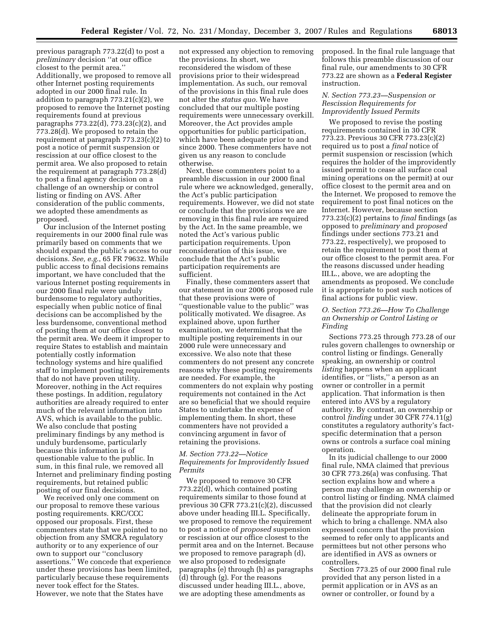previous paragraph 773.22(d) to post a *preliminary* decision ''at our office closest to the permit area.'' Additionally, we proposed to remove all other Internet posting requirements adopted in our 2000 final rule. In addition to paragraph 773.21(c)(2), we proposed to remove the Internet posting requirements found at previous paragraphs 773.22(d), 773.23(c)(2), and 773.28(d). We proposed to retain the requirement at paragraph 773.23(c)(2) to post a notice of permit suspension or rescission at our office closest to the permit area. We also proposed to retain the requirement at paragraph 773.28(d) to post a final agency decision on a challenge of an ownership or control listing or finding on AVS. After consideration of the public comments, we adopted these amendments as proposed.

Our inclusion of the Internet posting requirements in our 2000 final rule was primarily based on comments that we should expand the public's access to our decisions. *See, e.g.*, 65 FR 79632. While public access to final decisions remains important, we have concluded that the various Internet posting requirements in our 2000 final rule were unduly burdensome to regulatory authorities, especially when public notice of final decisions can be accomplished by the less burdensome, conventional method of posting them at our office closest to the permit area. We deem it improper to require States to establish and maintain potentially costly information technology systems and hire qualified staff to implement posting requirements that do not have proven utility. Moreover, nothing in the Act requires these postings. In addition, regulatory authorities are already required to enter much of the relevant information into AVS, which is available to the public. We also conclude that posting preliminary findings by any method is unduly burdensome, particularly because this information is of questionable value to the public. In sum, in this final rule, we removed all Internet and preliminary finding posting requirements, but retained public posting of our final decisions.

We received only one comment on our proposal to remove these various posting requirements. KRC/CCC opposed our proposals. First, these commenters state that we pointed to no objection from any SMCRA regulatory authority or to any experience of our own to support our ''conclusory assertions.'' We concede that experience under these provisions has been limited, particularly because these requirements never took effect for the States. However, we note that the States have

not expressed any objection to removing the provisions. In short, we reconsidered the wisdom of these provisions prior to their widespread implementation. As such, our removal of the provisions in this final rule does not alter the *status quo.* We have concluded that our multiple posting requirements were unnecessary overkill. Moreover, the Act provides ample opportunities for public participation, which have been adequate prior to and since 2000. These commenters have not given us any reason to conclude otherwise.

Next, these commenters point to a preamble discussion in our 2000 final rule where we acknowledged, generally, the Act's public participation requirements. However, we did not state or conclude that the provisions we are removing in this final rule are required by the Act. In the same preamble, we noted the Act's various public participation requirements. Upon reconsideration of this issue, we conclude that the Act's public participation requirements are sufficient.

Finally, these commenters assert that our statement in our 2006 proposed rule that these provisions were of ''questionable value to the public'' was politically motivated. We disagree. As explained above, upon further examination, we determined that the multiple posting requirements in our 2000 rule were unnecessary and excessive. We also note that these commenters do not present any concrete reasons why these posting requirements are needed. For example, the commenters do not explain why posting requirements not contained in the Act are so beneficial that we should require States to undertake the expense of implementing them. In short, these commenters have not provided a convincing argument in favor of retaining the provisions.

# *M. Section 773.22—Notice Requirements for Improvidently Issued Permits*

We proposed to remove 30 CFR 773.22(d), which contained posting requirements similar to those found at previous 30 CFR 773.21(c)(2), discussed above under heading III.L. Specifically, we proposed to remove the requirement to post a notice of *proposed* suspension or rescission at our office closest to the permit area and on the Internet. Because we proposed to remove paragraph (d), we also proposed to redesignate paragraphs (e) through (h) as paragraphs (d) through (g). For the reasons discussed under heading III.L., above, we are adopting these amendments as

proposed. In the final rule language that follows this preamble discussion of our final rule, our amendments to 30 CFR 773.22 are shown as a **Federal Register**  instruction.

# *N. Section 773.23—Suspension or Rescission Requirements for Improvidently Issued Permits*

We proposed to revise the posting requirements contained in 30 CFR 773.23. Previous 30 CFR 773.23(c)(2) required us to post a *final* notice of permit suspension or rescission (which requires the holder of the improvidently issued permit to cease all surface coal mining operations on the permit) at our office closest to the permit area and on the Internet. We proposed to remove the requirement to post final notices on the Internet. However, because section 773.23(c)(2) pertains to *final* findings (as opposed to *preliminary* and *proposed*  findings under sections 773.21 and 773.22, respectively), we proposed to retain the requirement to post them at our office closest to the permit area. For the reasons discussed under heading III.L., above, we are adopting the amendments as proposed. We conclude it is appropriate to post such notices of final actions for public view.

# *O. Section 773.26—How To Challenge an Ownership or Control Listing or Finding*

Sections 773.25 through 773.28 of our rules govern challenges to ownership or control listing or findings. Generally speaking, an ownership or control *listing* happens when an applicant identifies, or ''lists,'' a person as an owner or controller in a permit application. That information is then entered into AVS by a regulatory authority. By contrast, an ownership or control *finding* under 30 CFR 774.11(g) constitutes a regulatory authority's factspecific determination that a person owns or controls a surface coal mining operation.

In its judicial challenge to our 2000 final rule, NMA claimed that previous 30 CFR 773.26(a) was confusing. That section explains how and where a person may challenge an ownership or control listing or finding. NMA claimed that the provision did not clearly delineate the appropriate forum in which to bring a challenge. NMA also expressed concern that the provision seemed to refer only to applicants and permittees but not other persons who are identified in AVS as owners or controllers.

Section 773.25 of our 2000 final rule provided that any person listed in a permit application or in AVS as an owner or controller, or found by a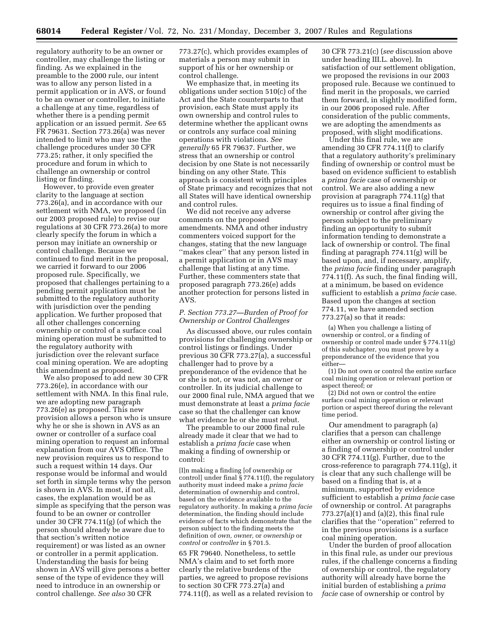regulatory authority to be an owner or controller, may challenge the listing or finding. As we explained in the preamble to the 2000 rule, our intent was to allow any person listed in a permit application or in AVS, or found to be an owner or controller, to initiate a challenge at any time, regardless of whether there is a pending permit application or an issued permit. *See* 65 FR 79631. Section 773.26(a) was never intended to limit who may use the challenge procedures under 30 CFR 773.25; rather, it only specified the procedure and forum in which to challenge an ownership or control listing or finding.

However, to provide even greater clarity to the language at section 773.26(a), and in accordance with our settlement with NMA, we proposed (in our 2003 proposed rule) to revise our regulations at 30 CFR 773.26(a) to more clearly specify the forum in which a person may initiate an ownership or control challenge. Because we continued to find merit in the proposal, we carried it forward to our 2006 proposed rule. Specifically, we proposed that challenges pertaining to a pending permit application must be submitted to the regulatory authority with jurisdiction over the pending application. We further proposed that all other challenges concerning ownership or control of a surface coal mining operation must be submitted to the regulatory authority with jurisdiction over the relevant surface coal mining operation. We are adopting this amendment as proposed.

We also proposed to add new 30 CFR 773.26(e), in accordance with our settlement with NMA. In this final rule, we are adopting new paragraph 773.26(e) as proposed. This new provision allows a person who is unsure why he or she is shown in AVS as an owner or controller of a surface coal mining operation to request an informal explanation from our AVS Office. The new provision requires us to respond to such a request within 14 days. Our response would be informal and would set forth in simple terms why the person is shown in AVS. In most, if not all, cases, the explanation would be as simple as specifying that the person was found to be an owner or controller under 30 CFR 774.11(g) (of which the person should already be aware due to that section's written notice requirement) or was listed as an owner or controller in a permit application. Understanding the basis for being shown in AVS will give persons a better sense of the type of evidence they will need to introduce in an ownership or control challenge. *See also* 30 CFR

773.27(c), which provides examples of materials a person may submit in support of his or her ownership or control challenge.

We emphasize that, in meeting its obligations under section 510(c) of the Act and the State counterparts to that provision, each State must apply its own ownership and control rules to determine whether the applicant owns or controls any surface coal mining operations with violations. *See generally* 65 FR 79637. Further, we stress that an ownership or control decision by one State is not necessarily binding on any other State. This approach is consistent with principles of State primacy and recognizes that not all States will have identical ownership and control rules.

We did not receive any adverse comments on the proposed amendments. NMA and other industry commenters voiced support for the changes, stating that the new language ''makes clear'' that any person listed in a permit application or in AVS may challenge that listing at any time. Further, these commenters state that proposed paragraph 773.26(e) adds another protection for persons listed in AVS.

#### *P. Section 773.27—Burden of Proof for Ownership or Control Challenges*

As discussed above, our rules contain provisions for challenging ownership or control listings or findings. Under previous 30 CFR 773.27(a), a successful challenger had to prove by a preponderance of the evidence that he or she is not, or was not, an owner or controller. In its judicial challenge to our 2000 final rule, NMA argued that we must demonstrate at least a *prima facie*  case so that the challenger can know what evidence he or she must rebut.

The preamble to our 2000 final rule already made it clear that we had to establish a *prima facie* case when making a finding of ownership or control:

[I]n making a finding [of ownership or control] under final § 774.11(f), the regulatory authority must indeed make a *prima facie*  determination of ownership and control, based on the evidence available to the regulatory authority. In making a *prima facie*  determination, the finding should include evidence of facts which demonstrate that the person subject to the finding meets the definition of *own, owner,* or *ownership* or *control* or *controller* in § 701.5.

65 FR 79640. Nonetheless, to settle NMA's claim and to set forth more clearly the relative burdens of the parties, we agreed to propose revisions to section 30 CFR 773.27(a) and 774.11(f), as well as a related revision to

30 CFR 773.21(c) (*see* discussion above under heading III.L. above). In satisfaction of our settlement obligation, we proposed the revisions in our 2003 proposed rule. Because we continued to find merit in the proposals, we carried them forward, in slightly modified form, in our 2006 proposed rule. After consideration of the public comments, we are adopting the amendments as proposed, with slight modifications.

Under this final rule, we are amending 30 CFR 774.11(f) to clarify that a regulatory authority's preliminary finding of ownership or control must be based on evidence sufficient to establish a *prima facie* case of ownership or control. We are also adding a new provision at paragraph 774.11(g) that requires us to issue a final finding of ownership or control after giving the person subject to the preliminary finding an opportunity to submit information tending to demonstrate a lack of ownership or control. The final finding at paragraph 774.11(g) will be based upon, and, if necessary, amplify, the *prima facie* finding under paragraph 774.11(f). As such, the final finding will, at a minimum, be based on evidence sufficient to establish a *prima facie* case. Based upon the changes at section 774.11, we have amended section 773.27(a) so that it reads:

(a) When you challenge a listing of ownership or control, or a finding of ownership or control made under § 774.11(g) of this subchapter, you must prove by a preponderance of the evidence that you either—

(1) Do not own or control the entire surface coal mining operation or relevant portion or aspect thereof; or

(2) Did not own or control the entire surface coal mining operation or relevant portion or aspect thereof during the relevant time period.

Our amendment to paragraph (a) clarifies that a person can challenge either an ownership or control listing or a finding of ownership or control under 30 CFR 774.11(g). Further, due to the cross-reference to paragraph 774.11(g), it is clear that any such challenge will be based on a finding that is, at a minimum, supported by evidence sufficient to establish a *prima facie* case of ownership or control. At paragraphs  $773.27(a)(1)$  and  $(a)(2)$ , this final rule clarifies that the ''operation'' referred to in the previous provisions is a surface coal mining operation.

Under the burden of proof allocation in this final rule, as under our previous rules, if the challenge concerns a finding of ownership or control, the regulatory authority will already have borne the initial burden of establishing a *prima facie* case of ownership or control by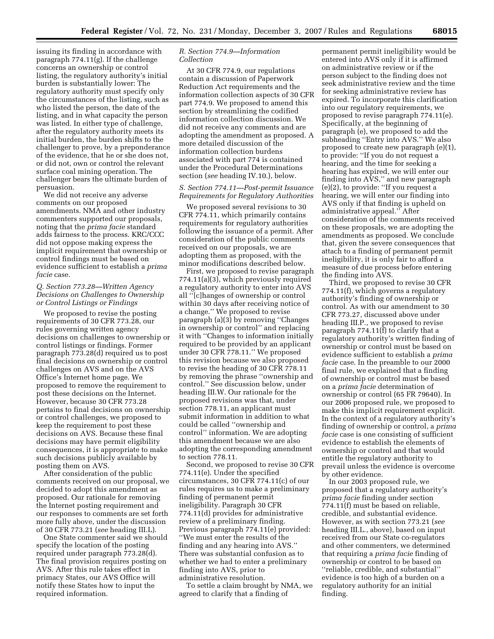issuing its finding in accordance with paragraph 774.11(g). If the challenge concerns an ownership or control listing, the regulatory authority's initial burden is substantially lower: The regulatory authority must specify only the circumstances of the listing, such as who listed the person, the date of the listing, and in what capacity the person was listed. In either type of challenge, after the regulatory authority meets its initial burden, the burden shifts to the challenger to prove, by a preponderance of the evidence, that he or she does not, or did not, own or control the relevant surface coal mining operation. The challenger bears the ultimate burden of persuasion.

We did not receive any adverse comments on our proposed amendments. NMA and other industry commenters supported our proposals, noting that the *prima facie* standard adds fairness to the process. KRC/CCC did not oppose making express the implicit requirement that ownership or control findings must be based on evidence sufficient to establish a *prima facie* case.

# *Q. Section 773.28—Written Agency Decisions on Challenges to Ownership or Control Listings or Findings*

We proposed to revise the posting requirements of 30 CFR 773.28, our rules governing written agency decisions on challenges to ownership or control listings or findings. Former paragraph 773.28(d) required us to post final decisions on ownership or control challenges on AVS and on the AVS Office's Internet home page. We proposed to remove the requirement to post these decisions on the Internet. However, because 30 CFR 773.28 pertains to final decisions on ownership or control challenges, we proposed to keep the requirement to post these decisions on AVS. Because these final decisions may have permit eligibility consequences, it is appropriate to make such decisions publicly available by posting them on AVS.

After consideration of the public comments received on our proposal, we decided to adopt this amendment as proposed. Our rationale for removing the Internet posting requirement and our responses to comments are set forth more fully above, under the discussion of 30 CFR 773.21 (*see* heading III.L).

One State commenter said we should specify the location of the posting required under paragraph 773.28(d). The final provision requires posting on AVS. After this rule takes effect in primacy States, our AVS Office will notify these States how to input the required information.

# *R. Section 774.9—Information Collection*

At 30 CFR 774.9, our regulations contain a discussion of Paperwork Reduction Act requirements and the information collection aspects of 30 CFR part 774.9. We proposed to amend this section by streamlining the codified information collection discussion. We did not receive any comments and are adopting the amendment as proposed. A more detailed discussion of the information collection burdens associated with part 774 is contained under the Procedural Determinations section (*see* heading IV.10.), below.

# *S. Section 774.11—Post-permit Issuance Requirements for Regulatory Authorities*

We proposed several revisions to 30 CFR 774.11, which primarily contains requirements for regulatory authorities following the issuance of a permit. After consideration of the public comments received on our proposals, we are adopting them as proposed, with the minor modifications described below.

First, we proposed to revise paragraph 774.11(a)(3), which previously required a regulatory authority to enter into AVS all ''[c]hanges of ownership or control within 30 days after receiving notice of a change.'' We proposed to revise paragraph (a)(3) by removing ''Changes in ownership or control'' and replacing it with ''Changes to information initially required to be provided by an applicant under 30 CFR 778.11.'' We proposed this revision because we also proposed to revise the heading of 30 CFR 778.11 by removing the phrase ''ownership and control.'' See discussion below, under heading III.W. Our rationale for the proposed revisions was that, under section 778.11, an applicant must submit information in addition to what could be called ''ownership and control'' information. We are adopting this amendment because we are also adopting the corresponding amendment to section 778.11.

Second, we proposed to revise 30 CFR 774.11(e). Under the specified circumstances, 30 CFR 774.11(c) of our rules requires us to make a preliminary finding of permanent permit ineligibility. Paragraph 30 CFR 774.11(d) provides for administrative review of a preliminary finding. Previous paragraph 774.11(e) provided: ''We must enter the results of the finding and any hearing into AVS.'' There was substantial confusion as to whether we had to enter a preliminary finding into AVS, prior to administrative resolution.

To settle a claim brought by NMA, we agreed to clarify that a finding of

permanent permit ineligibility would be entered into AVS only if it is affirmed on administrative review or if the person subject to the finding does not seek administrative review and the time for seeking administrative review has expired. To incorporate this clarification into our regulatory requirements, we proposed to revise paragraph 774.11(e). Specifically, at the beginning of paragraph (e), we proposed to add the subheading ''Entry into AVS.'' We also proposed to create new paragraph (e)(1), to provide: ''If you do not request a hearing, and the time for seeking a hearing has expired, we will enter our finding into AVS,'' and new paragraph (e)(2), to provide: ''If you request a hearing, we will enter our finding into AVS only if that finding is upheld on administrative appeal.'' After consideration of the comments received on these proposals, we are adopting the amendments as proposed. We conclude that, given the severe consequences that attach to a finding of permanent permit ineligibility, it is only fair to afford a measure of due process before entering the finding into AVS.

Third, we proposed to revise 30 CFR 774.11(f), which governs a regulatory authority's finding of ownership or control. As with our amendment to 30 CFR 773.27, discussed above under heading III.P., we proposed to revise paragraph 774.11(f) to clarify that a regulatory authority's written finding of ownership or control must be based on evidence sufficient to establish a *prima facie* case. In the preamble to our 2000 final rule, we explained that a finding of ownership or control must be based on a *prima facie* determination of ownership or control (65 FR 79640). In our 2006 proposed rule, we proposed to make this implicit requirement explicit. In the context of a regulatory authority's finding of ownership or control, a *prima facie* case is one consisting of sufficient evidence to establish the elements of ownership or control and that would entitle the regulatory authority to prevail unless the evidence is overcome by other evidence.

In our 2003 proposed rule, we proposed that a regulatory authority's *prima facie* finding under section 774.11(f) must be based on reliable, credible, and substantial evidence. However, as with section 773.21 (*see*  heading III.L., above), based on input received from our State co-regulators and other commenters, we determined that requiring a *prima facie* finding of ownership or control to be based on ''reliable, credible, and substantial'' evidence is too high of a burden on a regulatory authority for an initial finding.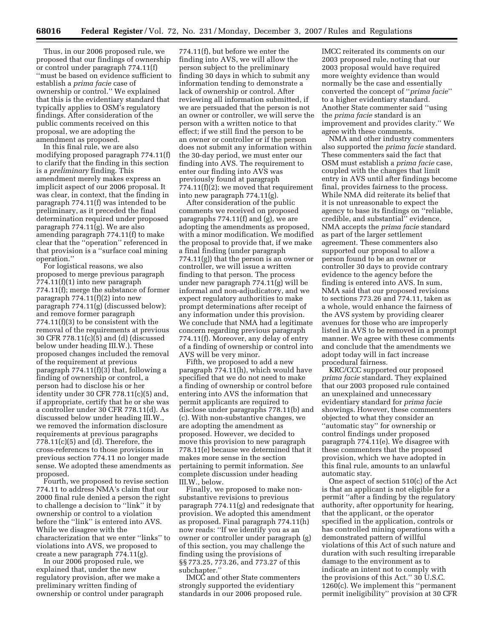Thus, in our 2006 proposed rule, we proposed that our findings of ownership or control under paragraph 774.11(f) ''must be based on evidence sufficient to establish a *prima facie* case of ownership or control.'' We explained that this is the evidentiary standard that typically applies to OSM's regulatory findings. After consideration of the public comments received on this proposal, we are adopting the amendment as proposed.

In this final rule, we are also modifying proposed paragraph 774.11(f) to clarify that the finding in this section is a *preliminary* finding. This amendment merely makes express an implicit aspect of our 2006 proposal. It was clear, in context, that the finding in paragraph 774.11(f) was intended to be preliminary, as it preceded the final determination required under proposed paragraph 774.11(g). We are also amending paragraph 774.11(f) to make clear that the ''operation'' referenced in that provision is a ''surface coal mining operation.''

For logistical reasons, we also proposed to merge previous paragraph 774.11(f)(1) into new paragraph 774.11(f); merge the substance of former paragraph 774.11(f)(2) into new paragraph 774.11(g) (discussed below); and remove former paragraph 774.11(f)(3) to be consistent with the removal of the requirements at previous 30 CFR 778.11(c)(5) and (d) (discussed below under heading III.W.). These proposed changes included the removal of the requirement at previous paragraph 774.11(f)(3) that, following a finding of ownership or control, a person had to disclose his or her  $\frac{1}{2}$ identity under 30 CFR 778.11(c)(5) and, if appropriate, certify that he or she was a controller under 30 CFR 778.11(d). As discussed below under heading III.W., we removed the information disclosure requirements at previous paragraphs  $778.11(c)(5)$  and (d). Therefore, the cross-references to those provisions in previous section 774.11 no longer made sense. We adopted these amendments as proposed.

Fourth, we proposed to revise section 774.11 to address NMA's claim that our 2000 final rule denied a person the right to challenge a decision to ''link'' it by ownership or control to a violation before the ''link'' is entered into AVS. While we disagree with the characterization that we enter ''links'' to violations into AVS, we proposed to create a new paragraph 774.11(g).

In our 2006 proposed rule, we explained that, under the new regulatory provision, after we make a preliminary written finding of ownership or control under paragraph

774.11(f), but before we enter the finding into AVS, we will allow the person subject to the preliminary finding 30 days in which to submit any information tending to demonstrate a lack of ownership or control. After reviewing all information submitted, if we are persuaded that the person is not an owner or controller, we will serve the person with a written notice to that effect; if we still find the person to be an owner or controller or if the person does not submit any information within the 30-day period, we must enter our finding into AVS. The requirement to enter our finding into AVS was previously found at paragraph 774.11(f)(2); we moved that requirement into new paragraph 774.11(g).

After consideration of the public comments we received on proposed paragraphs 774.11(f) and (g), we are adopting the amendments as proposed, with a minor modification. We modified the proposal to provide that, if we make a final finding (under paragraph 774.11(g)) that the person is an owner or controller, we will issue a written finding to that person. The process under new paragraph 774.11(g) will be informal and non-adjudicatory, and we expect regulatory authorities to make prompt determinations after receipt of any information under this provision. We conclude that NMA had a legitimate concern regarding previous paragraph 774.11(f). Moreover, any delay of entry of a finding of ownership or control into AVS will be very minor.

Fifth, we proposed to add a new paragraph 774.11(h), which would have specified that we do not need to make a finding of ownership or control before entering into AVS the information that permit applicants are required to disclose under paragraphs 778.11(b) and (c). With non-substantive changes, we are adopting the amendment as proposed. However, we decided to move this provision to new paragraph 778.11(e) because we determined that it makes more sense in the section pertaining to permit information. *See*  complete discussion under heading III.W., below.

Finally, we proposed to make nonsubstantive revisions to previous paragraph 774.11(g) and redesignate that provision. We adopted this amendment as proposed. Final paragraph 774.11(h) now reads: ''If we identify you as an owner or controller under paragraph (g) of this section, you may challenge the finding using the provisions of §§ 773.25, 773.26, and 773.27 of this subchapter.''

IMCC and other State commenters strongly supported the evidentiary standards in our 2006 proposed rule.

IMCC reiterated its comments on our 2003 proposed rule, noting that our 2003 proposal would have required more weighty evidence than would normally be the case and essentially converted the concept of ''*prima facie*'' to a higher evidentiary standard. Another State commenter said ''using the *prima facie* standard is an improvement and provides clarity.'' We agree with these comments.

NMA and other industry commenters also supported the *prima facie* standard. These commenters said the fact that OSM must establish a *prima facie* case, coupled with the changes that limit entry in AVS until after findings become final, provides fairness to the process. While NMA did reiterate its belief that it is not unreasonable to expect the agency to base its findings on ''reliable, credible, and substantial'' evidence, NMA accepts the *prima facie* standard as part of the larger settlement agreement. These commenters also supported our proposal to allow a person found to be an owner or controller 30 days to provide contrary evidence to the agency before the finding is entered into AVS. In sum, NMA said that our proposed revisions to sections 773.26 and 774.11, taken as a whole, would enhance the fairness of the AVS system by providing clearer avenues for those who are improperly listed in AVS to be removed in a prompt manner. We agree with these comments and conclude that the amendments we adopt today will in fact increase procedural fairness.

KRC/CCC supported our proposed *prima facie* standard. They explained that our 2003 proposed rule contained an unexplained and unnecessary evidentiary standard for *prima facie*  showings. However, these commenters objected to what they consider an ''automatic stay'' for ownership or control findings under proposed paragraph 774.11(e). We disagree with these commenters that the proposed provision, which we have adopted in this final rule, amounts to an unlawful automatic stay.

One aspect of section 510(c) of the Act is that an applicant is not eligible for a permit ''after a finding by the regulatory authority, after opportunity for hearing, that the applicant, or the operator specified in the application, controls or has controlled mining operations with a demonstrated pattern of willful violations of this Act of such nature and duration with such resulting irreparable damage to the environment as to indicate an intent not to comply with the provisions of this Act.'' 30 U.S.C. 1260(c). We implement this ''permanent permit ineligibility'' provision at 30 CFR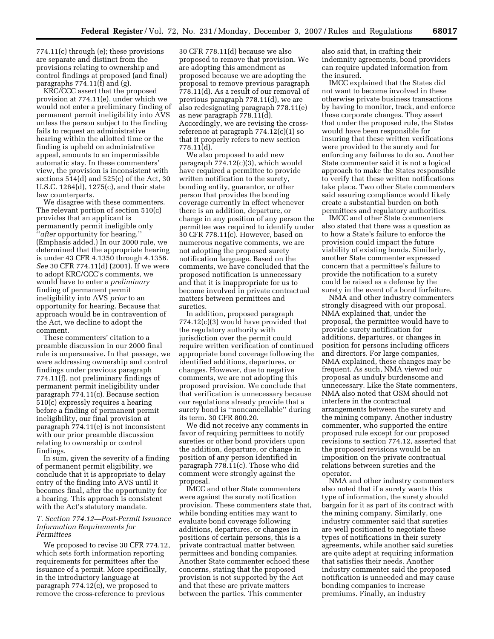774.11(c) through (e); these provisions are separate and distinct from the provisions relating to ownership and control findings at proposed (and final) paragraphs 774.11(f) and (g).

KRC/CCC assert that the proposed provision at 774.11(e), under which we would not enter a preliminary finding of permanent permit ineligibility into AVS unless the person subject to the finding fails to request an administrative hearing within the allotted time or the finding is upheld on administrative appeal, amounts to an impermissible automatic stay. In these commenters' view, the provision is inconsistent with sections 514(d) and 525(c) of the Act, 30 U.S.C. 1264(d), 1275(c), and their state law counterparts.

We disagree with these commenters. The relevant portion of section 510(c) provides that an applicant is permanently permit ineligible only ''*after* opportunity for hearing.'' (Emphasis added.) In our 2000 rule, we determined that the appropriate hearing is under 43 CFR 4.1350 through 4.1356. *See* 30 CFR 774.11(d) (2001). If we were to adopt KRC/CCC's comments, we would have to enter a *preliminary*  finding of permanent permit ineligibility into AVS *prior* to an opportunity for hearing. Because that approach would be in contravention of the Act, we decline to adopt the comment.

These commenters' citation to a preamble discussion in our 2000 final rule is unpersuasive. In that passage, we were addressing ownership and control findings under previous paragraph 774.11(f), not preliminary findings of permanent permit ineligibility under paragraph 774.11(c). Because section 510(c) expressly requires a hearing before a finding of permanent permit ineligibility, our final provision at paragraph 774.11(e) is not inconsistent with our prior preamble discussion relating to ownership or control findings.

In sum, given the severity of a finding of permanent permit eligibility, we conclude that it is appropriate to delay entry of the finding into AVS until it becomes final, after the opportunity for a hearing. This approach is consistent with the Act's statutory mandate.

#### *T. Section 774.12—Post-Permit Issuance Information Requirements for Permittees*

We proposed to revise 30 CFR 774.12, which sets forth information reporting requirements for permittees after the issuance of a permit. More specifically, in the introductory language at paragraph 774.12(c), we proposed to remove the cross-reference to previous

30 CFR 778.11(d) because we also proposed to remove that provision. We are adopting this amendment as proposed because we are adopting the proposal to remove previous paragraph 778.11(d). As a result of our removal of previous paragraph 778.11(d), we are also redesignating paragraph 778.11(e) as new paragraph 778.11(d). Accordingly, we are revising the crossreference at paragraph 774.12(c)(1) so that it properly refers to new section 778.11(d).

We also proposed to add new paragraph 774.12(c)(3), which would have required a permittee to provide written notification to the surety, bonding entity, guarantor, or other person that provides the bonding coverage currently in effect whenever there is an addition, departure, or change in any position of any person the permittee was required to identify under 30 CFR 778.11(c). However, based on numerous negative comments, we are not adopting the proposed surety notification language. Based on the comments, we have concluded that the proposed notification is unnecessary and that it is inappropriate for us to become involved in private contractual matters between permittees and sureties.

In addition, proposed paragraph 774.12(c)(3) would have provided that the regulatory authority with jurisdiction over the permit could require written verification of continued appropriate bond coverage following the identified additions, departures, or changes. However, due to negative comments, we are not adopting this proposed provision. We conclude that that verification is unnecessary because our regulations already provide that a surety bond is ''noncancellable'' during its term. 30 CFR 800.20.

We did not receive any comments in favor of requiring permittees to notify sureties or other bond providers upon the addition, departure, or change in position of any person identified in paragraph 778.11(c). Those who did comment were strongly against the proposal.

IMCC and other State commenters were against the surety notification provision. These commenters state that, while bonding entities may want to evaluate bond coverage following additions, departures, or changes in positions of certain persons, this is a private contractual matter between permittees and bonding companies. Another State commenter echoed these concerns, stating that the proposed provision is not supported by the Act and that these are private matters between the parties. This commenter

also said that, in crafting their indemnity agreements, bond providers can require updated information from the insured.

IMCC explained that the States did not want to become involved in these otherwise private business transactions by having to monitor, track, and enforce these corporate changes. They assert that under the proposed rule, the States would have been responsible for insuring that these written verifications were provided to the surety and for enforcing any failures to do so. Another State commenter said it is not a logical approach to make the States responsible to verify that these written notifications take place. Two other State commenters said assuring compliance would likely create a substantial burden on both permittees and regulatory authorities.

IMCC and other State commenters also stated that there was a question as to how a State's failure to enforce the provision could impact the future viability of existing bonds. Similarly, another State commenter expressed concern that a permittee's failure to provide the notification to a surety could be raised as a defense by the surety in the event of a bond forfeiture.

NMA and other industry commenters strongly disagreed with our proposal. NMA explained that, under the proposal, the permittee would have to provide surety notification for additions, departures, or changes in position for persons including officers and directors. For large companies, NMA explained, these changes may be frequent. As such, NMA viewed our proposal as unduly burdensome and unnecessary. Like the State commenters, NMA also noted that OSM should not interfere in the contractual arrangements between the surety and the mining company. Another industry commenter, who supported the entire proposed rule except for our proposed revisions to section 774.12, asserted that the proposed revisions would be an imposition on the private contractual relations between sureties and the operator.

NMA and other industry commenters also noted that if a surety wants this type of information, the surety should bargain for it as part of its contract with the mining company. Similarly, one industry commenter said that sureties are well positioned to negotiate these types of notifications in their surety agreements, while another said sureties are quite adept at requiring information that satisfies their needs. Another industry commenter said the proposed notification is unneeded and may cause bonding companies to increase premiums. Finally, an industry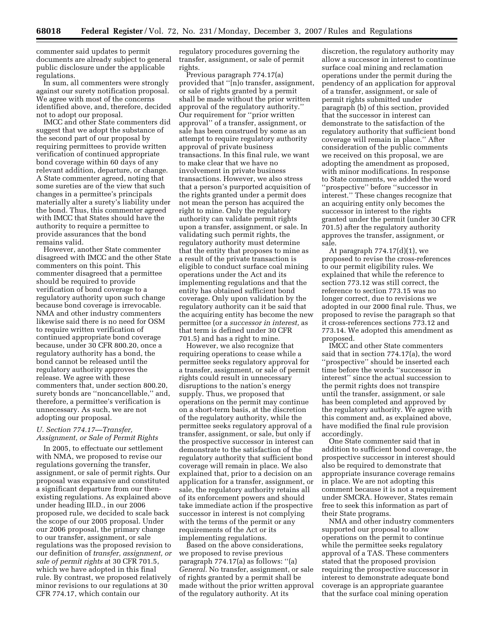commenter said updates to permit documents are already subject to general public disclosure under the applicable regulations.

In sum, all commenters were strongly against our surety notification proposal. We agree with most of the concerns identified above, and, therefore, decided not to adopt our proposal.

IMCC and other State commenters did suggest that we adopt the substance of the second part of our proposal by requiring permittees to provide written verification of continued appropriate bond coverage within 60 days of any relevant addition, departure, or change. A State commenter agreed, noting that some sureties are of the view that such changes in a permittee's principals materially alter a surety's liability under the bond. Thus, this commenter agreed with IMCC that States should have the authority to require a permittee to provide assurances that the bond remains valid.

However, another State commenter disagreed with IMCC and the other State commenters on this point. This commenter disagreed that a permittee should be required to provide verification of bond coverage to a regulatory authority upon such change because bond coverage is irrevocable. NMA and other industry commenters likewise said there is no need for OSM to require written verification of continued appropriate bond coverage because, under 30 CFR 800.20, once a regulatory authority has a bond, the bond cannot be released until the regulatory authority approves the release. We agree with these commenters that, under section 800.20, surety bonds are ''noncancellable,'' and, therefore, a permittee's verification is unnecessary. As such, we are not adopting our proposal.

# *U. Section 774.17—Transfer, Assignment, or Sale of Permit Rights*

In 2005, to effectuate our settlement with NMA, we proposed to revise our regulations governing the transfer, assignment, or sale of permit rights. Our proposal was expansive and constituted a significant departure from our thenexisting regulations. As explained above under heading III.D., in our 2006 proposed rule, we decided to scale back the scope of our 2005 proposal. Under our 2006 proposal, the primary change to our transfer, assignment, or sale regulations was the proposed revision to our definition of *transfer, assignment, or sale of permit rights* at 30 CFR 701.5, which we have adopted in this final rule. By contrast, we proposed relatively minor revisions to our regulations at 30 CFR 774.17, which contain our

regulatory procedures governing the transfer, assignment, or sale of permit rights.

Previous paragraph 774.17(a) provided that ''[n]o transfer, assignment, or sale of rights granted by a permit shall be made without the prior written approval of the regulatory authority.'' Our requirement for ''prior written approval'' of a transfer, assignment, or sale has been construed by some as an attempt to require regulatory authority approval of private business transactions. In this final rule, we want to make clear that we have no involvement in private business transactions. However, we also stress that a person's purported acquisition of the rights granted under a permit does not mean the person has acquired the right to mine. Only the regulatory authority can validate permit rights upon a transfer, assignment, or sale. In validating such permit rights, the regulatory authority must determine that the entity that proposes to mine as a result of the private transaction is eligible to conduct surface coal mining operations under the Act and its implementing regulations and that the entity has obtained sufficient bond coverage. Only upon validation by the regulatory authority can it be said that the acquiring entity has become the new permittee (or a *successor in interest,* as that term is defined under 30 CFR 701.5) and has a right to mine.

However, we also recognize that requiring operations to cease while a permittee seeks regulatory approval for a transfer, assignment, or sale of permit rights could result in unnecessary disruptions to the nation's energy supply. Thus, we proposed that operations on the permit may continue on a short-term basis, at the discretion of the regulatory authority, while the permittee seeks regulatory approval of a transfer, assignment, or sale, but only if the prospective successor in interest can demonstrate to the satisfaction of the regulatory authority that sufficient bond coverage will remain in place. We also explained that, prior to a decision on an application for a transfer, assignment, or sale, the regulatory authority retains all of its enforcement powers and should take immediate action if the prospective successor in interest is not complying with the terms of the permit or any requirements of the Act or its implementing regulations.

Based on the above considerations, we proposed to revise previous paragraph 774.17(a) as follows: ''(a) *General.* No transfer, assignment, or sale of rights granted by a permit shall be made without the prior written approval of the regulatory authority. At its

discretion, the regulatory authority may allow a successor in interest to continue surface coal mining and reclamation operations under the permit during the pendency of an application for approval of a transfer, assignment, or sale of permit rights submitted under paragraph (b) of this section, provided that the successor in interest can demonstrate to the satisfaction of the regulatory authority that sufficient bond coverage will remain in place.'' After consideration of the public comments we received on this proposal, we are adopting the amendment as proposed, with minor modifications. In response to State comments, we added the word ''prospective'' before ''successor in interest.'' These changes recognize that an acquiring entity only becomes the successor in interest to the rights granted under the permit (under 30 CFR 701.5) after the regulatory authority approves the transfer, assignment, or sale.

At paragraph  $774.17(d)(1)$ , we proposed to revise the cross-references to our permit eligibility rules. We explained that while the reference to section 773.12 was still correct, the reference to section 773.15 was no longer correct, due to revisions we adopted in our 2000 final rule. Thus, we proposed to revise the paragraph so that it cross-references sections 773.12 and 773.14. We adopted this amendment as proposed.

IMCC and other State commenters said that in section 774.17(a), the word ''prospective'' should be inserted each time before the words ''successor in interest'' since the actual succession to the permit rights does not transpire until the transfer, assignment, or sale has been completed and approved by the regulatory authority. We agree with this comment and, as explained above, have modified the final rule provision accordingly.

One State commenter said that in addition to sufficient bond coverage, the prospective successor in interest should also be required to demonstrate that appropriate insurance coverage remains in place. We are not adopting this comment because it is not a requirement under SMCRA. However, States remain free to seek this information as part of their State programs.

NMA and other industry commenters supported our proposal to allow operations on the permit to continue while the permittee seeks regulatory approval of a TAS. These commenters stated that the proposed provision requiring the prospective successor in interest to demonstrate adequate bond coverage is an appropriate guarantee that the surface coal mining operation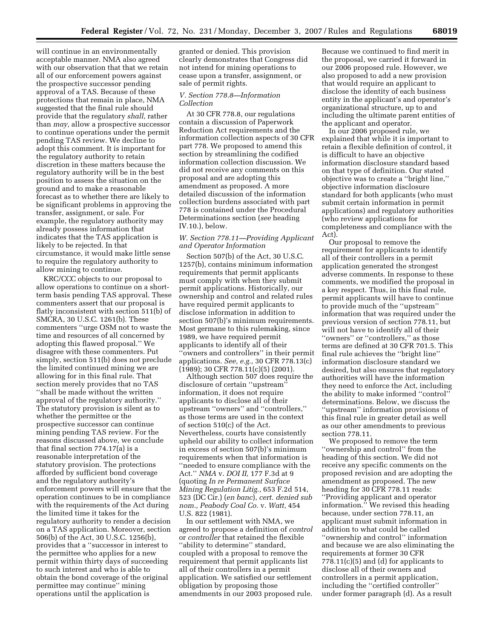will continue in an environmentally acceptable manner. NMA also agreed with our observation that that we retain all of our enforcement powers against the prospective successor pending approval of a TAS. Because of these protections that remain in place, NMA suggested that the final rule should provide that the regulatory *shall,* rather than *may,* allow a prospective successor to continue operations under the permit pending TAS review. We decline to adopt this comment. It is important for the regulatory authority to retain discretion in these matters because the regulatory authority will be in the best position to assess the situation on the ground and to make a reasonable forecast as to whether there are likely to be significant problems in approving the transfer, assignment, or sale. For example, the regulatory authority may already possess information that indicates that the TAS application is likely to be rejected. In that circumstance, it would make little sense to require the regulatory authority to allow mining to continue.

KRC/CCC objects to our proposal to allow operations to continue on a shortterm basis pending TAS approval. These commenters assert that our proposal is flatly inconsistent with section 511(b) of SMCRA, 30 U.S.C. 1261(b). These commenters ''urge OSM not to waste the time and resources of all concerned by adopting this flawed proposal.'' We disagree with these commenters. Put simply, section 511(b) does not preclude the limited continued mining we are allowing for in this final rule. That section merely provides that no TAS ''shall be made without the written approval of the regulatory authority.'' The statutory provision is silent as to whether the permittee or the prospective successor can continue mining pending TAS review. For the reasons discussed above, we conclude that final section 774.17(a) is a reasonable interpretation of the statutory provision. The protections afforded by sufficient bond coverage and the regulatory authority's enforcement powers will ensure that the operation continues to be in compliance with the requirements of the Act during the limited time it takes for the regulatory authority to render a decision on a TAS application. Moreover, section 506(b) of the Act, 30 U.S.C. 1256(b), provides that a ''successor in interest to the permittee who applies for a new permit within thirty days of succeeding to such interest and who is able to obtain the bond coverage of the original permittee may continue'' mining operations until the application is

granted or denied. This provision clearly demonstrates that Congress did not intend for mining operations to cease upon a transfer, assignment, or sale of permit rights.

#### *V. Section 778.8—Information Collection*

At 30 CFR 778.8, our regulations contain a discussion of Paperwork Reduction Act requirements and the information collection aspects of 30 CFR part 778. We proposed to amend this section by streamlining the codified information collection discussion. We did not receive any comments on this proposal and are adopting this amendment as proposed. A more detailed discussion of the information collection burdens associated with part 778 is contained under the Procedural Determinations section (*see* heading IV.10.), below.

# *W. Section 778.11—Providing Applicant and Operator Information*

Section 507(b) of the Act, 30 U.S.C. 1257(b), contains minimum information requirements that permit applicants must comply with when they submit permit applications. Historically, our ownership and control and related rules have required permit applicants to disclose information in addition to section 507(b)'s minimum requirements. Most germane to this rulemaking, since 1989, we have required permit applicants to identify all of their ''owners and controllers'' in their permit applications. *See, e.g.,* 30 CFR 778.13(c) (1989); 30 CFR 778.11(c)(5) (2001).

Although section 507 does require the disclosure of certain ''upstream'' information, it does not require applicants to disclose all of their upstream ''owners'' and ''controllers,'' as those terms are used in the context of section 510(c) of the Act. Nevertheless, courts have consistently upheld our ability to collect information in excess of section 507(b)'s minimum requirements when that information is ''needed to ensure compliance with the Act.'' *NMA* v. *DOI II,* 177 F.3d at 9 (quoting *In re Permanent Surface Mining Regulation Litig.,* 653 F.2d 514, 523 (DC Cir.) (*en banc*), *cert. denied sub nom., Peabody Coal Co.* v. *Watt,* 454 U.S. 822 (1981).

In our settlement with NMA, we agreed to propose a definition of *control*  or *controller* that retained the flexible ''ability to determine'' standard, coupled with a proposal to remove the requirement that permit applicants list all of their controllers in a permit application. We satisfied our settlement obligation by proposing those amendments in our 2003 proposed rule.

Because we continued to find merit in the proposal, we carried it forward in our 2006 proposed rule. However, we also proposed to add a new provision that would require an applicant to disclose the identity of each business entity in the applicant's and operator's organizational structure, up to and including the ultimate parent entities of the applicant and operator.

In our 2006 proposed rule, we explained that while it is important to retain a flexible definition of control, it is difficult to have an objective information disclosure standard based on that type of definition. Our stated objective was to create a ''bright line,'' objective information disclosure standard for both applicants (who must submit certain information in permit applications) and regulatory authorities (who review applications for completeness and compliance with the Act).

Our proposal to remove the requirement for applicants to identify all of their controllers in a permit application generated the strongest adverse comments. In response to these comments, we modified the proposal in a key respect. Thus, in this final rule, permit applicants will have to continue to provide much of the ''upstream'' information that was required under the previous version of section 778.11, but will not have to identify all of their ''owners'' or ''controllers,'' as those terms are defined at 30 CFR 701.5. This final rule achieves the ''bright line'' information disclosure standard we desired, but also ensures that regulatory authorities will have the information they need to enforce the Act, including the ability to make informed ''control'' determinations. Below, we discuss the ''upstream'' information provisions of this final rule in greater detail as well as our other amendments to previous section 778.11.

We proposed to remove the term ''ownership and control'' from the heading of this section. We did not receive any specific comments on the proposed revision and are adopting the amendment as proposed. The new heading for 30 CFR 778.11 reads: ''Providing applicant and operator information.'' We revised this heading because, under section 778.11, an applicant must submit information in addition to what could be called ''ownership and control'' information and because we are also eliminating the requirements at former 30 CFR  $778.11(c)(5)$  and (d) for applicants to disclose all of their owners and controllers in a permit application, including the ''certified controller'' under former paragraph (d). As a result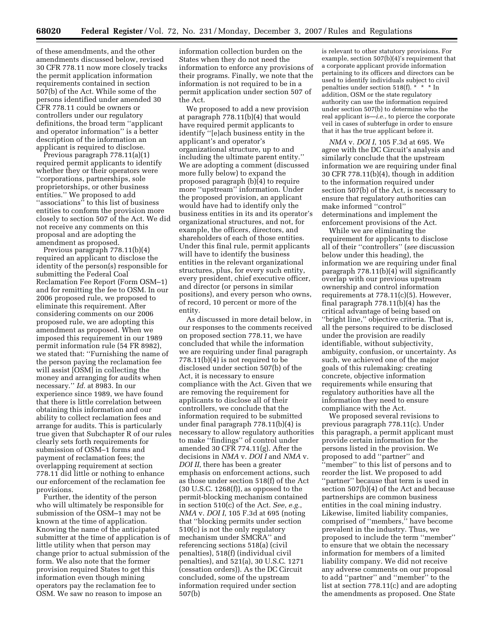of these amendments, and the other amendments discussed below, revised 30 CFR 778.11 now more closely tracks the permit application information requirements contained in section 507(b) of the Act. While some of the persons identified under amended 30 CFR 778.11 could be owners or controllers under our regulatory definitions, the broad term ''applicant and operator information'' is a better description of the information an applicant is required to disclose.

Previous paragraph 778.11(a)(1) required permit applicants to identify whether they or their operators were ''corporations, partnerships, sole proprietorships, or other business entities.'' We proposed to add ''associations'' to this list of business entities to conform the provision more closely to section 507 of the Act. We did not receive any comments on this proposal and are adopting the amendment as proposed.

Previous paragraph 778.11(b)(4) required an applicant to disclose the identity of the person(s) responsible for submitting the Federal Coal Reclamation Fee Report (Form OSM–1) and for remitting the fee to OSM. In our 2006 proposed rule, we proposed to eliminate this requirement. After considering comments on our 2006 proposed rule, we are adopting this amendment as proposed. When we imposed this requirement in our 1989 permit information rule (54 FR 8982), we stated that: ''Furnishing the name of the person paying the reclamation fee will assist [OSM] in collecting the money and arranging for audits when necessary.'' *Id.* at 8983. In our experience since 1989, we have found that there is little correlation between obtaining this information and our ability to collect reclamation fees and arrange for audits. This is particularly true given that Subchapter R of our rules clearly sets forth requirements for submission of OSM–1 forms and payment of reclamation fees; the overlapping requirement at section 778.11 did little or nothing to enhance our enforcement of the reclamation fee provisions.

Further, the identity of the person who will ultimately be responsible for submission of the OSM–1 may not be known at the time of application. Knowing the name of the anticipated submitter at the time of application is of little utility when that person may change prior to actual submission of the form. We also note that the former provision required States to get this information even though mining operators pay the reclamation fee to OSM. We saw no reason to impose an

information collection burden on the States when they do not need the information to enforce any provisions of their programs. Finally, we note that the information is not required to be in a permit application under section 507 of the Act.

We proposed to add a new provision at paragraph 778.11(b)(4) that would have required permit applicants to identify ''[e]ach business entity in the applicant's and operator's organizational structure, up to and including the ultimate parent entity.'' We are adopting a comment (discussed more fully below) to expand the proposed paragraph (b)(4) to require more ''upstream'' information. Under the proposed provision, an applicant would have had to identify only the business entities in its and its operator's organizational structures, and not, for example, the officers, directors, and shareholders of each of those entities. Under this final rule, permit applicants will have to identify the business entities in the relevant organizational structures, plus, for every such entity, every president, chief executive officer, and director (or persons in similar positions), and every person who owns, of record, 10 percent or more of the entity.

As discussed in more detail below, in our responses to the comments received on proposed section 778.11, we have concluded that while the information we are requiring under final paragraph 778.11(b)(4) is not required to be disclosed under section 507(b) of the Act, it is necessary to ensure compliance with the Act. Given that we are removing the requirement for applicants to disclose all of their controllers, we conclude that the information required to be submitted under final paragraph 778.11(b)(4) is necessary to allow regulatory authorities to make ''findings'' of control under amended 30 CFR 774.11(g). After the decisions in *NMA* v. *DOI I* and *NMA* v. *DOI II*, there has been a greater emphasis on enforcement actions, such as those under section 518(f) of the Act  $(30 \text{ U.S.C. } 1268(f))$ , as opposed to the permit-blocking mechanism contained in section 510(c) of the Act. *See*, *e.g.*, *NMA* v. *DOI I*, 105 F.3d at 695 (noting that ''blocking permits under section 510(c) is not the only regulatory mechanism under SMCRA'' and referencing sections 518(a) (civil penalties), 518(f) (individual civil penalties), and 521(a), 30 U.S.C. 1271 (cessation orders)). As the DC Circuit concluded, some of the upstream information required under section 507(b)

is relevant to other statutory provisions. For example, section 507(b)(4)'s requirement that a corporate applicant provide information pertaining to its officers and directors can be used to identify individuals subject to civil penalties under section 518(f). \* \* \* In addition, OSM or the state regulatory authority can use the information required under section 507(b) to determine who the real applicant is—*i.e.*, to pierce the corporate veil in cases of subterfuge in order to ensure that it has the true applicant before it.

*NMA* v. *DOI I*, 105 F.3d at 695. We agree with the DC Circuit's analysis and similarly conclude that the upstream information we are requiring under final 30 CFR 778.11(b)(4), though in addition to the information required under section 507(b) of the Act, is necessary to ensure that regulatory authorities can make informed ''control'' determinations and implement the enforcement provisions of the Act.

While we are eliminating the requirement for applicants to disclose all of their ''controllers'' (*see* discussion below under this heading), the information we are requiring under final paragraph 778.11(b)(4) will significantly overlap with our previous upstream ownership and control information requirements at 778.11(c)(5). However, final paragraph 778.11(b)(4) has the critical advantage of being based on ''bright line,'' objective criteria. That is, all the persons required to be disclosed under the provision are readily identifiable, without subjectivity, ambiguity, confusion, or uncertainty. As such, we achieved one of the major goals of this rulemaking: creating concrete, objective information requirements while ensuring that regulatory authorities have all the information they need to ensure compliance with the Act.

We proposed several revisions to previous paragraph 778.11(c). Under this paragraph, a permit applicant must provide certain information for the persons listed in the provision. We proposed to add ''partner'' and ''member'' to this list of persons and to reorder the list. We proposed to add ''partner'' because that term is used in section 507(b)(4) of the Act and because partnerships are common business entities in the coal mining industry. Likewise, limited liability companies, comprised of ''members,'' have become prevalent in the industry. Thus, we proposed to include the term ''member'' to ensure that we obtain the necessary information for members of a limited liability company. We did not receive any adverse comments on our proposal to add ''partner'' and ''member'' to the list at section 778.11(c) and are adopting the amendments as proposed. One State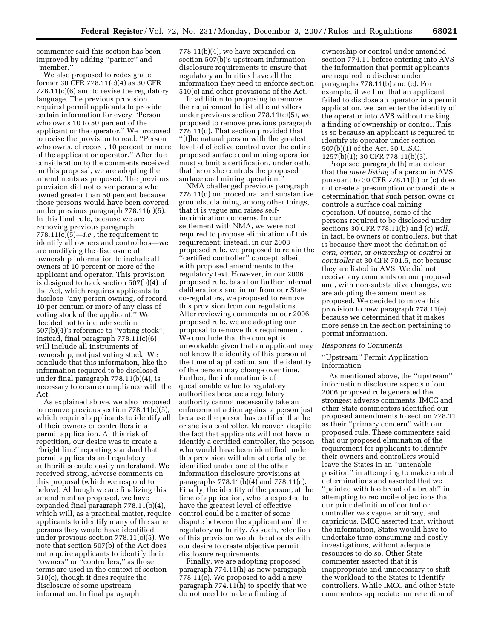commenter said this section has been improved by adding ''partner'' and ''member.''

We also proposed to redesignate former 30 CFR 778.11(c)(4) as 30 CFR 778.11(c)(6) and to revise the regulatory language. The previous provision required permit applicants to provide certain information for every ''Person who owns 10 to 50 percent of the applicant or the operator.'' We proposed to revise the provision to read: ''Person who owns, of record, 10 percent or more of the applicant or operator.'' After due consideration to the comments received on this proposal, we are adopting the amendments as proposed. The previous provision did not cover persons who owned greater than 50 percent because those persons would have been covered under previous paragraph 778.11(c)(5). In this final rule, because we are removing previous paragraph 778.11(c)(5)—*i.e.*, the requirement to identify all owners and controllers—we are modifying the disclosure of ownership information to include all owners of 10 percent or more of the applicant and operator. This provision is designed to track section 507(b)(4) of the Act, which requires applicants to disclose ''any person owning, of record 10 per centum or more of any class of voting stock of the applicant.'' We decided not to include section 507(b)(4)'s reference to ''voting stock''; instead, final paragraph 778.11(c)(6) will include all instruments of ownership, not just voting stock. We conclude that this information, like the information required to be disclosed under final paragraph 778.11(b)(4), is necessary to ensure compliance with the Act.

As explained above, we also proposed to remove previous section 778.11(c)(5), which required applicants to identify all of their owners or controllers in a permit application. At this risk of repetition, our desire was to create a ''bright line'' reporting standard that permit applicants and regulatory authorities could easily understand. We received strong, adverse comments on this proposal (which we respond to below). Although we are finalizing this amendment as proposed, we have expanded final paragraph 778.11(b)(4), which will, as a practical matter, require applicants to identify many of the same persons they would have identified under previous section 778.11(c)(5). We note that section 507(b) of the Act does not require applicants to identify their ''owners'' or ''controllers,'' as those terms are used in the context of section 510(c), though it does require the disclosure of some upstream information. In final paragraph

778.11(b)(4), we have expanded on section 507(b)'s upstream information disclosure requirements to ensure that regulatory authorities have all the information they need to enforce section 510(c) and other provisions of the Act.

In addition to proposing to remove the requirement to list all controllers under previous section 778.11(c)(5), we proposed to remove previous paragraph 778.11(d). That section provided that ''[t]he natural person with the greatest level of effective control over the entire proposed surface coal mining operation must submit a certification, under oath, that he or she controls the proposed surface coal mining operation.''

NMA challenged previous paragraph 778.11(d) on procedural and substantive grounds, claiming, among other things, that it is vague and raises selfincrimination concerns. In our settlement with NMA, we were not required to propose elimination of this requirement; instead, in our 2003 proposed rule, we proposed to retain the ''certified controller'' concept, albeit with proposed amendments to the regulatory text. However, in our 2006 proposed rule, based on further internal deliberations and input from our State co-regulators, we proposed to remove this provision from our regulations. After reviewing comments on our 2006 proposed rule, we are adopting our proposal to remove this requirement. We conclude that the concept is unworkable given that an applicant may not know the identity of this person at the time of application, and the identity of the person may change over time. Further, the information is of questionable value to regulatory authorities because a regulatory authority cannot necessarily take an enforcement action against a person just because the person has certified that he or she is a controller. Moreover, despite the fact that applicants will not have to identify a certified controller, the person who would have been identified under this provision will almost certainly be identified under one of the other information disclosure provisions at paragraphs 778.11(b)(4) and 778.11(c). Finally, the identity of the person, at the time of application, who is expected to have the greatest level of effective control could be a matter of some dispute between the applicant and the regulatory authority. As such, retention of this provision would be at odds with our desire to create objective permit disclosure requirements.

Finally, we are adopting proposed paragraph 774.11(h) as new paragraph 778.11(e). We proposed to add a new paragraph 774.11(h) to specify that we do not need to make a finding of

ownership or control under amended section 774.11 before entering into AVS the information that permit applicants are required to disclose under paragraphs 778.11(b) and (c). For example, if we find that an applicant failed to disclose an operator in a permit application, we can enter the identity of the operator into AVS without making a finding of ownership or control. This is so because an applicant is required to identify its operator under section 507(b)(1) of the Act. 30 U.S.C. 1257(b)(1); 30 CFR 778.11(b)(3).

Proposed paragraph (h) made clear that the *mere listing* of a person in AVS pursuant to 30 CFR 778.11(b) or (c) does not create a presumption or constitute a determination that such person owns or controls a surface coal mining operation. Of course, some of the persons required to be disclosed under sections 30 CFR 778.11(b) and (c) *will*, in fact, be owners or controllers, but that is because they meet the definition of *own*, *owner*, or *ownership* or *control* or *controller* at 30 CFR 701.5, not because they are listed in AVS. We did not receive any comments on our proposal and, with non-substantive changes, we are adopting the amendment as proposed. We decided to move this provision to new paragraph 778.11(e) because we determined that it makes more sense in the section pertaining to permit information.

#### *Responses to Comments*

# ''Upstream'' Permit Application Information

As mentioned above, the ''upstream'' information disclosure aspects of our 2006 proposed rule generated the strongest adverse comments. IMCC and other State commenters identified our proposed amendments to section 778.11 as their ''primary concern'' with our proposed rule. These commenters said that our proposed elimination of the requirement for applicants to identify their owners and controllers would leave the States in an ''untenable position'' in attempting to make control determinations and asserted that we ''painted with too broad of a brush'' in attempting to reconcile objections that our prior definition of control or controller was vague, arbitrary, and capricious. IMCC asserted that, without the information, States would have to undertake time-consuming and costly investigations, without adequate resources to do so. Other State commenter asserted that it is inappropriate and unnecessary to shift the workload to the States to identify controllers. While IMCC and other State commenters appreciate our retention of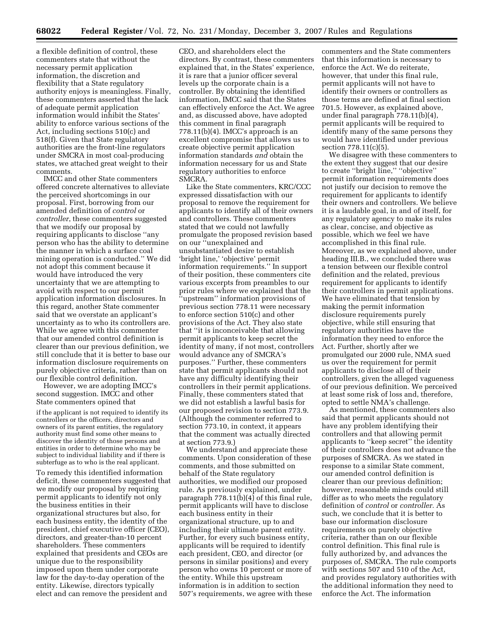a flexible definition of control, these commenters state that without the necessary permit application information, the discretion and flexibility that a State regulatory authority enjoys is meaningless. Finally, these commenters asserted that the lack of adequate permit application information would inhibit the States' ability to enforce various sections of the Act, including sections 510(c) and 518(f). Given that State regulatory authorities are the front-line regulators under SMCRA in most coal-producing states, we attached great weight to their comments.

IMCC and other State commenters offered concrete alternatives to alleviate the perceived shortcomings in our proposal. First, borrowing from our amended definition of *control* or *controller*, these commenters suggested that we modify our proposal by requiring applicants to disclose ''any person who has the ability to determine the manner in which a surface coal mining operation is conducted.'' We did not adopt this comment because it would have introduced the very uncertainty that we are attempting to avoid with respect to our permit application information disclosures. In this regard, another State commenter said that we overstate an applicant's uncertainty as to who its controllers are. While we agree with this commenter that our amended control definition is clearer than our previous definition, we still conclude that it is better to base our information disclosure requirements on purely objective criteria, rather than on our flexible control definition.

However, we are adopting IMCC's second suggestion. IMCC and other State commenters opined that

if the applicant is not required to identify its controllers or the officers, directors and owners of its parent entities, the regulatory authority must find some other means to discover the identity of those persons and entities in order to determine who may be subject to individual liability and if there is subterfuge as to who is the real applicant.

To remedy this identified information deficit, these commenters suggested that we modify our proposal by requiring permit applicants to identify not only the business entities in their organizational structures but also, for each business entity, the identity of the president, chief executive officer (CEO), directors, and greater-than-10 percent shareholders. These commenters explained that presidents and CEOs are unique due to the responsibility imposed upon them under corporate law for the day-to-day operation of the entity. Likewise, directors typically elect and can remove the president and

CEO, and shareholders elect the directors. By contrast, these commenters explained that, in the States' experience, it is rare that a junior officer several levels up the corporate chain is a controller. By obtaining the identified information, IMCC said that the States can effectively enforce the Act. We agree and, as discussed above, have adopted this comment in final paragraph 778.11(b)(4). IMCC's approach is an excellent compromise that allows us to create objective permit application information standards *and* obtain the information necessary for us and State regulatory authorities to enforce SMCRA.

Like the State commenters, KRC/CCC expressed dissatisfaction with our proposal to remove the requirement for applicants to identify all of their owners and controllers. These commenters stated that we could not lawfully promulgate the proposed revision based on our ''unexplained and unsubstantiated desire to establish 'bright line,' 'objective' permit information requirements.'' In support of their position, these commenters cite various excerpts from preambles to our prior rules where we explained that the ''upstream'' information provisions of previous section 778.11 were necessary to enforce section 510(c) and other provisions of the Act. They also state that ''it is inconceivable that allowing permit applicants to keep secret the identity of many, if not most, controllers would advance any of SMCRA's purposes.'' Further, these commenters state that permit applicants should not have any difficulty identifying their controllers in their permit applications. Finally, these commenters stated that we did not establish a lawful basis for our proposed revision to section 773.9. (Although the commenter referred to section 773.10, in context, it appears that the comment was actually directed at section 773.9.)

We understand and appreciate these comments. Upon consideration of these comments, and those submitted on behalf of the State regulatory authorities, we modified our proposed rule. As previously explained, under paragraph 778.11(b)(4) of this final rule, permit applicants will have to disclose each business entity in their organizational structure, up to and including their ultimate parent entity. Further, for every such business entity, applicants will be required to identify each president, CEO, and director (or persons in similar positions) and every person who owns 10 percent or more of the entity. While this upstream information is in addition to section 507's requirements, we agree with these

commenters and the State commenters that this information is necessary to enforce the Act. We do reiterate, however, that under this final rule, permit applicants will not have to identify their owners or controllers as those terms are defined at final section 701.5. However, as explained above, under final paragraph 778.11(b)(4), permit applicants will be required to identify many of the same persons they would have identified under previous section 778.11(c)(5).

We disagree with these commenters to the extent they suggest that our desire to create ''bright line,'' ''objective'' permit information requirements does not justify our decision to remove the requirement for applicants to identify their owners and controllers. We believe it is a laudable goal, in and of itself, for any regulatory agency to make its rules as clear, concise, and objective as possible, which we feel we have accomplished in this final rule. Moreover, as we explained above, under heading III.B., we concluded there was a tension between our flexible control definition and the related, previous requirement for applicants to identify their controllers in permit applications. We have eliminated that tension by making the permit information disclosure requirements purely objective, while still ensuring that regulatory authorities have the information they need to enforce the Act. Further, shortly after we promulgated our 2000 rule, NMA sued us over the requirement for permit applicants to disclose all of their controllers, given the alleged vagueness of our previous definition. We perceived at least some risk of loss and, therefore, opted to settle NMA's challenge.

As mentioned, these commenters also said that permit applicants should not have any problem identifying their controllers and that allowing permit applicants to ''keep secret'' the identity of their controllers does not advance the purposes of SMCRA. As we stated in response to a similar State comment, our amended control definition is clearer than our previous definition; however, reasonable minds could still differ as to who meets the regulatory definition of *control* or *controller.* As such, we conclude that it is better to base our information disclosure requirements on purely objective criteria, rather than on our flexible control definition. This final rule is fully authorized by, and advances the purposes of, SMCRA. The rule comports with sections 507 and 510 of the Act, and provides regulatory authorities with the additional information they need to enforce the Act. The information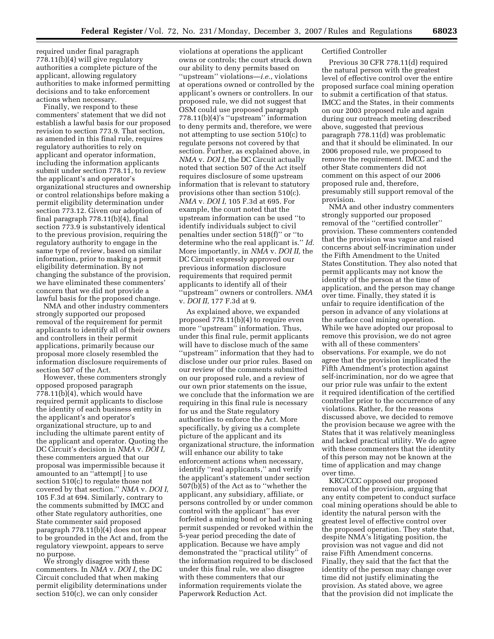required under final paragraph 778.11(b)(4) will give regulatory authorities a complete picture of the applicant, allowing regulatory authorities to make informed permitting decisions and to take enforcement actions when necessary.

Finally, we respond to these commenters' statement that we did not establish a lawful basis for our proposed revision to section 773.9. That section, as amended in this final rule, requires regulatory authorities to rely on applicant and operator information, including the information applicants submit under section 778.11, to review the applicant's and operator's organizational structures and ownership or control relationships before making a permit eligibility determination under section 773.12. Given our adoption of final paragraph 778.11(b)(4), final section 773.9 is substantively identical to the previous provision, requiring the regulatory authority to engage in the same type of review, based on similar information, prior to making a permit eligibility determination. By not changing the substance of the provision, we have eliminated these commenters' concern that we did not provide a lawful basis for the proposed change.

NMA and other industry commenters strongly supported our proposed removal of the requirement for permit applicants to identify all of their owners and controllers in their permit applications, primarily because our proposal more closely resembled the information disclosure requirements of section 507 of the Act.

However, these commenters strongly opposed proposed paragraph 778.11(b)(4), which would have required permit applicants to disclose the identity of each business entity in the applicant's and operator's organizational structure, up to and including the ultimate parent entity of the applicant and operator. Quoting the DC Circuit's decision in *NMA* v. *DOI I,*  these commenters argued that our proposal was impermissible because it amounted to an ''attempt[ ] to use section 510(c) to regulate those not covered by that section.'' *NMA* v. *DOI I,*  105 F.3d at 694. Similarly, contrary to the comments submitted by IMCC and other State regulatory authorities, one State commenter said proposed paragraph 778.11(b)(4) does not appear to be grounded in the Act and, from the regulatory viewpoint, appears to serve no purpose.

We strongly disagree with these commenters. In *NMA* v. *DOI I*, the DC Circuit concluded that when making permit eligibility determinations under section 510(c), we can only consider

violations at operations the applicant owns or controls; the court struck down our ability to deny permits based on ''upstream'' violations—*i.e.*, violations at operations owned or controlled by the applicant's owners or controllers. In our proposed rule, we did not suggest that OSM could use proposed paragraph 778.11(b)(4)'s ''upstream'' information to deny permits and, therefore, we were not attempting to use section 510(c) to regulate persons not covered by that section. Further, as explained above, in *NMA* v. *DOI I,* the DC Circuit actually noted that section 507 of the Act itself requires disclosure of some upstream information that is relevant to statutory provisions other than section 510(c). *NMA* v. *DOI I,* 105 F.3d at 695. For example, the court noted that the upstream information can be used ''to identify individuals subject to civil penalties under section 518(f)'' or ''to determine who the real applicant is.'' *Id.*  More importantly, in *NMA* v. *DOI II,* the DC Circuit expressly approved our previous information disclosure requirements that required permit applicants to identify all of their ''upstream'' owners or controllers. *NMA*  v. *DOI II,* 177 F.3d at 9.

As explained above, we expanded proposed 778.11(b)(4) to require even more "upstream" information. Thus, under this final rule, permit applicants will have to disclose much of the same ''upstream'' information that they had to disclose under our prior rules. Based on our review of the comments submitted on our proposed rule, and a review of our own prior statements on the issue, we conclude that the information we are requiring in this final rule is necessary for us and the State regulatory authorities to enforce the Act. More specifically, by giving us a complete picture of the applicant and its organizational structure, the information will enhance our ability to take enforcement actions when necessary, identify ''real applicants,'' and verify the applicant's statement under section 507(b)(5) of the Act as to ''whether the applicant, any subsidiary, affiliate, or persons controlled by or under common control with the applicant'' has ever forfeited a mining bond or had a mining permit suspended or revoked within the 5-year period preceding the date of application. Because we have amply demonstrated the ''practical utility'' of the information required to be disclosed under this final rule, we also disagree with these commenters that our information requirements violate the Paperwork Reduction Act.

# Certified Controller

Previous 30 CFR 778.11(d) required the natural person with the greatest level of effective control over the entire proposed surface coal mining operation to submit a certification of that status. IMCC and the States, in their comments on our 2003 proposed rule and again during our outreach meeting described above, suggested that previous paragraph 778.11(d) was problematic and that it should be eliminated. In our 2006 proposed rule, we proposed to remove the requirement. IMCC and the other State commenters did not comment on this aspect of our 2006 proposed rule and, therefore, presumably still support removal of the provision.

NMA and other industry commenters strongly supported our proposed removal of the ''certified controller'' provision. These commenters contended that the provision was vague and raised concerns about self-incrimination under the Fifth Amendment to the United States Constitution. They also noted that permit applicants may not know the identity of the person at the time of application, and the person may change over time. Finally, they stated it is unfair to require identification of the person in advance of any violations at the surface coal mining operation. While we have adopted our proposal to remove this provision, we do not agree with all of these commenters' observations. For example, we do not agree that the provision implicated the Fifth Amendment's protection against self-incrimination, nor do we agree that our prior rule was unfair to the extent it required identification of the certified controller prior to the occurrence of any violations. Rather, for the reasons discussed above, we decided to remove the provision because we agree with the States that it was relatively meaningless and lacked practical utility. We do agree with these commenters that the identity of this person may not be known at the time of application and may change over time.

KRC/CCC opposed our proposed removal of the provision, arguing that any entity competent to conduct surface coal mining operations should be able to identity the natural person with the greatest level of effective control over the proposed operation. They state that, despite NMA's litigating position, the provision was not vague and did not raise Fifth Amendment concerns. Finally, they said that the fact that the identity of the person may change over time did not justify eliminating the provision. As stated above, we agree that the provision did not implicate the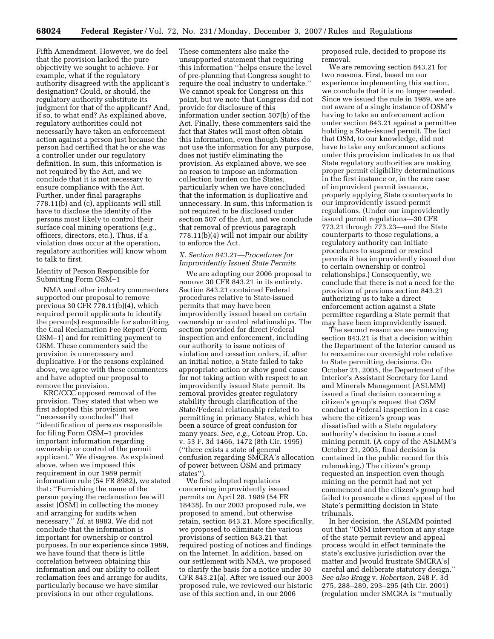Fifth Amendment. However, we do feel that the provision lacked the pure objectivity we sought to achieve. For example, what if the regulatory authority disagreed with the applicant's designation? Could, or should, the regulatory authority substitute its judgment for that of the applicant? And, if so, to what end? As explained above, regulatory authorities could not necessarily have taken an enforcement action against a person just because the person had certified that he or she was a controller under our regulatory definition. In sum, this information is not required by the Act, and we conclude that it is not necessary to ensure compliance with the Act. Further, under final paragraphs 778.11(b) and (c), applicants will still have to disclose the identity of the persons most likely to control their surface coal mining operations (*e.g.*, officers, directors, etc.). Thus, if a violation does occur at the operation, regulatory authorities will know whom to talk to first.

# Identity of Person Responsible for Submitting Form OSM–1

NMA and other industry commenters supported our proposal to remove previous 30 CFR 778.11(b)(4), which required permit applicants to identify the person(s) responsible for submitting the Coal Reclamation Fee Report (Form OSM–1) and for remitting payment to OSM. These commenters said the provision is unnecessary and duplicative. For the reasons explained above, we agree with these commenters and have adopted our proposal to remove the provision.

KRC/CCC opposed removal of the provision. They stated that when we first adopted this provision we "necessarily concluded" that ''identification of persons responsible for filing Form OSM–1 provides important information regarding ownership or control of the permit applicant.'' We disagree. As explained above, when we imposed this requirement in our 1989 permit information rule (54 FR 8982), we stated that: ''Furnishing the name of the person paying the reclamation fee will assist [OSM] in collecting the money and arranging for audits when necessary.'' *Id.* at 8983. We did not conclude that the information is important for ownership or control purposes. In our experience since 1989, we have found that there is little correlation between obtaining this information and our ability to collect reclamation fees and arrange for audits, particularly because we have similar provisions in our other regulations.

These commenters also make the unsupported statement that requiring this information ''helps ensure the level of pre-planning that Congress sought to require the coal industry to undertake.'' We cannot speak for Congress on this point, but we note that Congress did not provide for disclosure of this information under section 507(b) of the Act. Finally, these commenters said the fact that States will most often obtain this information, even though States do not use the information for any purpose, does not justify eliminating the provision. As explained above, we see no reason to impose an information collection burden on the States, particularly when we have concluded that the information is duplicative and unnecessary. In sum, this information is not required to be disclosed under section 507 of the Act, and we conclude that removal of previous paragraph 778.11(b)(4) will not impair our ability to enforce the Act.

### *X. Section 843.21—Procedures for Improvidently Issued State Permits*

We are adopting our 2006 proposal to remove 30 CFR 843.21 in its entirety. Section 843.21 contained Federal procedures relative to State-issued permits that may have been improvidently issued based on certain ownership or control relationships. The section provided for direct Federal inspection and enforcement, including our authority to issue notices of violation and cessation orders, if, after an initial notice, a State failed to take appropriate action or show good cause for not taking action with respect to an improvidently issued State permit. Its removal provides greater regulatory stability through clarification of the State/Federal relationship related to permitting in primacy States, which has been a source of great confusion for many years. *See, e.g.,* Coteau Prop. Co. v. 53 F. 3d 1466, 1472 (8th Cir. 1995) (''there exists a state of general confusion regarding SMCRA's allocation of power between OSM and primacy states'').

We first adopted regulations concerning improvidently issued permits on April 28, 1989 (54 FR 18438). In our 2003 proposed rule, we proposed to amend, but otherwise retain, section 843.21. More specifically, we proposed to eliminate the various provisions of section 843.21 that required posting of notices and findings on the Internet. In addition, based on our settlement with NMA, we proposed to clarify the basis for a notice under 30 CFR 843.21(a). After we issued our 2003 proposed rule, we reviewed our historic use of this section and, in our 2006

proposed rule, decided to propose its removal.

We are removing section 843.21 for two reasons. First, based on our experience implementing this section, we conclude that it is no longer needed. Since we issued the rule in 1989, we are not aware of a single instance of OSM's having to take an enforcement action under section 843.21 against a permittee holding a State-issued permit. The fact that OSM, to our knowledge, did not have to take any enforcement actions under this provision indicates to us that State regulatory authorities are making proper permit eligibility determinations in the first instance or, in the rare case of improvident permit issuance, properly applying State counterparts to our improvidently issued permit regulations. (Under our improvidently issued permit regulations—30 CFR 773.21 through 773.23—and the State counterparts to those regulations, a regulatory authority can initiate procedures to suspend or rescind permits it has improvidently issued due to certain ownership or control relationships.) Consequently, we conclude that there is not a need for the provision of previous section 843.21 authorizing us to take a direct enforcement action against a State permittee regarding a State permit that may have been improvidently issued.

The second reason we are removing section 843.21 is that a decision within the Department of the Interior caused us to reexamine our oversight role relative to State permitting decisions. On October 21, 2005, the Department of the Interior's Assistant Secretary for Land and Minerals Management (ASLMM) issued a final decision concerning a citizen's group's request that OSM conduct a Federal inspection in a case where the citizen's group was dissatisfied with a State regulatory authority's decision to issue a coal mining permit. (A copy of the ASLMM's October 21, 2005, final decision is contained in the public record for this rulemaking.) The citizen's group requested an inspection even though mining on the permit had not yet commenced and the citizen's group had failed to prosecute a direct appeal of the State's permitting decision in State tribunals.

In her decision, the ASLMM pointed out that ''OSM intervention at any stage of the state permit review and appeal process would in effect terminate the state's exclusive jurisdiction over the matter and [would frustrate SMCRA's] careful and deliberate statutory design.'' *See also Bragg* v. *Robertson,* 248 F. 3d 275, 288–289, 293–295 (4th Cir. 2001) (regulation under SMCRA is ''mutually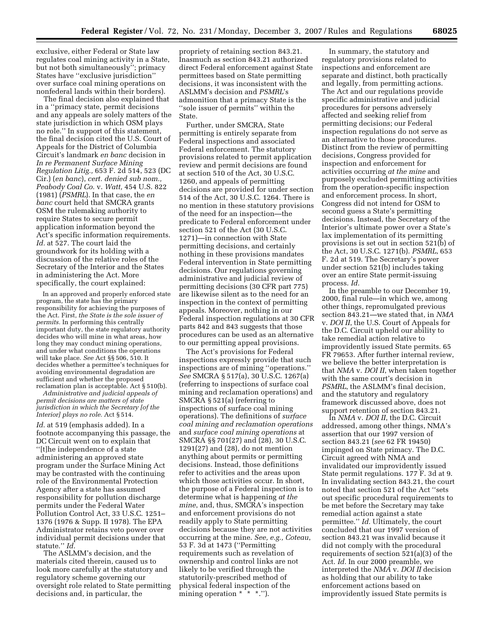exclusive, either Federal or State law regulates coal mining activity in a State, but not both simultaneously''; primacy States have ''exclusive jurisdiction'' over surface coal mining operations on nonfederal lands within their borders).

The final decision also explained that in a ''primacy state, permit decisions and any appeals are solely matters of the state jurisdiction in which OSM plays no role.'' In support of this statement, the final decision cited the U.S. Court of Appeals for the District of Columbia Circuit's landmark *en banc* decision in *In re Permanent Surface Mining Regulation Litig.,* 653 F. 2d 514, 523 (DC Cir.) (*en banc*), *cert. denied sub nom., Peabody Coal Co.* v. *Watt,* 454 U.S. 822 (1981) (*PSMRL*). In that case, the *en banc* court held that SMCRA grants OSM the rulemaking authority to require States to secure permit application information beyond the Act's specific information requirements. *Id.* at 527. The court laid the groundwork for its holding with a discussion of the relative roles of the Secretary of the Interior and the States in administering the Act. More specifically, the court explained:

In an approved and properly enforced state program, the state has the primary responsibility for achieving the purposes of the Act. First, *the State is the sole issuer of permits.* In performing this centrally important duty, the state regulatory authority decides who will mine in what areas, how long they may conduct mining operations, and under what conditions the operations will take place. *See* Act §§ 506, 510. It decides whether a permittee's techniques for avoiding environmental degradation are sufficient and whether the proposed reclamation plan is acceptable. Act § 510(b).

*Administrative and judicial appeals of permit decisions are matters of state jurisdiction in which the Secretary [of the Interior] plays no role.* Act § 514.

*Id*. at 519 (emphasis added). In a footnote accompanying this passage, the DC Circuit went on to explain that ''[t]he independence of a state administering an approved state program under the Surface Mining Act may be contrasted with the continuing role of the Environmental Protection Agency after a state has assumed responsibility for pollution discharge permits under the Federal Water Pollution Control Act, 33 U.S.C. 1251– 1376 (1976 & Supp. II 1978). The EPA Administrator retains veto power over individual permit decisions under that statute.'' *Id.* 

The ASLMM's decision, and the materials cited therein, caused us to look more carefully at the statutory and regulatory scheme governing our oversight role related to State permitting decisions and, in particular, the

propriety of retaining section 843.21. Inasmuch as section 843.21 authorized direct Federal enforcement against State permittees based on State permitting decisions, it was inconsistent with the ASLMM's decision and *PSMRL*'s admonition that a primacy State is the ''sole issuer of permits'' within the State.

Further, under SMCRA, State permitting is entirely separate from Federal inspections and associated Federal enforcement. The statutory provisions related to permit application review and permit decisions are found at section 510 of the Act, 30 U.S.C. 1260, and appeals of permitting decisions are provided for under section 514 of the Act, 30 U.S.C. 1264. There is no mention in these statutory provisions of the need for an inspection—the predicate to Federal enforcement under section 521 of the Act (30 U.S.C. 1271)—in connection with State permitting decisions, and certainly nothing in these provisions mandates Federal intervention in State permitting decisions. Our regulations governing administrative and judicial review of permitting decisions (30 CFR part 775) are likewise silent as to the need for an inspection in the context of permitting appeals. Moreover, nothing in our Federal inspection regulations at 30 CFR parts 842 and 843 suggests that those procedures can be used as an alternative to our permitting appeal provisions.

The Act's provisions for Federal inspections expressly provide that such inspections are of mining ''operations.'' *See* SMCRA § 517(a), 30 U.S.C. 1267(a) (referring to inspections of surface coal mining and reclamation operations) and SMCRA § 521(a) (referring to inspections of surface coal mining operations). The definitions of *surface coal mining and reclamation operations*  and *surface coal mining operations* at SMCRA §§ 701(27) and (28), 30 U.S.C. 1291(27) and (28), do not mention anything about permits or permitting decisions. Instead, those definitions refer to activities and the areas upon which those activities occur. In short, the purpose of a Federal inspection is to determine what is happening *at the mine*, and, thus, SMCRA's inspection and enforcement provisions do not readily apply to State permitting decisions because they are not activities occurring at the mine. *See, e.g., Coteau*, 53 F. 3d at 1473 (''Permitting requirements such as revelation of ownership and control links are not likely to be verified through the statutorily-prescribed method of physical federal inspection of the mining operation \* \* \*.'').

In summary, the statutory and regulatory provisions related to inspections and enforcement are separate and distinct, both practically and legally, from permitting actions. The Act and our regulations provide specific administrative and judicial procedures for persons adversely affected and seeking relief from permitting decisions; our Federal inspection regulations do not serve as an alternative to those procedures. Distinct from the review of permitting decisions, Congress provided for inspection and enforcement for activities occurring *at the mine* and purposely excluded permitting activities from the operation-specific inspection and enforcement process. In short, Congress did not intend for OSM to second guess a State's permitting decisions. Instead, the Secretary of the Interior's ultimate power over a State's lax implementation of its permitting provisions is set out in section 521(b) of the Act, 30 U.S.C. 1271(b). *PSMRL*, 653 F. 2d at 519. The Secretary's power under section 521(b) includes taking over an entire State permit-issuing process. *Id.* 

In the preamble to our December 19, 2000, final rule—in which we, among other things, repromulgated previous section 843.21—we stated that, in *NMA*  v. *DOI II*, the U.S. Court of Appeals for the D.C. Circuit upheld our ability to take remedial action relative to improvidently issued State permits. 65 FR 79653. After further internal review, we believe the better interpretation is that *NMA* v. *DOI II*, when taken together with the same court's decision in *PSMRL*, the ASLMM's final decision, and the statutory and regulatory framework discussed above, does not support retention of section 843.21.

In *NMA* v. *DOI II*, the D.C. Circuit addressed, among other things, NMA's assertion that our 1997 version of section 843.21 (*see* 62 FR 19450) impinged on State primacy. The D.C. Circuit agreed with NMA and invalidated our improvidently issued State permit regulations. 177 F. 3d at 9. In invalidating section 843.21, the court noted that section 521 of the Act ''sets out specific procedural requirements to be met before the Secretary may take remedial action against a state permittee.'' *Id.* Ultimately, the court concluded that our 1997 version of section 843.21 was invalid because it did not comply with the procedural requirements of section 521(a)(3) of the Act. *Id.* In our 2000 preamble, we interpreted the *NMA* v. *DOI II* decision as holding that our ability to take enforcement actions based on improvidently issued State permits is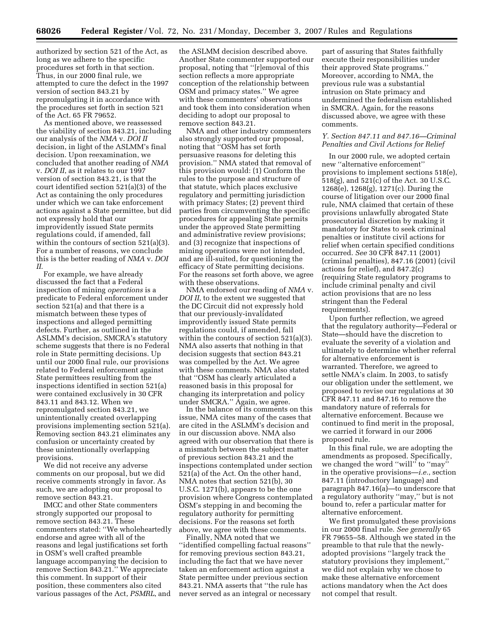authorized by section 521 of the Act, as long as we adhere to the specific procedures set forth in that section. Thus, in our 2000 final rule, we attempted to cure the defect in the 1997 version of section 843.21 by repromulgating it in accordance with the procedures set forth in section 521 of the Act. 65 FR 79652.

As mentioned above, we reassessed the viability of section 843.21, including our analysis of the *NMA* v. *DOI II*  decision, in light of the ASLMM's final decision. Upon reexamination, we concluded that another reading of *NMA*  v. *DOI II*, as it relates to our 1997 version of section 843.21, is that the court identified section 521(a)(3) of the Act as containing the only procedures under which we can take enforcement actions against a State permittee, but did not expressly hold that our improvidently issued State permits regulations could, if amended, fall within the contours of section 521(a)(3). For a number of reasons, we conclude this is the better reading of *NMA* v. *DOI II*.

For example, we have already discussed the fact that a Federal inspection of mining *operations* is a predicate to Federal enforcement under section 521(a) and that there is a mismatch between these types of inspections and alleged permitting defects. Further, as outlined in the ASLMM's decision, SMCRA's statutory scheme suggests that there is no Federal role in State permitting decisions. Up until our 2000 final rule, our provisions related to Federal enforcement against State permittees resulting from the inspections identified in section 521(a) were contained exclusively in 30 CFR 843.11 and 843.12. When we repromulgated section 843.21, we unintentionally created overlapping provisions implementing section 521(a). Removing section 843.21 eliminates any confusion or uncertainty created by these unintentionally overlapping provisions.

We did not receive any adverse comments on our proposal, but we did receive comments strongly in favor. As such, we are adopting our proposal to remove section 843.21.

IMCC and other State commenters strongly supported our proposal to remove section 843.21. These commenters stated: ''We wholeheartedly endorse and agree with all of the reasons and legal justifications set forth in OSM's well crafted preamble language accompanying the decision to remove Section 843.21.'' We appreciate this comment. In support of their position, these commenters also cited various passages of the Act, *PSMRL*, and the ASLMM decision described above. Another State commenter supported our proposal, noting that ''[r]emoval of this section reflects a more appropriate conception of the relationship between OSM and primacy states.'' We agree with these commenters' observations and took them into consideration when deciding to adopt our proposal to remove section 843.21.

NMA and other industry commenters also strongly supported our proposal, noting that ''OSM has set forth persuasive reasons for deleting this provision.'' NMA stated that removal of this provision would: (1) Conform the rules to the purpose and structure of that statute, which places exclusive regulatory and permitting jurisdiction with primacy States; (2) prevent third parties from circumventing the specific procedures for appealing State permits under the approved State permitting and administrative review provisions; and (3) recognize that inspections of mining operations were not intended, and are ill-suited, for questioning the efficacy of State permitting decisions. For the reasons set forth above, we agree with these observations.

NMA endorsed our reading of *NMA* v. *DOI II*, to the extent we suggested that the DC Circuit did not expressly hold that our previously-invalidated improvidently issued State permits regulations could, if amended, fall within the contours of section 521(a)(3). NMA also asserts that nothing in that decision suggests that section 843.21 was compelled by the Act. We agree with these comments. NMA also stated that ''OSM has clearly articulated a reasoned basis in this proposal for changing its interpretation and policy under SMCRA.'' Again, we agree.

In the balance of its comments on this issue, NMA cites many of the cases that are cited in the ASLMM's decision and in our discussion above. NMA also agreed with our observation that there is a mismatch between the subject matter of previous section 843.21 and the inspections contemplated under section 521(a) of the Act. On the other hand, NMA notes that section 521(b), 30 U.S.C. 1271(b), appears to be the one provision where Congress contemplated OSM's stepping in and becoming the regulatory authority for permitting decisions. For the reasons set forth above, we agree with these comments.

Finally, NMA noted that we ''identified compelling factual reasons'' for removing previous section 843.21, including the fact that we have never taken an enforcement action against a State permittee under previous section 843.21. NMA asserts that ''the rule has never served as an integral or necessary

part of assuring that States faithfully execute their responsibilities under their approved State programs.'' Moreover, according to NMA, the previous rule was a substantial intrusion on State primacy and undermined the federalism established in SMCRA. Again, for the reasons discussed above, we agree with these comments.

# *Y. Section 847.11 and 847.16—Criminal Penalties and Civil Actions for Relief*

In our 2000 rule, we adopted certain new ''alternative enforcement'' provisions to implement sections 518(e), 518(g), and 521(c) of the Act. 30 U.S.C. 1268(e), 1268(g), 1271(c). During the course of litigation over our 2000 final rule, NMA claimed that certain of these provisions unlawfully abrogated State prosecutorial discretion by making it mandatory for States to seek criminal penalties or institute civil actions for relief when certain specified conditions occurred. *See* 30 CFR 847.11 (2001) (criminal penalties), 847.16 (2001) (civil actions for relief), and 847.2(c) (requiring State regulatory programs to include criminal penalty and civil action provisions that are no less stringent than the Federal requirements).

Upon further reflection, we agreed that the regulatory authority—Federal or State—should have the discretion to evaluate the severity of a violation and ultimately to determine whether referral for alternative enforcement is warranted. Therefore, we agreed to settle NMA's claim. In 2003, to satisfy our obligation under the settlement, we proposed to revise our regulations at 30 CFR 847.11 and 847.16 to remove the mandatory nature of referrals for alternative enforcement. Because we continued to find merit in the proposal, we carried it forward in our 2006 proposed rule.

In this final rule, we are adopting the amendments as proposed. Specifically, we changed the word ''will'' to ''may'' in the operative provisions—*i.e.*, section 847.11 (introductory language) and paragraph 847.16(a)—to underscore that a regulatory authority ''may,'' but is not bound to, refer a particular matter for alternative enforcement.

We first promulgated these provisions in our 2000 final rule. *See generally* 65 FR 79655–58. Although we stated in the preamble to that rule that the newlyadopted provisions ''largely track the statutory provisions they implement,'' we did not explain why we chose to make these alternative enforcement actions mandatory when the Act does not compel that result.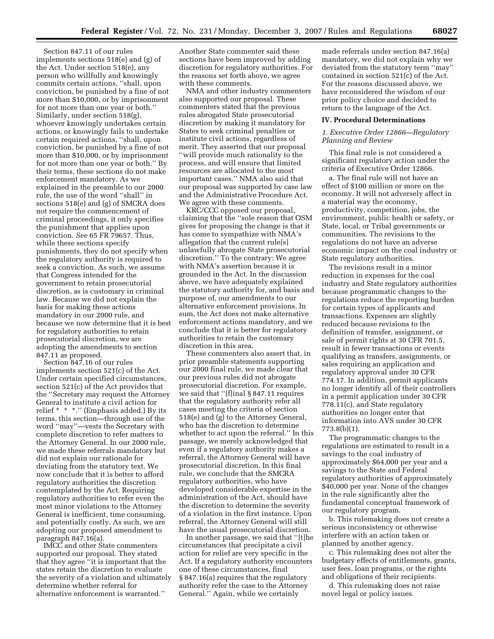Section 847.11 of our rules implements sections 518(e) and (g) of the Act. Under section 518(e), any person who willfully and knowingly commits certain actions, ''shall, upon conviction, be punished by a fine of not more than \$10,000, or by imprisonment for not more than one year or both.'' Similarly, under section 518(g), whoever knowingly undertakes certain actions, or knowingly fails to undertake certain required actions, ''shall, upon conviction, be punished by a fine of not more than \$10,000, or by imprisonment for not more than one year or both.'' By their terms, these sections do not make enforcement mandatory. As we explained in the preamble to our 2000 rule, the use of the word ''shall'' in sections 518(e) and (g) of SMCRA does not require the commencement of criminal proceedings, it only specifies the punishment that applies upon conviction. *See* 65 FR 79657. Thus, while these sections specify punishments, they do not specify when the regulatory authority is required to seek a conviction. As such, we assume that Congress intended for the government to retain prosecutorial discretion, as is customary in criminal law. Because we did not explain the basis for making these actions mandatory in our 2000 rule, and because we now determine that it is best for regulatory authorities to retain prosecutorial discretion, we are adopting the amendments to section 847.11 as proposed.

Section 847.16 of our rules implements section 521(c) of the Act. Under certain specified circumstances, section 521(c) of the Act provides that the ''Secretary may request the Attorney General to institute a civil action for relief \* \* \*.'' (Emphasis added.) By its terms, this section—through use of the word ''may''—vests the Secretary with complete discretion to refer matters to the Attorney General. In our 2000 rule, we made these referrals mandatory but did not explain our rationale for deviating from the statutory text. We now conclude that it is better to afford regulatory authorities the discretion contemplated by the Act. Requiring regulatory authorities to refer even the most minor violations to the Attorney General is inefficient, time consuming, and potentially costly. As such, we are adopting our proposed amendment to paragraph 847.16(a).

IMCC and other State commenters supported our proposal. They stated that they agree ''it is important that the states retain the discretion to evaluate the severity of a violation and ultimately determine whether referral for alternative enforcement is warranted.''

Another State commenter said these sections have been improved by adding discretion for regulatory authorities. For the reasons set forth above, we agree with these comments.

NMA and other industry commenters also supported our proposal. These commenters stated that the previous rules abrogated State prosecutorial discretion by making it mandatory for States to seek criminal penalties or institute civil actions, regardless of merit. They asserted that our proposal ''will provide much rationality to the process, and will ensure that limited resources are allocated to the most important cases.'' NMA also said that our proposal was supported by case law and the Administrative Procedure Act. We agree with these comments.

KRC/CCC opposed our proposal, claiming that the ''sole reason that OSM gives for proposing the change is that it has come to sympathize with NMA's allegation that the current rule[s] unlawfully abrogate State prosecutorial discretion.'' To the contrary: We agree with NMA's assertion because it is grounded in the Act. In the discussion above, we have adequately explained the statutory authority for, and basis and purpose of, our amendments to our alternative enforcement provisions. In sum, the Act does not make alternative enforcement actions mandatory, and we conclude that it is better for regulatory authorities to retain the customary discretion in this area.

These commenters also assert that, in prior preamble statements supporting our 2000 final rule, we made clear that our previous rules did not abrogate prosecutorial discretion. For example, we said that ''[f]inal § 847.11 requires that the regulatory authority refer all cases meeting the criteria of section 518(e) and (g) to the Attorney General, who has the discretion to determine whether to act upon the referral.'' In this passage, we merely acknowledged that even if a regulatory authority makes a referral, the Attorney General will have prosecutorial discretion. In this final rule, we conclude that the SMCRA regulatory authorities, who have developed considerable expertise in the administration of the Act, should have the discretion to determine the severity of a violation in the first instance. Upon referral, the Attorney General will still have the usual prosecutorial discretion.

In another passage, we said that ''[t]he circumstances that precipitate a civil action for relief are very specific in the Act. If a regulatory authority encounters one of these circumstances, final § 847.16(a) requires that the regulatory authority refer the case to the Attorney General.'' Again, while we certainly

made referrals under section 847.16(a) mandatory, we did not explain why we deviated from the statutory term ''may'' contained in section 521(c) of the Act. For the reasons discussed above, we have reconsidered the wisdom of our prior policy choice and decided to return to the language of the Act.

#### **IV. Procedural Determinations**

# *1. Executive Order 12866—Regulatory Planning and Review*

This final rule is not considered a significant regulatory action under the criteria of Executive Order 12866.

a. The final rule will not have an effect of \$100 million or more on the economy. It will not adversely affect in a material way the economy, productivity, competition, jobs, the environment, public health or safety, or State, local, or Tribal governments or communities. The revisions to the regulations do not have an adverse economic impact on the coal industry or State regulatory authorities.

The revisions result in a minor reduction in expenses for the coal industry and State regulatory authorities because programmatic changes to the regulations reduce the reporting burden for certain types of applicants and transactions. Expenses are slightly reduced because revisions to the definition of transfer, assignment, or sale of permit rights at 30 CFR 701.5, result in fewer transactions or events qualifying as transfers, assignments, or sales requiring an application and regulatory approval under 30 CFR 774.17. In addition, permit applicants no longer identify all of their controllers in a permit application under 30 CFR 778.11(c), and State regulatory authorities no longer enter that information into AVS under 30 CFR 773.8(b)(1).

The programmatic changes to the regulations are estimated to result in a savings to the coal industry of approximately \$64,000 per year and a savings to the State and Federal regulatory authorities of approximately \$40,000 per year. None of the changes in the rule significantly alter the fundamental conceptual framework of our regulatory program.

b. This rulemaking does not create a serious inconsistency or otherwise interfere with an action taken or planned by another agency.

c. This rulemaking does not alter the budgetary effects of entitlements, grants, user fees, loan programs, or the rights and obligations of their recipients.

d. This rulemaking does not raise novel legal or policy issues.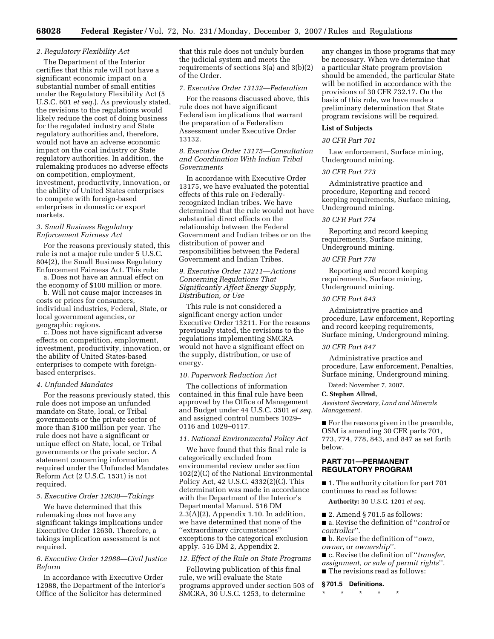# *2. Regulatory Flexibility Act*

The Department of the Interior certifies that this rule will not have a significant economic impact on a substantial number of small entities under the Regulatory Flexibility Act (5 U.S.C. 601 *et seq.*). As previously stated, the revisions to the regulations would likely reduce the cost of doing business for the regulated industry and State regulatory authorities and, therefore, would not have an adverse economic impact on the coal industry or State regulatory authorities. In addition, the rulemaking produces no adverse effects on competition, employment, investment, productivity, innovation, or the ability of United States enterprises to compete with foreign-based enterprises in domestic or export markets.

# *3. Small Business Regulatory Enforcement Fairness Act*

For the reasons previously stated, this rule is not a major rule under 5 U.S.C. 804(2), the Small Business Regulatory Enforcement Fairness Act. This rule: a. Does not have an annual effect on

the economy of \$100 million or more.

b. Will not cause major increases in costs or prices for consumers, individual industries, Federal, State, or local government agencies, or geographic regions.

c. Does not have significant adverse effects on competition, employment, investment, productivity, innovation, or the ability of United States-based enterprises to compete with foreignbased enterprises.

# *4. Unfunded Mandates*

For the reasons previously stated, this rule does not impose an unfunded mandate on State, local, or Tribal governments or the private sector of more than \$100 million per year. The rule does not have a significant or unique effect on State, local, or Tribal governments or the private sector. A statement concerning information required under the Unfunded Mandates Reform Act (2 U.S.C. 1531) is not required.

# *5. Executive Order 12630—Takings*

We have determined that this rulemaking does not have any significant takings implications under Executive Order 12630. Therefore, a takings implication assessment is not required.

# *6. Executive Order 12988—Civil Justice Reform*

In accordance with Executive Order 12988, the Department of the Interior's Office of the Solicitor has determined

that this rule does not unduly burden the judicial system and meets the requirements of sections 3(a) and 3(b)(2) of the Order.

# *7. Executive Order 13132—Federalism*

For the reasons discussed above, this rule does not have significant Federalism implications that warrant the preparation of a Federalism Assessment under Executive Order 13132.

# *8. Executive Order 13175—Consultation and Coordination With Indian Tribal Governments*

In accordance with Executive Order 13175, we have evaluated the potential effects of this rule on Federallyrecognized Indian tribes. We have determined that the rule would not have substantial direct effects on the relationship between the Federal Government and Indian tribes or on the distribution of power and responsibilities between the Federal Government and Indian Tribes.

# *9. Executive Order 13211—Actions Concerning Regulations That Significantly Affect Energy Supply, Distribution, or Use*

This rule is not considered a significant energy action under Executive Order 13211. For the reasons previously stated, the revisions to the regulations implementing SMCRA would not have a significant effect on the supply, distribution, or use of energy.

#### *10. Paperwork Reduction Act*

The collections of information contained in this final rule have been approved by the Office of Management and Budget under 44 U.S.C. 3501 *et seq.*  and assigned control numbers 1029– 0116 and 1029–0117.

# *11. National Environmental Policy Act*

We have found that this final rule is categorically excluded from environmental review under section 102(2)(C) of the National Environmental Policy Act, 42 U.S.C. 4332(2)(C). This determination was made in accordance with the Department of the Interior's Departmental Manual. 516 DM 2.3(A)(2), Appendix 1.10. In addition, we have determined that none of the ''extraordinary circumstances'' exceptions to the categorical exclusion apply. 516 DM 2, Appendix 2.

# *12. Effect of the Rule on State Programs*

Following publication of this final rule, we will evaluate the State programs approved under section 503 of SMCRA, 30 U.S.C. 1253, to determine

any changes in those programs that may be necessary. When we determine that a particular State program provision should be amended, the particular State will be notified in accordance with the provisions of 30 CFR 732.17. On the basis of this rule, we have made a preliminary determination that State program revisions will be required.

# **List of Subjects**

# *30 CFR Part 701*

Law enforcement, Surface mining, Underground mining.

#### *30 CFR Part 773*

Administrative practice and procedure, Reporting and record keeping requirements, Surface mining, Underground mining.

### *30 CFR Part 774*

Reporting and record keeping requirements, Surface mining, Underground mining.

#### *30 CFR Part 778*

Reporting and record keeping requirements, Surface mining, Underground mining.

### *30 CFR Part 843*

Administrative practice and procedure, Law enforcement, Reporting and record keeping requirements, Surface mining, Underground mining.

# *30 CFR Part 847*

Administrative practice and procedure, Law enforcement, Penalties, Surface mining, Underground mining.

Dated: November 7, 2007.

# **C. Stephen Allred,**

*Assistant Secretary, Land and Minerals Management.* 

■ For the reasons given in the preamble, OSM is amending 30 CFR parts 701, 773, 774, 778, 843, and 847 as set forth below.

# **PART 701—PERMANENT REGULATORY PROGRAM**

■ 1. The authority citation for part 701 continues to read as follows:

**Authority:** 30 U.S.C. 1201 *et seq.* 

 $\blacksquare$  2. Amend § 701.5 as follows:

■ a. Revise the definition of ''*control* or *controller*''.

■ b. Revise the definition of ''*own*, *owner*, or *ownership*''.

- c. Revise the definition of ''*transfer,*
- *assignment, or sale of permit rights*''.
- The revisions read as follows:
- **§ 701.5 Definitions.**

\* \* \* \* \*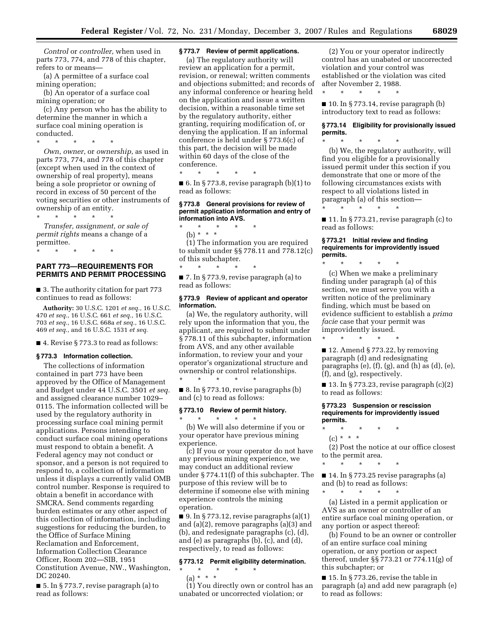*Control* or *controller*, when used in parts 773, 774, and 778 of this chapter, refers to or means—

(a) A permittee of a surface coal mining operation;

(b) An operator of a surface coal mining operation; or

(c) Any person who has the ability to determine the manner in which a surface coal mining operation is conducted.

\* \* \* \* \*

*Own*, *owner*, or *ownership*, as used in parts 773, 774, and 778 of this chapter (except when used in the context of ownership of real property), means being a sole proprietor or owning of record in excess of 50 percent of the voting securities or other instruments of ownership of an entity.

\* \* \* \* \*

*Transfer, assignment, or sale of permit rights* means a change of a permittee.

\* \* \* \* \*

# **PART 773—REQUIREMENTS FOR PERMITS AND PERMIT PROCESSING**

■ 3. The authority citation for part 773 continues to read as follows:

**Authority:** 30 U.S.C. 1201 *et seq.*, 16 U.S.C. *et seq.*, 16 U.S.C. 661 *et seq.*, 16 U.S.C. *et seq.*, 16 U.S.C. 668a *et seq.*, 16 U.S.C. *et seq.*, and 16 U.S.C. 1531 *et seq.* 

■ 4. Revise § 773.3 to read as follows:

#### **§ 773.3 Information collection.**

The collections of information contained in part 773 have been approved by the Office of Management and Budget under 44 U.S.C. 3501 *et seq.*  and assigned clearance number 1029– 0115. The information collected will be used by the regulatory authority in processing surface coal mining permit applications. Persons intending to conduct surface coal mining operations must respond to obtain a benefit. A Federal agency may not conduct or sponsor, and a person is not required to respond to, a collection of information unless it displays a currently valid OMB control number. Response is required to obtain a benefit in accordance with SMCRA. Send comments regarding burden estimates or any other aspect of this collection of information, including suggestions for reducing the burden, to the Office of Surface Mining Reclamation and Enforcement, Information Collection Clearance Officer, Room 202—SIB, 1951 Constitution Avenue, NW., Washington, DC 20240.

■ 5. In § 773.7, revise paragraph (a) to read as follows:

# **§ 773.7 Review of permit applications.**

(a) The regulatory authority will review an application for a permit, revision, or renewal; written comments and objections submitted; and records of any informal conference or hearing held on the application and issue a written decision, within a reasonable time set by the regulatory authority, either granting, requiring modification of, or denying the application. If an informal conference is held under § 773.6(c) of this part, the decision will be made within 60 days of the close of the conference.

\* \* \* \* \*

 $\blacksquare$  6. In § 773.8, revise paragraph (b)(1) to read as follows:

#### **§ 773.8 General provisions for review of permit application information and entry of information into AVS.**

\* \* \* \* \* (b) \* \* \* (1) The information you are required

to submit under §§ 778.11 and 778.12(c) of this subchapter. \* \* \* \* \*

■ 7. In § 773.9, revise paragraph (a) to read as follows:

# **§ 773.9 Review of applicant and operator information.**

(a) We, the regulatory authority, will rely upon the information that you, the applicant, are required to submit under § 778.11 of this subchapter, information from AVS, and any other available information, to review your and your operator's organizational structure and ownership or control relationships. \* \* \* \* \*

 $\blacksquare$  8. In § 773.10, revise paragraphs (b) and (c) to read as follows:

#### **§ 773.10 Review of permit history.**

\* \* \* \* \* (b) We will also determine if you or your operator have previous mining experience.

(c) If you or your operator do not have any previous mining experience, we may conduct an additional review under § 774.11(f) of this subchapter. The purpose of this review will be to determine if someone else with mining experience controls the mining operation.

 $\blacksquare$  9. In § 773.12, revise paragraphs (a)(1) and (a)(2), remove paragraphs (a)(3) and (b), and redesignate paragraphs (c), (d), and (e) as paragraphs (b), (c), and (d), respectively, to read as follows:

#### **§ 773.12 Permit eligibility determination.**

\* \* \* \* \*

(a) \* \* \*

(1) You directly own or control has an unabated or uncorrected violation; or

(2) You or your operator indirectly control has an unabated or uncorrected violation and your control was established or the violation was cited after November 2, 1988.

 $\blacksquare$  10. In § 773.14, revise paragraph (b) introductory text to read as follows:

\* \* \* \* \*

# **§ 773.14 Eligibility for provisionally issued permits.**

\* \* \* \* \* (b) We, the regulatory authority, will find you eligible for a provisionally issued permit under this section if you demonstrate that one or more of the following circumstances exists with respect to all violations listed in paragraph (a) of this section— \* \* \* \* \*

■ 11. In § 773.21, revise paragraph (c) to read as follows:

#### **§ 773.21 Initial review and finding requirements for improvidently issued permits.**

\* \* \* \* \* (c) When we make a preliminary finding under paragraph (a) of this section, we must serve you with a written notice of the preliminary finding, which must be based on evidence sufficient to establish a *prima facie* case that your permit was improvidently issued.

\* \* \* \* \*

■ 12. Amend § 773.22, by removing paragraph (d) and redesignating paragraphs (e), (f), (g), and (h) as (d), (e), (f), and (g), respectively.

 $\blacksquare$  13. In § 773.23, revise paragraph  $(c)(2)$ to read as follows:

#### **§ 773.23 Suspension or rescission requirements for improvidently issued permits.**

\* \* \* \* \* (c) \* \* \*

(2) Post the notice at our office closest to the permit area.

\* \* \* \* \*

■ 14. In § 773.25 revise paragraphs (a) and (b) to read as follows:

\* \* \* \* \*

(a) Listed in a permit application or AVS as an owner or controller of an entire surface coal mining operation, or any portion or aspect thereof:

(b) Found to be an owner or controller of an entire surface coal mining operation, or any portion or aspect thereof, under §§ 773.21 or 774.11(g) of this subchapter; or

 $\blacksquare$  15. In § 773.26, revise the table in paragraph (a) and add new paragraph (e) to read as follows: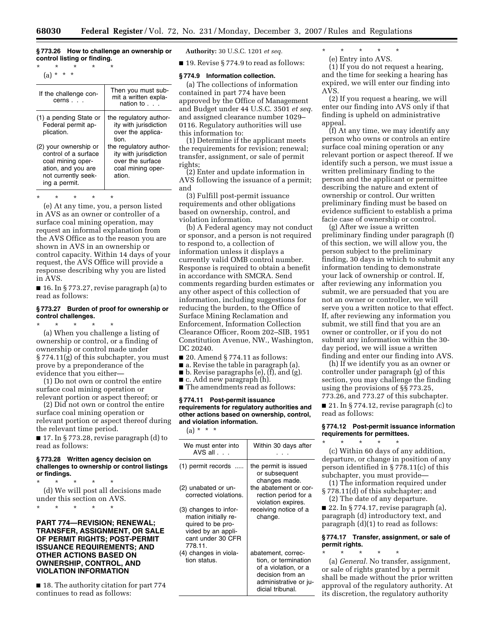# **§ 773.26 How to challenge an ownership or control listing or finding.**

\* \* \* \* \* (a) \* \* \*

| If the challenge con-<br>$cerns$                                                                                                                       | Then you must sub-<br>mit a written expla-<br>nation to set                                                                                                               |
|--------------------------------------------------------------------------------------------------------------------------------------------------------|---------------------------------------------------------------------------------------------------------------------------------------------------------------------------|
| (1) a pending State or<br>Federal permit ap-<br>plication.<br>(2) your ownership or<br>control of a surface<br>coal mining oper-<br>ation, and you are | the regulatory author-<br>ity with jurisdiction<br>over the applica-<br>tion.<br>the regulatory author-<br>ity with jurisdiction<br>over the surface<br>coal mining oper- |
| not currently seek-<br>ing a permit.                                                                                                                   | ation.                                                                                                                                                                    |

\* \* \* \* \*

(e) At any time, you, a person listed in AVS as an owner or controller of a surface coal mining operation, may request an informal explanation from the AVS Office as to the reason you are shown in AVS in an ownership or control capacity. Within 14 days of your request, the AVS Office will provide a response describing why you are listed in AVS.

■ 16. In § 773.27, revise paragraph (a) to read as follows:

#### **§ 773.27 Burden of proof for ownership or control challenges.**

\* \* \* \* \*

(a) When you challenge a listing of ownership or control, or a finding of ownership or control made under § 774.11(g) of this subchapter, you must prove by a preponderance of the evidence that you either—

(1) Do not own or control the entire surface coal mining operation or relevant portion or aspect thereof; or

(2) Did not own or control the entire surface coal mining operation or relevant portion or aspect thereof during the relevant time period.

■ 17. In § 773.28, revise paragraph (d) to read as follows:

#### **§ 773.28 Written agency decision on challenges to ownership or control listings or findings.**

\* \* \* \* \* (d) We will post all decisions made under this section on AVS.

\* \* \* \* \*

# **PART 774—REVISION; RENEWAL; TRANSFER, ASSIGNMENT, OR SALE OF PERMIT RIGHTS; POST-PERMIT ISSUANCE REQUIREMENTS; AND OTHER ACTIONS BASED ON OWNERSHIP, CONTROL, AND VIOLATION INFORMATION**

■ 18. The authority citation for part 774 continues to read as follows:

**Authority:** 30 U.S.C. 1201 *et seq.* 

■ 19. Revise § 774.9 to read as follows:

#### **§ 774.9 Information collection.**

(a) The collections of information contained in part 774 have been approved by the Office of Management and Budget under 44 U.S.C. 3501 *et seq.*  and assigned clearance number 1029– 0116. Regulatory authorities will use this information to:

(1) Determine if the applicant meets the requirements for revision; renewal; transfer, assignment, or sale of permit rights;

(2) Enter and update information in AVS following the issuance of a permit; and

(3) Fulfill post-permit issuance requirements and other obligations based on ownership, control, and violation information.

(b) A Federal agency may not conduct or sponsor, and a person is not required to respond to, a collection of information unless it displays a currently valid OMB control number. Response is required to obtain a benefit in accordance with SMCRA. Send comments regarding burden estimates or any other aspect of this collection of information, including suggestions for reducing the burden, to the Office of Surface Mining Reclamation and Enforcement, Information Collection Clearance Officer, Room 202–SIB, 1951 Constitution Avenue, NW., Washington, DC 20240.

- $\blacksquare$  20. Amend § 774.11 as follows:
- a. Revise the table in paragraph (a).
- b. Revise paragraphs (e), (f), and (g).
- c. Add new paragraph (h).

■ The amendments read as follows:

# **§ 774.11 Post-permit issuance requirements for regulatory authorities and other actions based on ownership, control, and violation information.**

 $(a) * * * *$ 

| We must enter into<br>AVS all $\ldots$                                                                                   | Within 30 days after                                                                                                                |
|--------------------------------------------------------------------------------------------------------------------------|-------------------------------------------------------------------------------------------------------------------------------------|
| (1) permit records                                                                                                       | the permit is issued<br>or subsequent<br>changes made.                                                                              |
| (2) unabated or un-<br>corrected violations.                                                                             | the abatement or cor-<br>rection period for a<br>violation expires.                                                                 |
| (3) changes to infor-<br>mation initially re-<br>quired to be pro-<br>vided by an appli-<br>cant under 30 CFR<br>778.11. | receiving notice of a<br>change.                                                                                                    |
| (4) changes in viola-<br>tion status.                                                                                    | abatement, correc-<br>tion, or termination<br>of a violation, or a<br>decision from an<br>administrative or ju-<br>dicial tribunal. |

\* \* \* \* \* (e) Entry into AVS.

(1) If you do not request a hearing, and the time for seeking a hearing has expired, we will enter our finding into AVS.

(2) If you request a hearing, we will enter our finding into AVS only if that finding is upheld on administrative appeal.

(f) At any time, we may identify any person who owns or controls an entire surface coal mining operation or any relevant portion or aspect thereof. If we identify such a person, we must issue a written preliminary finding to the person and the applicant or permittee describing the nature and extent of ownership or control. Our written preliminary finding must be based on evidence sufficient to establish a prima facie case of ownership or control.

(g) After we issue a written preliminary finding under paragraph (f) of this section, we will allow you, the person subject to the preliminary finding, 30 days in which to submit any information tending to demonstrate your lack of ownership or control. If, after reviewing any information you submit, we are persuaded that you are not an owner or controller, we will serve you a written notice to that effect. If, after reviewing any information you submit, we still find that you are an owner or controller, or if you do not submit any information within the 30 day period, we will issue a written finding and enter our finding into AVS.

(h) If we identify you as an owner or controller under paragraph (g) of this section, you may challenge the finding using the provisions of §§ 773.25, 773.26, and 773.27 of this subchapter.

■ 21. In § 774.12, revise paragraph (c) to read as follows:

# **§ 774.12 Post-permit issuance information requirements for permittees.**

\* \* \* \* \* (c) Within 60 days of any addition, departure, or change in position of any person identified in § 778.11(c) of this subchapter, you must provide—

(1) The information required under § 778.11(d) of this subchapter; and

(2) The date of any departure.  $\blacksquare$  22. In § 774.17, revise paragraph (a),

paragraph (d) introductory text, and paragraph (d)(1) to read as follows:

#### **§ 774.17 Transfer, assignment, or sale of permit rights.**

\* \* \* \* \* (a) *General.* No transfer, assignment, or sale of rights granted by a permit shall be made without the prior written approval of the regulatory authority. At its discretion, the regulatory authority